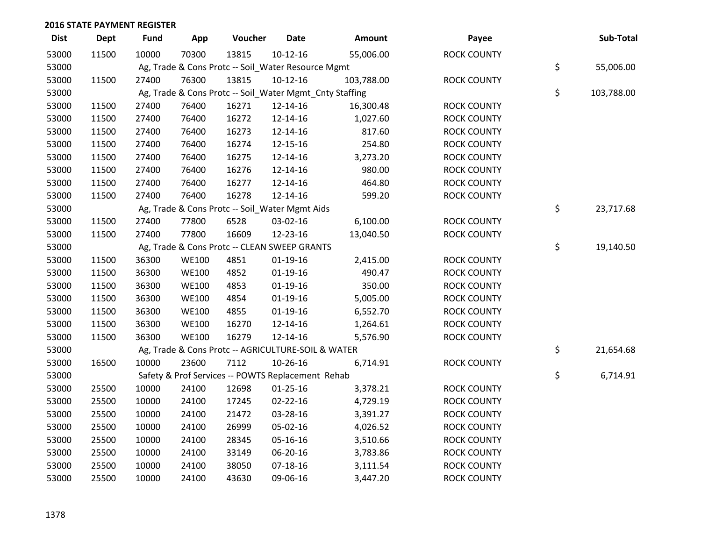| <b>Dist</b> | <b>Dept</b> | <b>Fund</b> | App          | Voucher | <b>Date</b>                                             | Amount     | Payee              | Sub-Total        |
|-------------|-------------|-------------|--------------|---------|---------------------------------------------------------|------------|--------------------|------------------|
| 53000       | 11500       | 10000       | 70300        | 13815   | $10-12-16$                                              | 55,006.00  | <b>ROCK COUNTY</b> |                  |
| 53000       |             |             |              |         | Ag, Trade & Cons Protc -- Soil_Water Resource Mgmt      |            |                    | \$<br>55,006.00  |
| 53000       | 11500       | 27400       | 76300        | 13815   | $10-12-16$                                              | 103,788.00 | <b>ROCK COUNTY</b> |                  |
| 53000       |             |             |              |         | Ag, Trade & Cons Protc -- Soil_Water Mgmt_Cnty Staffing |            |                    | \$<br>103,788.00 |
| 53000       | 11500       | 27400       | 76400        | 16271   | 12-14-16                                                | 16,300.48  | <b>ROCK COUNTY</b> |                  |
| 53000       | 11500       | 27400       | 76400        | 16272   | 12-14-16                                                | 1,027.60   | <b>ROCK COUNTY</b> |                  |
| 53000       | 11500       | 27400       | 76400        | 16273   | 12-14-16                                                | 817.60     | <b>ROCK COUNTY</b> |                  |
| 53000       | 11500       | 27400       | 76400        | 16274   | 12-15-16                                                | 254.80     | <b>ROCK COUNTY</b> |                  |
| 53000       | 11500       | 27400       | 76400        | 16275   | 12-14-16                                                | 3,273.20   | <b>ROCK COUNTY</b> |                  |
| 53000       | 11500       | 27400       | 76400        | 16276   | 12-14-16                                                | 980.00     | <b>ROCK COUNTY</b> |                  |
| 53000       | 11500       | 27400       | 76400        | 16277   | 12-14-16                                                | 464.80     | <b>ROCK COUNTY</b> |                  |
| 53000       | 11500       | 27400       | 76400        | 16278   | 12-14-16                                                | 599.20     | <b>ROCK COUNTY</b> |                  |
| 53000       |             |             |              |         | Ag, Trade & Cons Protc -- Soil_Water Mgmt Aids          |            |                    | \$<br>23,717.68  |
| 53000       | 11500       | 27400       | 77800        | 6528    | 03-02-16                                                | 6,100.00   | <b>ROCK COUNTY</b> |                  |
| 53000       | 11500       | 27400       | 77800        | 16609   | 12-23-16                                                | 13,040.50  | <b>ROCK COUNTY</b> |                  |
| 53000       |             |             |              |         | Ag, Trade & Cons Protc -- CLEAN SWEEP GRANTS            |            |                    | \$<br>19,140.50  |
| 53000       | 11500       | 36300       | <b>WE100</b> | 4851    | $01-19-16$                                              | 2,415.00   | <b>ROCK COUNTY</b> |                  |
| 53000       | 11500       | 36300       | <b>WE100</b> | 4852    | $01-19-16$                                              | 490.47     | <b>ROCK COUNTY</b> |                  |
| 53000       | 11500       | 36300       | <b>WE100</b> | 4853    | $01-19-16$                                              | 350.00     | <b>ROCK COUNTY</b> |                  |
| 53000       | 11500       | 36300       | <b>WE100</b> | 4854    | $01-19-16$                                              | 5,005.00   | <b>ROCK COUNTY</b> |                  |
| 53000       | 11500       | 36300       | <b>WE100</b> | 4855    | $01-19-16$                                              | 6,552.70   | <b>ROCK COUNTY</b> |                  |
| 53000       | 11500       | 36300       | <b>WE100</b> | 16270   | 12-14-16                                                | 1,264.61   | <b>ROCK COUNTY</b> |                  |
| 53000       | 11500       | 36300       | <b>WE100</b> | 16279   | 12-14-16                                                | 5,576.90   | <b>ROCK COUNTY</b> |                  |
| 53000       |             |             |              |         | Ag, Trade & Cons Protc -- AGRICULTURE-SOIL & WATER      |            |                    | \$<br>21,654.68  |
| 53000       | 16500       | 10000       | 23600        | 7112    | 10-26-16                                                | 6,714.91   | <b>ROCK COUNTY</b> |                  |
| 53000       |             |             |              |         | Safety & Prof Services -- POWTS Replacement Rehab       |            |                    | \$<br>6,714.91   |
| 53000       | 25500       | 10000       | 24100        | 12698   | $01 - 25 - 16$                                          | 3,378.21   | <b>ROCK COUNTY</b> |                  |
| 53000       | 25500       | 10000       | 24100        | 17245   | 02-22-16                                                | 4,729.19   | <b>ROCK COUNTY</b> |                  |
| 53000       | 25500       | 10000       | 24100        | 21472   | 03-28-16                                                | 3,391.27   | <b>ROCK COUNTY</b> |                  |
| 53000       | 25500       | 10000       | 24100        | 26999   | 05-02-16                                                | 4,026.52   | <b>ROCK COUNTY</b> |                  |
| 53000       | 25500       | 10000       | 24100        | 28345   | 05-16-16                                                | 3,510.66   | <b>ROCK COUNTY</b> |                  |
| 53000       | 25500       | 10000       | 24100        | 33149   | 06-20-16                                                | 3,783.86   | <b>ROCK COUNTY</b> |                  |
| 53000       | 25500       | 10000       | 24100        | 38050   | $07-18-16$                                              | 3,111.54   | <b>ROCK COUNTY</b> |                  |
| 53000       | 25500       | 10000       | 24100        | 43630   | 09-06-16                                                | 3,447.20   | <b>ROCK COUNTY</b> |                  |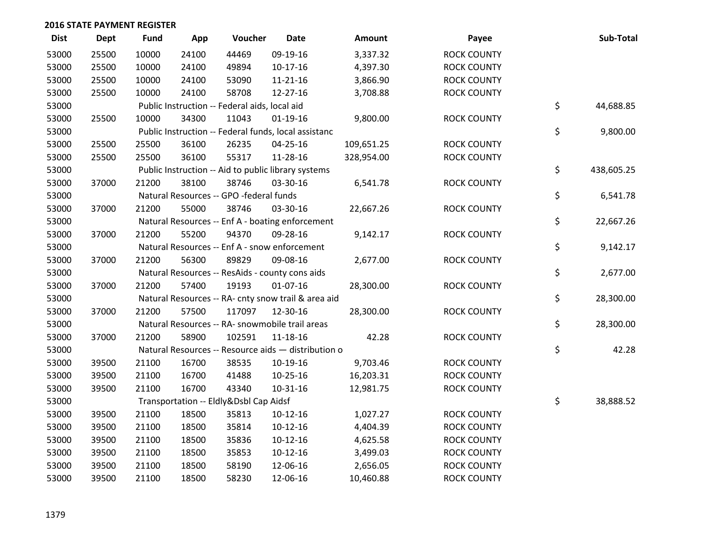| <b>Dist</b> | <b>Dept</b> | Fund  | App   | Voucher                                              | <b>Date</b>    | Amount     | Payee              | Sub-Total        |
|-------------|-------------|-------|-------|------------------------------------------------------|----------------|------------|--------------------|------------------|
| 53000       | 25500       | 10000 | 24100 | 44469                                                | 09-19-16       | 3,337.32   | <b>ROCK COUNTY</b> |                  |
| 53000       | 25500       | 10000 | 24100 | 49894                                                | $10-17-16$     | 4,397.30   | <b>ROCK COUNTY</b> |                  |
| 53000       | 25500       | 10000 | 24100 | 53090                                                | $11 - 21 - 16$ | 3,866.90   | <b>ROCK COUNTY</b> |                  |
| 53000       | 25500       | 10000 | 24100 | 58708                                                | 12-27-16       | 3,708.88   | <b>ROCK COUNTY</b> |                  |
| 53000       |             |       |       | Public Instruction -- Federal aids, local aid        |                |            |                    | \$<br>44,688.85  |
| 53000       | 25500       | 10000 | 34300 | 11043                                                | $01-19-16$     | 9,800.00   | <b>ROCK COUNTY</b> |                  |
| 53000       |             |       |       | Public Instruction -- Federal funds, local assistanc |                |            |                    | \$<br>9,800.00   |
| 53000       | 25500       | 25500 | 36100 | 26235                                                | $04 - 25 - 16$ | 109,651.25 | <b>ROCK COUNTY</b> |                  |
| 53000       | 25500       | 25500 | 36100 | 55317                                                | 11-28-16       | 328,954.00 | <b>ROCK COUNTY</b> |                  |
| 53000       |             |       |       | Public Instruction -- Aid to public library systems  |                |            |                    | \$<br>438,605.25 |
| 53000       | 37000       | 21200 | 38100 | 38746                                                | 03-30-16       | 6,541.78   | <b>ROCK COUNTY</b> |                  |
| 53000       |             |       |       | Natural Resources -- GPO -federal funds              |                |            |                    | \$<br>6,541.78   |
| 53000       | 37000       | 21200 | 55000 | 38746                                                | 03-30-16       | 22,667.26  | <b>ROCK COUNTY</b> |                  |
| 53000       |             |       |       | Natural Resources -- Enf A - boating enforcement     |                |            |                    | \$<br>22,667.26  |
| 53000       | 37000       | 21200 | 55200 | 94370                                                | 09-28-16       | 9,142.17   | <b>ROCK COUNTY</b> |                  |
| 53000       |             |       |       | Natural Resources -- Enf A - snow enforcement        |                |            |                    | \$<br>9,142.17   |
| 53000       | 37000       | 21200 | 56300 | 89829                                                | 09-08-16       | 2,677.00   | <b>ROCK COUNTY</b> |                  |
| 53000       |             |       |       | Natural Resources -- ResAids - county cons aids      |                |            |                    | \$<br>2,677.00   |
| 53000       | 37000       | 21200 | 57400 | 19193                                                | $01-07-16$     | 28,300.00  | <b>ROCK COUNTY</b> |                  |
| 53000       |             |       |       | Natural Resources -- RA- cnty snow trail & area aid  |                |            |                    | \$<br>28,300.00  |
| 53000       | 37000       | 21200 | 57500 | 117097                                               | 12-30-16       | 28,300.00  | <b>ROCK COUNTY</b> |                  |
| 53000       |             |       |       | Natural Resources -- RA- snowmobile trail areas      |                |            |                    | \$<br>28,300.00  |
| 53000       | 37000       | 21200 | 58900 | 102591                                               | 11-18-16       | 42.28      | <b>ROCK COUNTY</b> |                  |
| 53000       |             |       |       | Natural Resources -- Resource aids - distribution o  |                |            |                    | \$<br>42.28      |
| 53000       | 39500       | 21100 | 16700 | 38535                                                | 10-19-16       | 9,703.46   | <b>ROCK COUNTY</b> |                  |
| 53000       | 39500       | 21100 | 16700 | 41488                                                | $10 - 25 - 16$ | 16,203.31  | <b>ROCK COUNTY</b> |                  |
| 53000       | 39500       | 21100 | 16700 | 43340                                                | 10-31-16       | 12,981.75  | <b>ROCK COUNTY</b> |                  |
| 53000       |             |       |       | Transportation -- Eldly&Dsbl Cap Aidsf               |                |            |                    | \$<br>38,888.52  |
| 53000       | 39500       | 21100 | 18500 | 35813                                                | $10-12-16$     | 1,027.27   | <b>ROCK COUNTY</b> |                  |
| 53000       | 39500       | 21100 | 18500 | 35814                                                | $10-12-16$     | 4,404.39   | <b>ROCK COUNTY</b> |                  |
| 53000       | 39500       | 21100 | 18500 | 35836                                                | $10-12-16$     | 4,625.58   | <b>ROCK COUNTY</b> |                  |
| 53000       | 39500       | 21100 | 18500 | 35853                                                | $10-12-16$     | 3,499.03   | <b>ROCK COUNTY</b> |                  |
| 53000       | 39500       | 21100 | 18500 | 58190                                                | 12-06-16       | 2,656.05   | <b>ROCK COUNTY</b> |                  |
| 53000       | 39500       | 21100 | 18500 | 58230                                                | 12-06-16       | 10,460.88  | <b>ROCK COUNTY</b> |                  |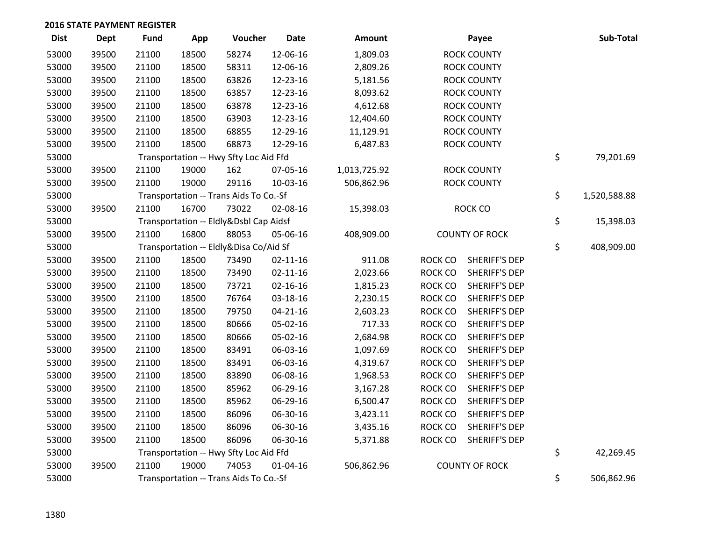| <b>Dist</b> | Dept  | Fund  | App   | Voucher                                | <b>Date</b>    | Amount       |         | Payee                 | Sub-Total          |
|-------------|-------|-------|-------|----------------------------------------|----------------|--------------|---------|-----------------------|--------------------|
| 53000       | 39500 | 21100 | 18500 | 58274                                  | 12-06-16       | 1,809.03     |         | <b>ROCK COUNTY</b>    |                    |
| 53000       | 39500 | 21100 | 18500 | 58311                                  | 12-06-16       | 2,809.26     |         | <b>ROCK COUNTY</b>    |                    |
| 53000       | 39500 | 21100 | 18500 | 63826                                  | 12-23-16       | 5,181.56     |         | <b>ROCK COUNTY</b>    |                    |
| 53000       | 39500 | 21100 | 18500 | 63857                                  | 12-23-16       | 8,093.62     |         | <b>ROCK COUNTY</b>    |                    |
| 53000       | 39500 | 21100 | 18500 | 63878                                  | 12-23-16       | 4,612.68     |         | <b>ROCK COUNTY</b>    |                    |
| 53000       | 39500 | 21100 | 18500 | 63903                                  | 12-23-16       | 12,404.60    |         | <b>ROCK COUNTY</b>    |                    |
| 53000       | 39500 | 21100 | 18500 | 68855                                  | 12-29-16       | 11,129.91    |         | <b>ROCK COUNTY</b>    |                    |
| 53000       | 39500 | 21100 | 18500 | 68873                                  | 12-29-16       | 6,487.83     |         | <b>ROCK COUNTY</b>    |                    |
| 53000       |       |       |       | Transportation -- Hwy Sfty Loc Aid Ffd |                |              |         |                       | \$<br>79,201.69    |
| 53000       | 39500 | 21100 | 19000 | 162                                    | 07-05-16       | 1,013,725.92 |         | <b>ROCK COUNTY</b>    |                    |
| 53000       | 39500 | 21100 | 19000 | 29116                                  | 10-03-16       | 506,862.96   |         | <b>ROCK COUNTY</b>    |                    |
| 53000       |       |       |       | Transportation -- Trans Aids To Co.-Sf |                |              |         |                       | \$<br>1,520,588.88 |
| 53000       | 39500 | 21100 | 16700 | 73022                                  | 02-08-16       | 15,398.03    |         | ROCK CO               |                    |
| 53000       |       |       |       | Transportation -- Eldly&Dsbl Cap Aidsf |                |              |         |                       | \$<br>15,398.03    |
| 53000       | 39500 | 21100 | 16800 | 88053                                  | 05-06-16       | 408,909.00   |         | <b>COUNTY OF ROCK</b> |                    |
| 53000       |       |       |       | Transportation -- Eldly&Disa Co/Aid Sf |                |              |         |                       | \$<br>408,909.00   |
| 53000       | 39500 | 21100 | 18500 | 73490                                  | $02 - 11 - 16$ | 911.08       | ROCK CO | SHERIFF'S DEP         |                    |
| 53000       | 39500 | 21100 | 18500 | 73490                                  | $02 - 11 - 16$ | 2,023.66     | ROCK CO | <b>SHERIFF'S DEP</b>  |                    |
| 53000       | 39500 | 21100 | 18500 | 73721                                  | $02 - 16 - 16$ | 1,815.23     | ROCK CO | <b>SHERIFF'S DEP</b>  |                    |
| 53000       | 39500 | 21100 | 18500 | 76764                                  | 03-18-16       | 2,230.15     | ROCK CO | <b>SHERIFF'S DEP</b>  |                    |
| 53000       | 39500 | 21100 | 18500 | 79750                                  | $04 - 21 - 16$ | 2,603.23     | ROCK CO | <b>SHERIFF'S DEP</b>  |                    |
| 53000       | 39500 | 21100 | 18500 | 80666                                  | 05-02-16       | 717.33       | ROCK CO | <b>SHERIFF'S DEP</b>  |                    |
| 53000       | 39500 | 21100 | 18500 | 80666                                  | 05-02-16       | 2,684.98     | ROCK CO | <b>SHERIFF'S DEP</b>  |                    |
| 53000       | 39500 | 21100 | 18500 | 83491                                  | 06-03-16       | 1,097.69     | ROCK CO | <b>SHERIFF'S DEP</b>  |                    |
| 53000       | 39500 | 21100 | 18500 | 83491                                  | 06-03-16       | 4,319.67     | ROCK CO | <b>SHERIFF'S DEP</b>  |                    |
| 53000       | 39500 | 21100 | 18500 | 83890                                  | 06-08-16       | 1,968.53     | ROCK CO | <b>SHERIFF'S DEP</b>  |                    |
| 53000       | 39500 | 21100 | 18500 | 85962                                  | 06-29-16       | 3,167.28     | ROCK CO | SHERIFF'S DEP         |                    |
| 53000       | 39500 | 21100 | 18500 | 85962                                  | 06-29-16       | 6,500.47     | ROCK CO | SHERIFF'S DEP         |                    |
| 53000       | 39500 | 21100 | 18500 | 86096                                  | 06-30-16       | 3,423.11     | ROCK CO | <b>SHERIFF'S DEP</b>  |                    |
| 53000       | 39500 | 21100 | 18500 | 86096                                  | 06-30-16       | 3,435.16     | ROCK CO | SHERIFF'S DEP         |                    |
| 53000       | 39500 | 21100 | 18500 | 86096                                  | 06-30-16       | 5,371.88     | ROCK CO | <b>SHERIFF'S DEP</b>  |                    |
| 53000       |       |       |       | Transportation -- Hwy Sfty Loc Aid Ffd |                |              |         |                       | \$<br>42,269.45    |
| 53000       | 39500 | 21100 | 19000 | 74053                                  | $01 - 04 - 16$ | 506,862.96   |         | <b>COUNTY OF ROCK</b> |                    |
| 53000       |       |       |       | Transportation -- Trans Aids To Co.-Sf |                |              |         |                       | \$<br>506,862.96   |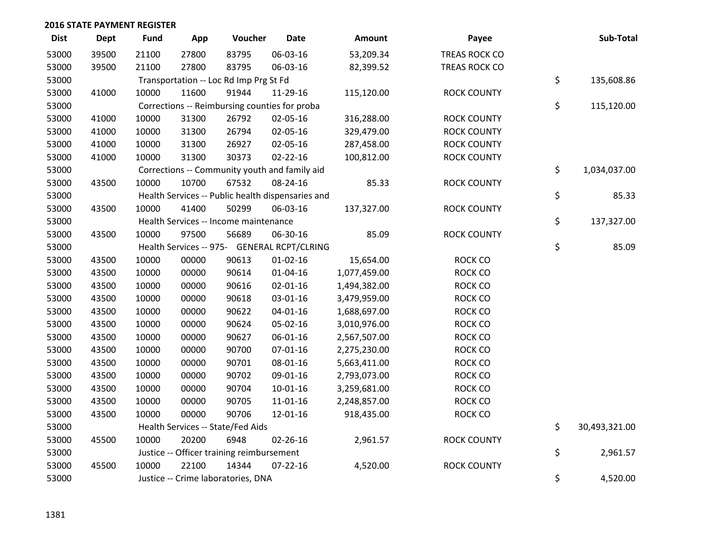| <b>Dist</b> | Dept  | <b>Fund</b> | App   | Voucher                                           | <b>Date</b>    | Amount       | Payee                | Sub-Total           |
|-------------|-------|-------------|-------|---------------------------------------------------|----------------|--------------|----------------------|---------------------|
| 53000       | 39500 | 21100       | 27800 | 83795                                             | 06-03-16       | 53,209.34    | TREAS ROCK CO        |                     |
| 53000       | 39500 | 21100       | 27800 | 83795                                             | 06-03-16       | 82,399.52    | <b>TREAS ROCK CO</b> |                     |
| 53000       |       |             |       | Transportation -- Loc Rd Imp Prg St Fd            |                |              |                      | \$<br>135,608.86    |
| 53000       | 41000 | 10000       | 11600 | 91944                                             | 11-29-16       | 115,120.00   | <b>ROCK COUNTY</b>   |                     |
| 53000       |       |             |       | Corrections -- Reimbursing counties for proba     |                |              |                      | \$<br>115,120.00    |
| 53000       | 41000 | 10000       | 31300 | 26792                                             | 02-05-16       | 316,288.00   | <b>ROCK COUNTY</b>   |                     |
| 53000       | 41000 | 10000       | 31300 | 26794                                             | 02-05-16       | 329,479.00   | <b>ROCK COUNTY</b>   |                     |
| 53000       | 41000 | 10000       | 31300 | 26927                                             | 02-05-16       | 287,458.00   | <b>ROCK COUNTY</b>   |                     |
| 53000       | 41000 | 10000       | 31300 | 30373                                             | $02 - 22 - 16$ | 100,812.00   | <b>ROCK COUNTY</b>   |                     |
| 53000       |       |             |       | Corrections -- Community youth and family aid     |                |              |                      | \$<br>1,034,037.00  |
| 53000       | 43500 | 10000       | 10700 | 67532                                             | 08-24-16       | 85.33        | <b>ROCK COUNTY</b>   |                     |
| 53000       |       |             |       | Health Services -- Public health dispensaries and |                |              |                      | \$<br>85.33         |
| 53000       | 43500 | 10000       | 41400 | 50299                                             | 06-03-16       | 137,327.00   | <b>ROCK COUNTY</b>   |                     |
| 53000       |       |             |       | Health Services -- Income maintenance             |                |              |                      | \$<br>137,327.00    |
| 53000       | 43500 | 10000       | 97500 | 56689                                             | 06-30-16       | 85.09        | <b>ROCK COUNTY</b>   |                     |
| 53000       |       |             |       | Health Services -- 975- GENERAL RCPT/CLRING       |                |              |                      | \$<br>85.09         |
| 53000       | 43500 | 10000       | 00000 | 90613                                             | $01 - 02 - 16$ | 15,654.00    | ROCK CO              |                     |
| 53000       | 43500 | 10000       | 00000 | 90614                                             | $01 - 04 - 16$ | 1,077,459.00 | ROCK CO              |                     |
| 53000       | 43500 | 10000       | 00000 | 90616                                             | $02 - 01 - 16$ | 1,494,382.00 | ROCK CO              |                     |
| 53000       | 43500 | 10000       | 00000 | 90618                                             | 03-01-16       | 3,479,959.00 | ROCK CO              |                     |
| 53000       | 43500 | 10000       | 00000 | 90622                                             | $04 - 01 - 16$ | 1,688,697.00 | ROCK CO              |                     |
| 53000       | 43500 | 10000       | 00000 | 90624                                             | 05-02-16       | 3,010,976.00 | <b>ROCK CO</b>       |                     |
| 53000       | 43500 | 10000       | 00000 | 90627                                             | 06-01-16       | 2,567,507.00 | ROCK CO              |                     |
| 53000       | 43500 | 10000       | 00000 | 90700                                             | 07-01-16       | 2,275,230.00 | ROCK CO              |                     |
| 53000       | 43500 | 10000       | 00000 | 90701                                             | 08-01-16       | 5,663,411.00 | ROCK CO              |                     |
| 53000       | 43500 | 10000       | 00000 | 90702                                             | 09-01-16       | 2,793,073.00 | ROCK CO              |                     |
| 53000       | 43500 | 10000       | 00000 | 90704                                             | 10-01-16       | 3,259,681.00 | ROCK CO              |                     |
| 53000       | 43500 | 10000       | 00000 | 90705                                             | 11-01-16       | 2,248,857.00 | ROCK CO              |                     |
| 53000       | 43500 | 10000       | 00000 | 90706                                             | 12-01-16       | 918,435.00   | ROCK CO              |                     |
| 53000       |       |             |       | Health Services -- State/Fed Aids                 |                |              |                      | \$<br>30,493,321.00 |
| 53000       | 45500 | 10000       | 20200 | 6948                                              | 02-26-16       | 2,961.57     | <b>ROCK COUNTY</b>   |                     |
| 53000       |       |             |       | Justice -- Officer training reimbursement         |                |              |                      | \$<br>2,961.57      |
| 53000       | 45500 | 10000       | 22100 | 14344                                             | $07 - 22 - 16$ | 4,520.00     | <b>ROCK COUNTY</b>   |                     |
| 53000       |       |             |       | Justice -- Crime laboratories, DNA                |                |              |                      | \$<br>4,520.00      |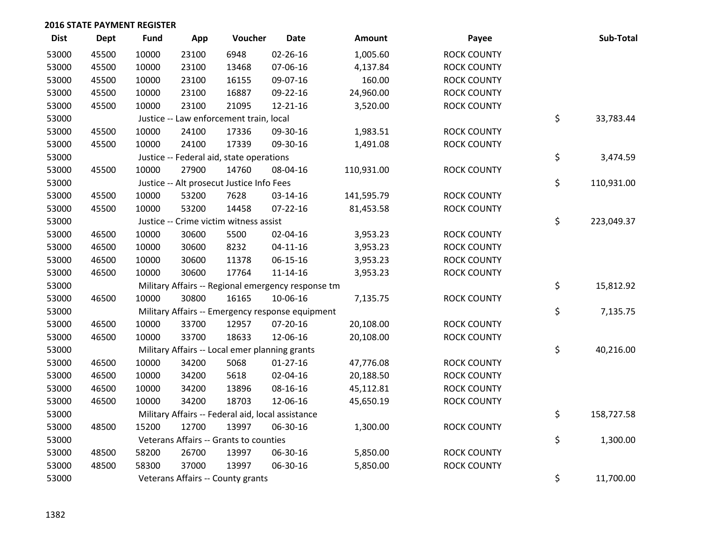| <b>Dist</b> | Dept  | Fund  | App   | Voucher                                            | <b>Date</b>    | Amount     | Payee              | Sub-Total        |
|-------------|-------|-------|-------|----------------------------------------------------|----------------|------------|--------------------|------------------|
| 53000       | 45500 | 10000 | 23100 | 6948                                               | 02-26-16       | 1,005.60   | <b>ROCK COUNTY</b> |                  |
| 53000       | 45500 | 10000 | 23100 | 13468                                              | 07-06-16       | 4,137.84   | <b>ROCK COUNTY</b> |                  |
| 53000       | 45500 | 10000 | 23100 | 16155                                              | 09-07-16       | 160.00     | <b>ROCK COUNTY</b> |                  |
| 53000       | 45500 | 10000 | 23100 | 16887                                              | 09-22-16       | 24,960.00  | <b>ROCK COUNTY</b> |                  |
| 53000       | 45500 | 10000 | 23100 | 21095                                              | 12-21-16       | 3,520.00   | <b>ROCK COUNTY</b> |                  |
| 53000       |       |       |       | Justice -- Law enforcement train, local            |                |            |                    | \$<br>33,783.44  |
| 53000       | 45500 | 10000 | 24100 | 17336                                              | 09-30-16       | 1,983.51   | <b>ROCK COUNTY</b> |                  |
| 53000       | 45500 | 10000 | 24100 | 17339                                              | 09-30-16       | 1,491.08   | <b>ROCK COUNTY</b> |                  |
| 53000       |       |       |       | Justice -- Federal aid, state operations           |                |            |                    | \$<br>3,474.59   |
| 53000       | 45500 | 10000 | 27900 | 14760                                              | 08-04-16       | 110,931.00 | <b>ROCK COUNTY</b> |                  |
| 53000       |       |       |       | Justice -- Alt prosecut Justice Info Fees          |                |            |                    | \$<br>110,931.00 |
| 53000       | 45500 | 10000 | 53200 | 7628                                               | 03-14-16       | 141,595.79 | <b>ROCK COUNTY</b> |                  |
| 53000       | 45500 | 10000 | 53200 | 14458                                              | $07 - 22 - 16$ | 81,453.58  | <b>ROCK COUNTY</b> |                  |
| 53000       |       |       |       | Justice -- Crime victim witness assist             |                |            |                    | \$<br>223,049.37 |
| 53000       | 46500 | 10000 | 30600 | 5500                                               | 02-04-16       | 3,953.23   | <b>ROCK COUNTY</b> |                  |
| 53000       | 46500 | 10000 | 30600 | 8232                                               | $04 - 11 - 16$ | 3,953.23   | <b>ROCK COUNTY</b> |                  |
| 53000       | 46500 | 10000 | 30600 | 11378                                              | 06-15-16       | 3,953.23   | <b>ROCK COUNTY</b> |                  |
| 53000       | 46500 | 10000 | 30600 | 17764                                              | $11 - 14 - 16$ | 3,953.23   | <b>ROCK COUNTY</b> |                  |
| 53000       |       |       |       | Military Affairs -- Regional emergency response tm |                |            |                    | \$<br>15,812.92  |
| 53000       | 46500 | 10000 | 30800 | 16165                                              | 10-06-16       | 7,135.75   | <b>ROCK COUNTY</b> |                  |
| 53000       |       |       |       | Military Affairs -- Emergency response equipment   |                |            |                    | \$<br>7,135.75   |
| 53000       | 46500 | 10000 | 33700 | 12957                                              | 07-20-16       | 20,108.00  | <b>ROCK COUNTY</b> |                  |
| 53000       | 46500 | 10000 | 33700 | 18633                                              | 12-06-16       | 20,108.00  | <b>ROCK COUNTY</b> |                  |
| 53000       |       |       |       | Military Affairs -- Local emer planning grants     |                |            |                    | \$<br>40,216.00  |
| 53000       | 46500 | 10000 | 34200 | 5068                                               | $01 - 27 - 16$ | 47,776.08  | <b>ROCK COUNTY</b> |                  |
| 53000       | 46500 | 10000 | 34200 | 5618                                               | 02-04-16       | 20,188.50  | <b>ROCK COUNTY</b> |                  |
| 53000       | 46500 | 10000 | 34200 | 13896                                              | 08-16-16       | 45,112.81  | <b>ROCK COUNTY</b> |                  |
| 53000       | 46500 | 10000 | 34200 | 18703                                              | 12-06-16       | 45,650.19  | <b>ROCK COUNTY</b> |                  |
| 53000       |       |       |       | Military Affairs -- Federal aid, local assistance  |                |            |                    | \$<br>158,727.58 |
| 53000       | 48500 | 15200 | 12700 | 13997                                              | 06-30-16       | 1,300.00   | <b>ROCK COUNTY</b> |                  |
| 53000       |       |       |       | Veterans Affairs -- Grants to counties             |                |            |                    | \$<br>1,300.00   |
| 53000       | 48500 | 58200 | 26700 | 13997                                              | 06-30-16       | 5,850.00   | <b>ROCK COUNTY</b> |                  |
| 53000       | 48500 | 58300 | 37000 | 13997                                              | 06-30-16       | 5,850.00   | <b>ROCK COUNTY</b> |                  |
| 53000       |       |       |       | Veterans Affairs -- County grants                  |                |            |                    | \$<br>11,700.00  |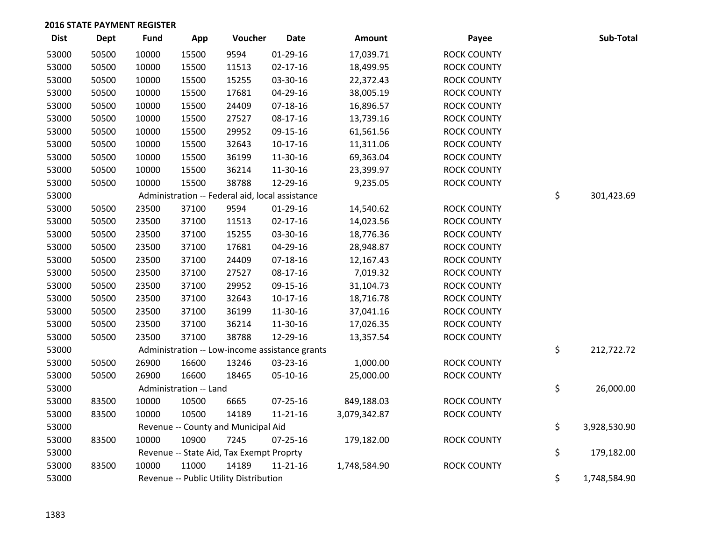| <b>Dist</b> | <b>Dept</b> | <b>Fund</b> | App                    | Voucher                                         | <b>Date</b>    | Amount       | Payee              | Sub-Total          |
|-------------|-------------|-------------|------------------------|-------------------------------------------------|----------------|--------------|--------------------|--------------------|
| 53000       | 50500       | 10000       | 15500                  | 9594                                            | $01-29-16$     | 17,039.71    | <b>ROCK COUNTY</b> |                    |
| 53000       | 50500       | 10000       | 15500                  | 11513                                           | $02 - 17 - 16$ | 18,499.95    | <b>ROCK COUNTY</b> |                    |
| 53000       | 50500       | 10000       | 15500                  | 15255                                           | 03-30-16       | 22,372.43    | <b>ROCK COUNTY</b> |                    |
| 53000       | 50500       | 10000       | 15500                  | 17681                                           | 04-29-16       | 38,005.19    | <b>ROCK COUNTY</b> |                    |
| 53000       | 50500       | 10000       | 15500                  | 24409                                           | $07 - 18 - 16$ | 16,896.57    | <b>ROCK COUNTY</b> |                    |
| 53000       | 50500       | 10000       | 15500                  | 27527                                           | 08-17-16       | 13,739.16    | <b>ROCK COUNTY</b> |                    |
| 53000       | 50500       | 10000       | 15500                  | 29952                                           | 09-15-16       | 61,561.56    | <b>ROCK COUNTY</b> |                    |
| 53000       | 50500       | 10000       | 15500                  | 32643                                           | 10-17-16       | 11,311.06    | <b>ROCK COUNTY</b> |                    |
| 53000       | 50500       | 10000       | 15500                  | 36199                                           | 11-30-16       | 69,363.04    | <b>ROCK COUNTY</b> |                    |
| 53000       | 50500       | 10000       | 15500                  | 36214                                           | 11-30-16       | 23,399.97    | <b>ROCK COUNTY</b> |                    |
| 53000       | 50500       | 10000       | 15500                  | 38788                                           | 12-29-16       | 9,235.05     | <b>ROCK COUNTY</b> |                    |
| 53000       |             |             |                        | Administration -- Federal aid, local assistance |                |              |                    | \$<br>301,423.69   |
| 53000       | 50500       | 23500       | 37100                  | 9594                                            | $01-29-16$     | 14,540.62    | <b>ROCK COUNTY</b> |                    |
| 53000       | 50500       | 23500       | 37100                  | 11513                                           | $02 - 17 - 16$ | 14,023.56    | <b>ROCK COUNTY</b> |                    |
| 53000       | 50500       | 23500       | 37100                  | 15255                                           | 03-30-16       | 18,776.36    | <b>ROCK COUNTY</b> |                    |
| 53000       | 50500       | 23500       | 37100                  | 17681                                           | 04-29-16       | 28,948.87    | <b>ROCK COUNTY</b> |                    |
| 53000       | 50500       | 23500       | 37100                  | 24409                                           | $07 - 18 - 16$ | 12,167.43    | <b>ROCK COUNTY</b> |                    |
| 53000       | 50500       | 23500       | 37100                  | 27527                                           | 08-17-16       | 7,019.32     | <b>ROCK COUNTY</b> |                    |
| 53000       | 50500       | 23500       | 37100                  | 29952                                           | 09-15-16       | 31,104.73    | <b>ROCK COUNTY</b> |                    |
| 53000       | 50500       | 23500       | 37100                  | 32643                                           | $10-17-16$     | 18,716.78    | <b>ROCK COUNTY</b> |                    |
| 53000       | 50500       | 23500       | 37100                  | 36199                                           | 11-30-16       | 37,041.16    | <b>ROCK COUNTY</b> |                    |
| 53000       | 50500       | 23500       | 37100                  | 36214                                           | 11-30-16       | 17,026.35    | <b>ROCK COUNTY</b> |                    |
| 53000       | 50500       | 23500       | 37100                  | 38788                                           | 12-29-16       | 13,357.54    | <b>ROCK COUNTY</b> |                    |
| 53000       |             |             |                        | Administration -- Low-income assistance grants  |                |              |                    | \$<br>212,722.72   |
| 53000       | 50500       | 26900       | 16600                  | 13246                                           | 03-23-16       | 1,000.00     | <b>ROCK COUNTY</b> |                    |
| 53000       | 50500       | 26900       | 16600                  | 18465                                           | 05-10-16       | 25,000.00    | <b>ROCK COUNTY</b> |                    |
| 53000       |             |             | Administration -- Land |                                                 |                |              |                    | \$<br>26,000.00    |
| 53000       | 83500       | 10000       | 10500                  | 6665                                            | 07-25-16       | 849,188.03   | <b>ROCK COUNTY</b> |                    |
| 53000       | 83500       | 10000       | 10500                  | 14189                                           | $11 - 21 - 16$ | 3,079,342.87 | <b>ROCK COUNTY</b> |                    |
| 53000       |             |             |                        | Revenue -- County and Municipal Aid             |                |              |                    | \$<br>3,928,530.90 |
| 53000       | 83500       | 10000       | 10900                  | 7245                                            | 07-25-16       | 179,182.00   | <b>ROCK COUNTY</b> |                    |
| 53000       |             |             |                        | Revenue -- State Aid, Tax Exempt Proprty        |                |              |                    | \$<br>179,182.00   |
| 53000       | 83500       | 10000       | 11000                  | 14189                                           | $11 - 21 - 16$ | 1,748,584.90 | <b>ROCK COUNTY</b> |                    |
| 53000       |             |             |                        | Revenue -- Public Utility Distribution          |                |              |                    | \$<br>1,748,584.90 |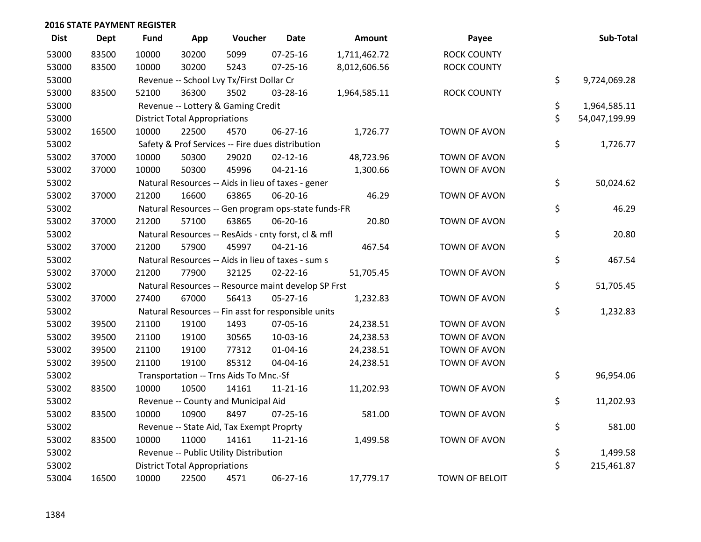| <b>Dist</b> | Dept  | <b>Fund</b> | App                                  | Voucher                                             | <b>Date</b>    | Amount       | Payee                 | Sub-Total           |
|-------------|-------|-------------|--------------------------------------|-----------------------------------------------------|----------------|--------------|-----------------------|---------------------|
| 53000       | 83500 | 10000       | 30200                                | 5099                                                | $07 - 25 - 16$ | 1,711,462.72 | <b>ROCK COUNTY</b>    |                     |
| 53000       | 83500 | 10000       | 30200                                | 5243                                                | $07 - 25 - 16$ | 8,012,606.56 | <b>ROCK COUNTY</b>    |                     |
| 53000       |       |             |                                      | Revenue -- School Lvy Tx/First Dollar Cr            |                |              |                       | \$<br>9,724,069.28  |
| 53000       | 83500 | 52100       | 36300                                | 3502                                                | 03-28-16       | 1,964,585.11 | <b>ROCK COUNTY</b>    |                     |
| 53000       |       |             |                                      | Revenue -- Lottery & Gaming Credit                  |                |              |                       | \$<br>1,964,585.11  |
| 53000       |       |             | <b>District Total Appropriations</b> |                                                     |                |              |                       | \$<br>54,047,199.99 |
| 53002       | 16500 | 10000       | 22500                                | 4570                                                | 06-27-16       | 1,726.77     | TOWN OF AVON          |                     |
| 53002       |       |             |                                      | Safety & Prof Services -- Fire dues distribution    |                |              |                       | \$<br>1,726.77      |
| 53002       | 37000 | 10000       | 50300                                | 29020                                               | $02 - 12 - 16$ | 48,723.96    | TOWN OF AVON          |                     |
| 53002       | 37000 | 10000       | 50300                                | 45996                                               | $04 - 21 - 16$ | 1,300.66     | <b>TOWN OF AVON</b>   |                     |
| 53002       |       |             |                                      | Natural Resources -- Aids in lieu of taxes - gener  |                |              |                       | \$<br>50,024.62     |
| 53002       | 37000 | 21200       | 16600                                | 63865                                               | 06-20-16       | 46.29        | TOWN OF AVON          |                     |
| 53002       |       |             |                                      | Natural Resources -- Gen program ops-state funds-FR |                |              |                       | \$<br>46.29         |
| 53002       | 37000 | 21200       | 57100                                | 63865                                               | 06-20-16       | 20.80        | <b>TOWN OF AVON</b>   |                     |
| 53002       |       |             |                                      | Natural Resources -- ResAids - cnty forst, cl & mfl |                |              |                       | \$<br>20.80         |
| 53002       | 37000 | 21200       | 57900                                | 45997                                               | $04 - 21 - 16$ | 467.54       | TOWN OF AVON          |                     |
| 53002       |       |             |                                      | Natural Resources -- Aids in lieu of taxes - sum s  |                |              |                       | \$<br>467.54        |
| 53002       | 37000 | 21200       | 77900                                | 32125                                               | 02-22-16       | 51,705.45    | <b>TOWN OF AVON</b>   |                     |
| 53002       |       |             |                                      | Natural Resources -- Resource maint develop SP Frst |                |              |                       | \$<br>51,705.45     |
| 53002       | 37000 | 27400       | 67000                                | 56413                                               | 05-27-16       | 1,232.83     | TOWN OF AVON          |                     |
| 53002       |       |             |                                      | Natural Resources -- Fin asst for responsible units |                |              |                       | \$<br>1,232.83      |
| 53002       | 39500 | 21100       | 19100                                | 1493                                                | 07-05-16       | 24,238.51    | TOWN OF AVON          |                     |
| 53002       | 39500 | 21100       | 19100                                | 30565                                               | 10-03-16       | 24,238.53    | TOWN OF AVON          |                     |
| 53002       | 39500 | 21100       | 19100                                | 77312                                               | $01 - 04 - 16$ | 24,238.51    | <b>TOWN OF AVON</b>   |                     |
| 53002       | 39500 | 21100       | 19100                                | 85312                                               | 04-04-16       | 24,238.51    | TOWN OF AVON          |                     |
| 53002       |       |             |                                      | Transportation -- Trns Aids To Mnc.-Sf              |                |              |                       | \$<br>96,954.06     |
| 53002       | 83500 | 10000       | 10500                                | 14161                                               | $11 - 21 - 16$ | 11,202.93    | TOWN OF AVON          |                     |
| 53002       |       |             |                                      | Revenue -- County and Municipal Aid                 |                |              |                       | \$<br>11,202.93     |
| 53002       | 83500 | 10000       | 10900                                | 8497                                                | $07 - 25 - 16$ | 581.00       | TOWN OF AVON          |                     |
| 53002       |       |             |                                      | Revenue -- State Aid, Tax Exempt Proprty            |                |              |                       | \$<br>581.00        |
| 53002       | 83500 | 10000       | 11000                                | 14161                                               | 11-21-16       | 1,499.58     | TOWN OF AVON          |                     |
| 53002       |       |             |                                      | Revenue -- Public Utility Distribution              |                |              |                       | \$<br>1,499.58      |
| 53002       |       |             | <b>District Total Appropriations</b> |                                                     |                |              |                       | \$<br>215,461.87    |
| 53004       | 16500 | 10000       | 22500                                | 4571                                                | 06-27-16       | 17,779.17    | <b>TOWN OF BELOIT</b> |                     |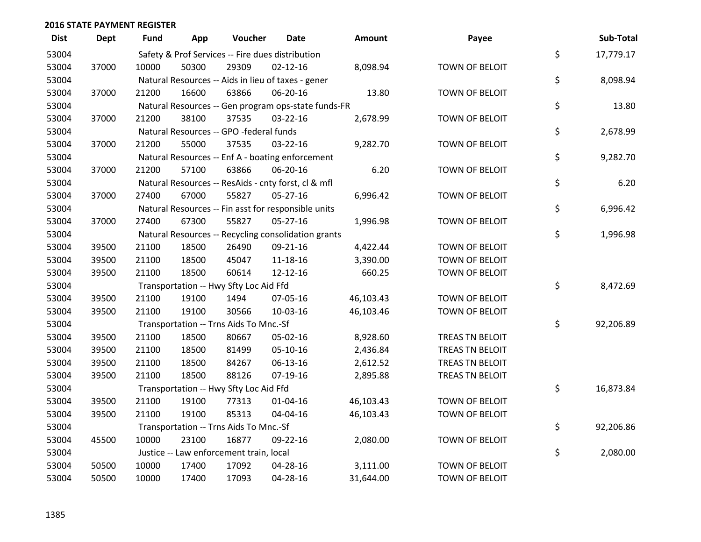| <b>Dist</b> | <b>Dept</b> | Fund  | App   | Voucher                                             | <b>Date</b>    | Amount    | Payee                 | Sub-Total       |
|-------------|-------------|-------|-------|-----------------------------------------------------|----------------|-----------|-----------------------|-----------------|
| 53004       |             |       |       | Safety & Prof Services -- Fire dues distribution    |                |           |                       | \$<br>17,779.17 |
| 53004       | 37000       | 10000 | 50300 | 29309                                               | $02 - 12 - 16$ | 8,098.94  | <b>TOWN OF BELOIT</b> |                 |
| 53004       |             |       |       | Natural Resources -- Aids in lieu of taxes - gener  |                |           |                       | \$<br>8,098.94  |
| 53004       | 37000       | 21200 | 16600 | 63866                                               | 06-20-16       | 13.80     | TOWN OF BELOIT        |                 |
| 53004       |             |       |       | Natural Resources -- Gen program ops-state funds-FR |                |           |                       | \$<br>13.80     |
| 53004       | 37000       | 21200 | 38100 | 37535                                               | 03-22-16       | 2,678.99  | TOWN OF BELOIT        |                 |
| 53004       |             |       |       | Natural Resources -- GPO -federal funds             |                |           |                       | \$<br>2,678.99  |
| 53004       | 37000       | 21200 | 55000 | 37535                                               | 03-22-16       | 9,282.70  | TOWN OF BELOIT        |                 |
| 53004       |             |       |       | Natural Resources -- Enf A - boating enforcement    |                |           |                       | \$<br>9,282.70  |
| 53004       | 37000       | 21200 | 57100 | 63866                                               | 06-20-16       | 6.20      | TOWN OF BELOIT        |                 |
| 53004       |             |       |       | Natural Resources -- ResAids - cnty forst, cl & mfl |                |           |                       | \$<br>6.20      |
| 53004       | 37000       | 27400 | 67000 | 55827                                               | 05-27-16       | 6,996.42  | <b>TOWN OF BELOIT</b> |                 |
| 53004       |             |       |       | Natural Resources -- Fin asst for responsible units |                |           |                       | \$<br>6,996.42  |
| 53004       | 37000       | 27400 | 67300 | 55827                                               | 05-27-16       | 1,996.98  | TOWN OF BELOIT        |                 |
| 53004       |             |       |       | Natural Resources -- Recycling consolidation grants |                |           |                       | \$<br>1,996.98  |
| 53004       | 39500       | 21100 | 18500 | 26490                                               | 09-21-16       | 4,422.44  | TOWN OF BELOIT        |                 |
| 53004       | 39500       | 21100 | 18500 | 45047                                               | 11-18-16       | 3,390.00  | TOWN OF BELOIT        |                 |
| 53004       | 39500       | 21100 | 18500 | 60614                                               | 12-12-16       | 660.25    | <b>TOWN OF BELOIT</b> |                 |
| 53004       |             |       |       | Transportation -- Hwy Sfty Loc Aid Ffd              |                |           |                       | \$<br>8,472.69  |
| 53004       | 39500       | 21100 | 19100 | 1494                                                | 07-05-16       | 46,103.43 | TOWN OF BELOIT        |                 |
| 53004       | 39500       | 21100 | 19100 | 30566                                               | 10-03-16       | 46,103.46 | <b>TOWN OF BELOIT</b> |                 |
| 53004       |             |       |       | Transportation -- Trns Aids To Mnc.-Sf              |                |           |                       | \$<br>92,206.89 |
| 53004       | 39500       | 21100 | 18500 | 80667                                               | 05-02-16       | 8,928.60  | TREAS TN BELOIT       |                 |
| 53004       | 39500       | 21100 | 18500 | 81499                                               | 05-10-16       | 2,436.84  | TREAS TN BELOIT       |                 |
| 53004       | 39500       | 21100 | 18500 | 84267                                               | 06-13-16       | 2,612.52  | TREAS TN BELOIT       |                 |
| 53004       | 39500       | 21100 | 18500 | 88126                                               | 07-19-16       | 2,895.88  | TREAS TN BELOIT       |                 |
| 53004       |             |       |       | Transportation -- Hwy Sfty Loc Aid Ffd              |                |           |                       | \$<br>16,873.84 |
| 53004       | 39500       | 21100 | 19100 | 77313                                               | $01 - 04 - 16$ | 46,103.43 | TOWN OF BELOIT        |                 |
| 53004       | 39500       | 21100 | 19100 | 85313                                               | 04-04-16       | 46,103.43 | <b>TOWN OF BELOIT</b> |                 |
| 53004       |             |       |       | Transportation -- Trns Aids To Mnc.-Sf              |                |           |                       | \$<br>92,206.86 |
| 53004       | 45500       | 10000 | 23100 | 16877                                               | 09-22-16       | 2,080.00  | TOWN OF BELOIT        |                 |
| 53004       |             |       |       | Justice -- Law enforcement train, local             |                |           |                       | \$<br>2,080.00  |
| 53004       | 50500       | 10000 | 17400 | 17092                                               | 04-28-16       | 3,111.00  | TOWN OF BELOIT        |                 |
| 53004       | 50500       | 10000 | 17400 | 17093                                               | 04-28-16       | 31,644.00 | <b>TOWN OF BELOIT</b> |                 |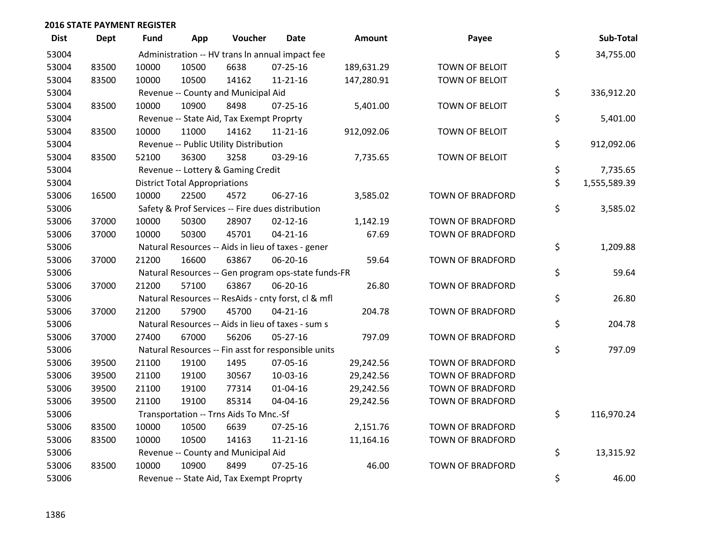| <b>Dist</b> | Dept  | Fund  | App                                  | Voucher                                          | Date                                                | <b>Amount</b> | Payee                   | Sub-Total          |
|-------------|-------|-------|--------------------------------------|--------------------------------------------------|-----------------------------------------------------|---------------|-------------------------|--------------------|
| 53004       |       |       |                                      |                                                  | Administration -- HV trans In annual impact fee     |               |                         | \$<br>34,755.00    |
| 53004       | 83500 | 10000 | 10500                                | 6638                                             | 07-25-16                                            | 189,631.29    | TOWN OF BELOIT          |                    |
| 53004       | 83500 | 10000 | 10500                                | 14162                                            | $11 - 21 - 16$                                      | 147,280.91    | TOWN OF BELOIT          |                    |
| 53004       |       |       |                                      | Revenue -- County and Municipal Aid              |                                                     |               |                         | \$<br>336,912.20   |
| 53004       | 83500 | 10000 | 10900                                | 8498                                             | $07 - 25 - 16$                                      | 5,401.00      | TOWN OF BELOIT          |                    |
| 53004       |       |       |                                      | Revenue -- State Aid, Tax Exempt Proprty         |                                                     |               |                         | \$<br>5,401.00     |
| 53004       | 83500 | 10000 | 11000                                | 14162                                            | 11-21-16                                            | 912,092.06    | TOWN OF BELOIT          |                    |
| 53004       |       |       |                                      | Revenue -- Public Utility Distribution           |                                                     |               |                         | \$<br>912,092.06   |
| 53004       | 83500 | 52100 | 36300                                | 3258                                             | 03-29-16                                            | 7,735.65      | TOWN OF BELOIT          |                    |
| 53004       |       |       |                                      | Revenue -- Lottery & Gaming Credit               |                                                     |               |                         | \$<br>7,735.65     |
| 53004       |       |       | <b>District Total Appropriations</b> |                                                  |                                                     |               |                         | \$<br>1,555,589.39 |
| 53006       | 16500 | 10000 | 22500                                | 4572                                             | $06 - 27 - 16$                                      | 3,585.02      | <b>TOWN OF BRADFORD</b> |                    |
| 53006       |       |       |                                      | Safety & Prof Services -- Fire dues distribution |                                                     |               |                         | \$<br>3,585.02     |
| 53006       | 37000 | 10000 | 50300                                | 28907                                            | $02 - 12 - 16$                                      | 1,142.19      | <b>TOWN OF BRADFORD</b> |                    |
| 53006       | 37000 | 10000 | 50300                                | 45701                                            | $04 - 21 - 16$                                      | 67.69         | <b>TOWN OF BRADFORD</b> |                    |
| 53006       |       |       |                                      |                                                  | Natural Resources -- Aids in lieu of taxes - gener  |               |                         | \$<br>1,209.88     |
| 53006       | 37000 | 21200 | 16600                                | 63867                                            | 06-20-16                                            | 59.64         | <b>TOWN OF BRADFORD</b> |                    |
| 53006       |       |       |                                      |                                                  | Natural Resources -- Gen program ops-state funds-FR |               |                         | \$<br>59.64        |
| 53006       | 37000 | 21200 | 57100                                | 63867                                            | 06-20-16                                            | 26.80         | <b>TOWN OF BRADFORD</b> |                    |
| 53006       |       |       |                                      |                                                  | Natural Resources -- ResAids - cnty forst, cl & mfl |               |                         | \$<br>26.80        |
| 53006       | 37000 | 21200 | 57900                                | 45700                                            | $04 - 21 - 16$                                      | 204.78        | TOWN OF BRADFORD        |                    |
| 53006       |       |       |                                      |                                                  | Natural Resources -- Aids in lieu of taxes - sum s  |               |                         | \$<br>204.78       |
| 53006       | 37000 | 27400 | 67000                                | 56206                                            | $05 - 27 - 16$                                      | 797.09        | <b>TOWN OF BRADFORD</b> |                    |
| 53006       |       |       |                                      |                                                  | Natural Resources -- Fin asst for responsible units |               |                         | \$<br>797.09       |
| 53006       | 39500 | 21100 | 19100                                | 1495                                             | 07-05-16                                            | 29,242.56     | TOWN OF BRADFORD        |                    |
| 53006       | 39500 | 21100 | 19100                                | 30567                                            | 10-03-16                                            | 29,242.56     | <b>TOWN OF BRADFORD</b> |                    |
| 53006       | 39500 | 21100 | 19100                                | 77314                                            | 01-04-16                                            | 29,242.56     | <b>TOWN OF BRADFORD</b> |                    |
| 53006       | 39500 | 21100 | 19100                                | 85314                                            | 04-04-16                                            | 29,242.56     | <b>TOWN OF BRADFORD</b> |                    |
| 53006       |       |       |                                      | Transportation -- Trns Aids To Mnc.-Sf           |                                                     |               |                         | \$<br>116,970.24   |
| 53006       | 83500 | 10000 | 10500                                | 6639                                             | 07-25-16                                            | 2,151.76      | <b>TOWN OF BRADFORD</b> |                    |
| 53006       | 83500 | 10000 | 10500                                | 14163                                            | $11 - 21 - 16$                                      | 11,164.16     | <b>TOWN OF BRADFORD</b> |                    |
| 53006       |       |       |                                      | Revenue -- County and Municipal Aid              |                                                     |               |                         | \$<br>13,315.92    |
| 53006       | 83500 | 10000 | 10900                                | 8499                                             | $07 - 25 - 16$                                      | 46.00         | <b>TOWN OF BRADFORD</b> |                    |
| 53006       |       |       |                                      | Revenue -- State Aid, Tax Exempt Proprty         |                                                     |               |                         | \$<br>46.00        |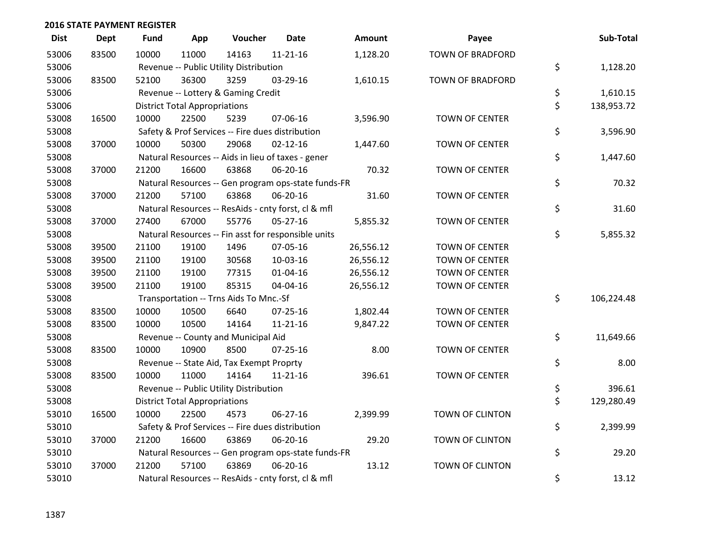| <b>Dist</b> | Dept  | <b>Fund</b> | App                                  | Voucher                                          | <b>Date</b>                                         | <b>Amount</b> | Payee                   | Sub-Total        |
|-------------|-------|-------------|--------------------------------------|--------------------------------------------------|-----------------------------------------------------|---------------|-------------------------|------------------|
| 53006       | 83500 | 10000       | 11000                                | 14163                                            | $11 - 21 - 16$                                      | 1,128.20      | <b>TOWN OF BRADFORD</b> |                  |
| 53006       |       |             |                                      | Revenue -- Public Utility Distribution           |                                                     |               |                         | \$<br>1,128.20   |
| 53006       | 83500 | 52100       | 36300                                | 3259                                             | 03-29-16                                            | 1,610.15      | TOWN OF BRADFORD        |                  |
| 53006       |       |             |                                      | Revenue -- Lottery & Gaming Credit               |                                                     |               |                         | \$<br>1,610.15   |
| 53006       |       |             | <b>District Total Appropriations</b> |                                                  |                                                     |               |                         | \$<br>138,953.72 |
| 53008       | 16500 | 10000       | 22500                                | 5239                                             | 07-06-16                                            | 3,596.90      | TOWN OF CENTER          |                  |
| 53008       |       |             |                                      | Safety & Prof Services -- Fire dues distribution |                                                     |               |                         | \$<br>3,596.90   |
| 53008       | 37000 | 10000       | 50300                                | 29068                                            | $02 - 12 - 16$                                      | 1,447.60      | <b>TOWN OF CENTER</b>   |                  |
| 53008       |       |             |                                      |                                                  | Natural Resources -- Aids in lieu of taxes - gener  |               |                         | \$<br>1,447.60   |
| 53008       | 37000 | 21200       | 16600                                | 63868                                            | 06-20-16                                            | 70.32         | <b>TOWN OF CENTER</b>   |                  |
| 53008       |       |             |                                      |                                                  | Natural Resources -- Gen program ops-state funds-FR |               |                         | \$<br>70.32      |
| 53008       | 37000 | 21200       | 57100                                | 63868                                            | 06-20-16                                            | 31.60         | <b>TOWN OF CENTER</b>   |                  |
| 53008       |       |             |                                      |                                                  | Natural Resources -- ResAids - cnty forst, cl & mfl |               |                         | \$<br>31.60      |
| 53008       | 37000 | 27400       | 67000                                | 55776                                            | 05-27-16                                            | 5,855.32      | <b>TOWN OF CENTER</b>   |                  |
| 53008       |       |             |                                      |                                                  | Natural Resources -- Fin asst for responsible units |               |                         | \$<br>5,855.32   |
| 53008       | 39500 | 21100       | 19100                                | 1496                                             | 07-05-16                                            | 26,556.12     | <b>TOWN OF CENTER</b>   |                  |
| 53008       | 39500 | 21100       | 19100                                | 30568                                            | 10-03-16                                            | 26,556.12     | <b>TOWN OF CENTER</b>   |                  |
| 53008       | 39500 | 21100       | 19100                                | 77315                                            | $01 - 04 - 16$                                      | 26,556.12     | <b>TOWN OF CENTER</b>   |                  |
| 53008       | 39500 | 21100       | 19100                                | 85315                                            | 04-04-16                                            | 26,556.12     | <b>TOWN OF CENTER</b>   |                  |
| 53008       |       |             |                                      | Transportation -- Trns Aids To Mnc.-Sf           |                                                     |               |                         | \$<br>106,224.48 |
| 53008       | 83500 | 10000       | 10500                                | 6640                                             | 07-25-16                                            | 1,802.44      | <b>TOWN OF CENTER</b>   |                  |
| 53008       | 83500 | 10000       | 10500                                | 14164                                            | $11 - 21 - 16$                                      | 9,847.22      | <b>TOWN OF CENTER</b>   |                  |
| 53008       |       |             |                                      | Revenue -- County and Municipal Aid              |                                                     |               |                         | \$<br>11,649.66  |
| 53008       | 83500 | 10000       | 10900                                | 8500                                             | $07 - 25 - 16$                                      | 8.00          | <b>TOWN OF CENTER</b>   |                  |
| 53008       |       |             |                                      | Revenue -- State Aid, Tax Exempt Proprty         |                                                     |               |                         | \$<br>8.00       |
| 53008       | 83500 | 10000       | 11000                                | 14164                                            | $11 - 21 - 16$                                      | 396.61        | <b>TOWN OF CENTER</b>   |                  |
| 53008       |       |             |                                      | Revenue -- Public Utility Distribution           |                                                     |               |                         | \$<br>396.61     |
| 53008       |       |             | <b>District Total Appropriations</b> |                                                  |                                                     |               |                         | \$<br>129,280.49 |
| 53010       | 16500 | 10000       | 22500                                | 4573                                             | 06-27-16                                            | 2,399.99      | TOWN OF CLINTON         |                  |
| 53010       |       |             |                                      | Safety & Prof Services -- Fire dues distribution |                                                     |               |                         | \$<br>2,399.99   |
| 53010       | 37000 | 21200       | 16600                                | 63869                                            | 06-20-16                                            | 29.20         | TOWN OF CLINTON         |                  |
| 53010       |       |             |                                      |                                                  | Natural Resources -- Gen program ops-state funds-FR |               |                         | \$<br>29.20      |
| 53010       | 37000 | 21200       | 57100                                | 63869                                            | 06-20-16                                            | 13.12         | <b>TOWN OF CLINTON</b>  |                  |
| 53010       |       |             |                                      |                                                  | Natural Resources -- ResAids - cnty forst, cl & mfl |               |                         | \$<br>13.12      |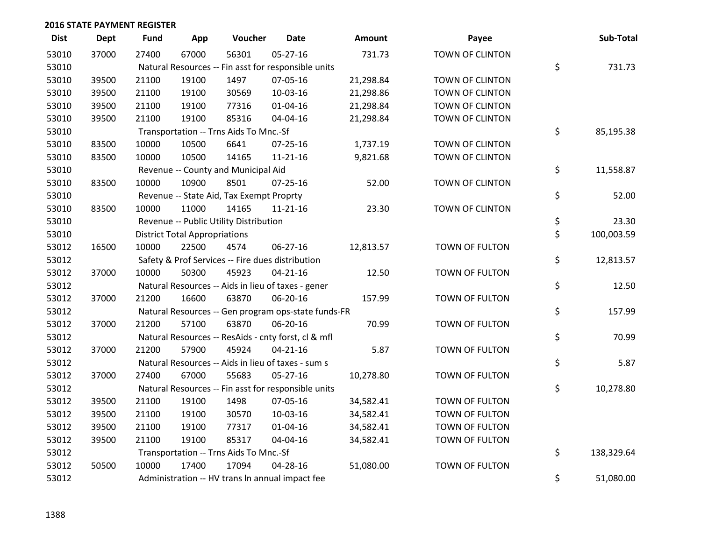| <b>Dist</b> | <b>Dept</b> | <b>Fund</b> | App                                  | Voucher                                             | <b>Date</b>    | <b>Amount</b> | Payee                  | Sub-Total        |
|-------------|-------------|-------------|--------------------------------------|-----------------------------------------------------|----------------|---------------|------------------------|------------------|
| 53010       | 37000       | 27400       | 67000                                | 56301                                               | $05 - 27 - 16$ | 731.73        | <b>TOWN OF CLINTON</b> |                  |
| 53010       |             |             |                                      | Natural Resources -- Fin asst for responsible units |                |               |                        | \$<br>731.73     |
| 53010       | 39500       | 21100       | 19100                                | 1497                                                | 07-05-16       | 21,298.84     | TOWN OF CLINTON        |                  |
| 53010       | 39500       | 21100       | 19100                                | 30569                                               | 10-03-16       | 21,298.86     | TOWN OF CLINTON        |                  |
| 53010       | 39500       | 21100       | 19100                                | 77316                                               | $01 - 04 - 16$ | 21,298.84     | TOWN OF CLINTON        |                  |
| 53010       | 39500       | 21100       | 19100                                | 85316                                               | 04-04-16       | 21,298.84     | TOWN OF CLINTON        |                  |
| 53010       |             |             |                                      | Transportation -- Trns Aids To Mnc.-Sf              |                |               |                        | \$<br>85,195.38  |
| 53010       | 83500       | 10000       | 10500                                | 6641                                                | $07 - 25 - 16$ | 1,737.19      | TOWN OF CLINTON        |                  |
| 53010       | 83500       | 10000       | 10500                                | 14165                                               | 11-21-16       | 9,821.68      | TOWN OF CLINTON        |                  |
| 53010       |             |             |                                      | Revenue -- County and Municipal Aid                 |                |               |                        | \$<br>11,558.87  |
| 53010       | 83500       | 10000       | 10900                                | 8501                                                | $07 - 25 - 16$ | 52.00         | TOWN OF CLINTON        |                  |
| 53010       |             |             |                                      | Revenue -- State Aid, Tax Exempt Proprty            |                |               |                        | \$<br>52.00      |
| 53010       | 83500       | 10000       | 11000                                | 14165                                               | 11-21-16       | 23.30         | TOWN OF CLINTON        |                  |
| 53010       |             |             |                                      | Revenue -- Public Utility Distribution              |                |               |                        | \$<br>23.30      |
| 53010       |             |             | <b>District Total Appropriations</b> |                                                     |                |               |                        | \$<br>100,003.59 |
| 53012       | 16500       | 10000       | 22500                                | 4574                                                | $06 - 27 - 16$ | 12,813.57     | TOWN OF FULTON         |                  |
| 53012       |             |             |                                      | Safety & Prof Services -- Fire dues distribution    |                |               |                        | \$<br>12,813.57  |
| 53012       | 37000       | 10000       | 50300                                | 45923                                               | $04 - 21 - 16$ | 12.50         | TOWN OF FULTON         |                  |
| 53012       |             |             |                                      | Natural Resources -- Aids in lieu of taxes - gener  |                |               |                        | \$<br>12.50      |
| 53012       | 37000       | 21200       | 16600                                | 63870                                               | 06-20-16       | 157.99        | TOWN OF FULTON         |                  |
| 53012       |             |             |                                      | Natural Resources -- Gen program ops-state funds-FR |                |               |                        | \$<br>157.99     |
| 53012       | 37000       | 21200       | 57100                                | 63870                                               | 06-20-16       | 70.99         | TOWN OF FULTON         |                  |
| 53012       |             |             |                                      | Natural Resources -- ResAids - cnty forst, cl & mfl |                |               |                        | \$<br>70.99      |
| 53012       | 37000       | 21200       | 57900                                | 45924                                               | $04 - 21 - 16$ | 5.87          | TOWN OF FULTON         |                  |
| 53012       |             |             |                                      | Natural Resources -- Aids in lieu of taxes - sum s  |                |               |                        | \$<br>5.87       |
| 53012       | 37000       | 27400       | 67000                                | 55683                                               | 05-27-16       | 10,278.80     | TOWN OF FULTON         |                  |
| 53012       |             |             |                                      | Natural Resources -- Fin asst for responsible units |                |               |                        | \$<br>10,278.80  |
| 53012       | 39500       | 21100       | 19100                                | 1498                                                | 07-05-16       | 34,582.41     | TOWN OF FULTON         |                  |
| 53012       | 39500       | 21100       | 19100                                | 30570                                               | 10-03-16       | 34,582.41     | <b>TOWN OF FULTON</b>  |                  |
| 53012       | 39500       | 21100       | 19100                                | 77317                                               | $01 - 04 - 16$ | 34,582.41     | TOWN OF FULTON         |                  |
| 53012       | 39500       | 21100       | 19100                                | 85317                                               | 04-04-16       | 34,582.41     | TOWN OF FULTON         |                  |
| 53012       |             |             |                                      | Transportation -- Trns Aids To Mnc.-Sf              |                |               |                        | \$<br>138,329.64 |
| 53012       | 50500       | 10000       | 17400                                | 17094                                               | 04-28-16       | 51,080.00     | TOWN OF FULTON         |                  |
| 53012       |             |             |                                      | Administration -- HV trans In annual impact fee     |                |               |                        | \$<br>51,080.00  |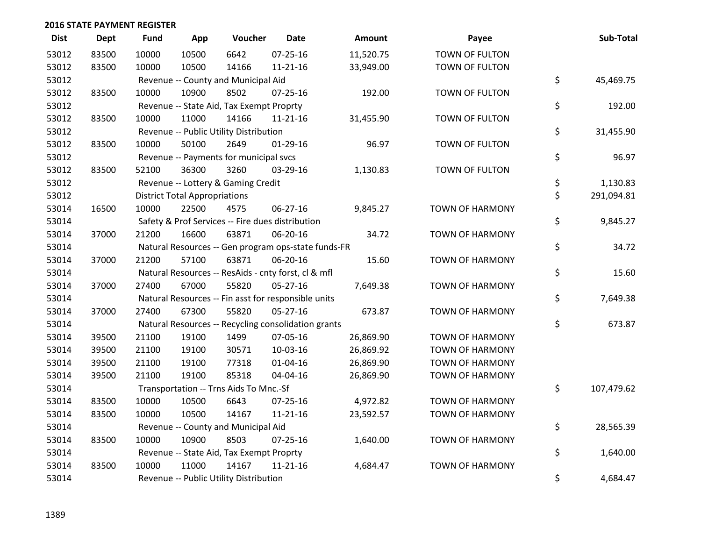| <b>Dist</b> | <b>Dept</b> | <b>Fund</b> | App                                  | Voucher                                  | Date                                                | <b>Amount</b> | Payee                  | Sub-Total        |
|-------------|-------------|-------------|--------------------------------------|------------------------------------------|-----------------------------------------------------|---------------|------------------------|------------------|
| 53012       | 83500       | 10000       | 10500                                | 6642                                     | $07 - 25 - 16$                                      | 11,520.75     | TOWN OF FULTON         |                  |
| 53012       | 83500       | 10000       | 10500                                | 14166                                    | 11-21-16                                            | 33,949.00     | TOWN OF FULTON         |                  |
| 53012       |             |             |                                      | Revenue -- County and Municipal Aid      |                                                     |               |                        | \$<br>45,469.75  |
| 53012       | 83500       | 10000       | 10900                                | 8502                                     | $07 - 25 - 16$                                      | 192.00        | TOWN OF FULTON         |                  |
| 53012       |             |             |                                      | Revenue -- State Aid, Tax Exempt Proprty |                                                     |               |                        | \$<br>192.00     |
| 53012       | 83500       | 10000       | 11000                                | 14166                                    | $11 - 21 - 16$                                      | 31,455.90     | TOWN OF FULTON         |                  |
| 53012       |             |             |                                      | Revenue -- Public Utility Distribution   |                                                     |               |                        | \$<br>31,455.90  |
| 53012       | 83500       | 10000       | 50100                                | 2649                                     | $01-29-16$                                          | 96.97         | TOWN OF FULTON         |                  |
| 53012       |             |             |                                      | Revenue -- Payments for municipal svcs   |                                                     |               |                        | \$<br>96.97      |
| 53012       | 83500       | 52100       | 36300                                | 3260                                     | 03-29-16                                            | 1,130.83      | TOWN OF FULTON         |                  |
| 53012       |             |             |                                      | Revenue -- Lottery & Gaming Credit       |                                                     |               |                        | \$<br>1,130.83   |
| 53012       |             |             | <b>District Total Appropriations</b> |                                          |                                                     |               |                        | \$<br>291,094.81 |
| 53014       | 16500       | 10000       | 22500                                | 4575                                     | 06-27-16                                            | 9,845.27      | <b>TOWN OF HARMONY</b> |                  |
| 53014       |             |             |                                      |                                          | Safety & Prof Services -- Fire dues distribution    |               |                        | \$<br>9,845.27   |
| 53014       | 37000       | 21200       | 16600                                | 63871                                    | 06-20-16                                            | 34.72         | <b>TOWN OF HARMONY</b> |                  |
| 53014       |             |             |                                      |                                          | Natural Resources -- Gen program ops-state funds-FR |               |                        | \$<br>34.72      |
| 53014       | 37000       | 21200       | 57100                                | 63871                                    | 06-20-16                                            | 15.60         | <b>TOWN OF HARMONY</b> |                  |
| 53014       |             |             |                                      |                                          | Natural Resources -- ResAids - cnty forst, cl & mfl |               |                        | \$<br>15.60      |
| 53014       | 37000       | 27400       | 67000                                | 55820                                    | 05-27-16                                            | 7,649.38      | <b>TOWN OF HARMONY</b> |                  |
| 53014       |             |             |                                      |                                          | Natural Resources -- Fin asst for responsible units |               |                        | \$<br>7,649.38   |
| 53014       | 37000       | 27400       | 67300                                | 55820                                    | $05 - 27 - 16$                                      | 673.87        | <b>TOWN OF HARMONY</b> |                  |
| 53014       |             |             |                                      |                                          | Natural Resources -- Recycling consolidation grants |               |                        | \$<br>673.87     |
| 53014       | 39500       | 21100       | 19100                                | 1499                                     | 07-05-16                                            | 26,869.90     | <b>TOWN OF HARMONY</b> |                  |
| 53014       | 39500       | 21100       | 19100                                | 30571                                    | 10-03-16                                            | 26,869.92     | <b>TOWN OF HARMONY</b> |                  |
| 53014       | 39500       | 21100       | 19100                                | 77318                                    | $01 - 04 - 16$                                      | 26,869.90     | <b>TOWN OF HARMONY</b> |                  |
| 53014       | 39500       | 21100       | 19100                                | 85318                                    | 04-04-16                                            | 26,869.90     | <b>TOWN OF HARMONY</b> |                  |
| 53014       |             |             |                                      | Transportation -- Trns Aids To Mnc.-Sf   |                                                     |               |                        | \$<br>107,479.62 |
| 53014       | 83500       | 10000       | 10500                                | 6643                                     | 07-25-16                                            | 4,972.82      | <b>TOWN OF HARMONY</b> |                  |
| 53014       | 83500       | 10000       | 10500                                | 14167                                    | $11 - 21 - 16$                                      | 23,592.57     | <b>TOWN OF HARMONY</b> |                  |
| 53014       |             |             |                                      | Revenue -- County and Municipal Aid      |                                                     |               |                        | \$<br>28,565.39  |
| 53014       | 83500       | 10000       | 10900                                | 8503                                     | $07 - 25 - 16$                                      | 1,640.00      | <b>TOWN OF HARMONY</b> |                  |
| 53014       |             |             |                                      | Revenue -- State Aid, Tax Exempt Proprty |                                                     |               |                        | \$<br>1,640.00   |
| 53014       | 83500       | 10000       | 11000                                | 14167                                    | $11 - 21 - 16$                                      | 4,684.47      | <b>TOWN OF HARMONY</b> |                  |
| 53014       |             |             |                                      | Revenue -- Public Utility Distribution   |                                                     |               |                        | \$<br>4,684.47   |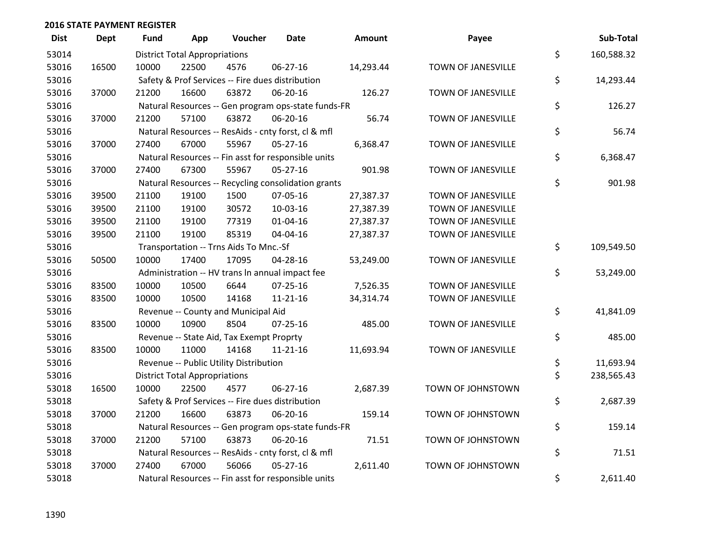| <b>Dist</b> | <b>Dept</b> | <b>Fund</b> | App                                  | Voucher                                             | Date           | <b>Amount</b> | Payee              | Sub-Total        |
|-------------|-------------|-------------|--------------------------------------|-----------------------------------------------------|----------------|---------------|--------------------|------------------|
| 53014       |             |             | <b>District Total Appropriations</b> |                                                     |                |               |                    | \$<br>160,588.32 |
| 53016       | 16500       | 10000       | 22500                                | 4576                                                | 06-27-16       | 14,293.44     | TOWN OF JANESVILLE |                  |
| 53016       |             |             |                                      | Safety & Prof Services -- Fire dues distribution    |                |               |                    | \$<br>14,293.44  |
| 53016       | 37000       | 21200       | 16600                                | 63872                                               | 06-20-16       | 126.27        | TOWN OF JANESVILLE |                  |
| 53016       |             |             |                                      | Natural Resources -- Gen program ops-state funds-FR |                |               |                    | \$<br>126.27     |
| 53016       | 37000       | 21200       | 57100                                | 63872                                               | 06-20-16       | 56.74         | TOWN OF JANESVILLE |                  |
| 53016       |             |             |                                      | Natural Resources -- ResAids - cnty forst, cl & mfl |                |               |                    | \$<br>56.74      |
| 53016       | 37000       | 27400       | 67000                                | 55967                                               | $05 - 27 - 16$ | 6,368.47      | TOWN OF JANESVILLE |                  |
| 53016       |             |             |                                      | Natural Resources -- Fin asst for responsible units |                |               |                    | \$<br>6,368.47   |
| 53016       | 37000       | 27400       | 67300                                | 55967                                               | 05-27-16       | 901.98        | TOWN OF JANESVILLE |                  |
| 53016       |             |             |                                      | Natural Resources -- Recycling consolidation grants |                |               |                    | \$<br>901.98     |
| 53016       | 39500       | 21100       | 19100                                | 1500                                                | 07-05-16       | 27,387.37     | TOWN OF JANESVILLE |                  |
| 53016       | 39500       | 21100       | 19100                                | 30572                                               | 10-03-16       | 27,387.39     | TOWN OF JANESVILLE |                  |
| 53016       | 39500       | 21100       | 19100                                | 77319                                               | 01-04-16       | 27,387.37     | TOWN OF JANESVILLE |                  |
| 53016       | 39500       | 21100       | 19100                                | 85319                                               | 04-04-16       | 27,387.37     | TOWN OF JANESVILLE |                  |
| 53016       |             |             |                                      | Transportation -- Trns Aids To Mnc.-Sf              |                |               |                    | \$<br>109,549.50 |
| 53016       | 50500       | 10000       | 17400                                | 17095                                               | 04-28-16       | 53,249.00     | TOWN OF JANESVILLE |                  |
| 53016       |             |             |                                      | Administration -- HV trans In annual impact fee     |                |               |                    | \$<br>53,249.00  |
| 53016       | 83500       | 10000       | 10500                                | 6644                                                | $07 - 25 - 16$ | 7,526.35      | TOWN OF JANESVILLE |                  |
| 53016       | 83500       | 10000       | 10500                                | 14168                                               | $11 - 21 - 16$ | 34,314.74     | TOWN OF JANESVILLE |                  |
| 53016       |             |             |                                      | Revenue -- County and Municipal Aid                 |                |               |                    | \$<br>41,841.09  |
| 53016       | 83500       | 10000       | 10900                                | 8504                                                | $07 - 25 - 16$ | 485.00        | TOWN OF JANESVILLE |                  |
| 53016       |             |             |                                      | Revenue -- State Aid, Tax Exempt Proprty            |                |               |                    | \$<br>485.00     |
| 53016       | 83500       | 10000       | 11000                                | 14168                                               | $11 - 21 - 16$ | 11,693.94     | TOWN OF JANESVILLE |                  |
| 53016       |             |             |                                      | Revenue -- Public Utility Distribution              |                |               |                    | \$<br>11,693.94  |
| 53016       |             |             | <b>District Total Appropriations</b> |                                                     |                |               |                    | \$<br>238,565.43 |
| 53018       | 16500       | 10000       | 22500                                | 4577                                                | 06-27-16       | 2,687.39      | TOWN OF JOHNSTOWN  |                  |
| 53018       |             |             |                                      | Safety & Prof Services -- Fire dues distribution    |                |               |                    | \$<br>2,687.39   |
| 53018       | 37000       | 21200       | 16600                                | 63873                                               | 06-20-16       | 159.14        | TOWN OF JOHNSTOWN  |                  |
| 53018       |             |             |                                      | Natural Resources -- Gen program ops-state funds-FR |                |               |                    | \$<br>159.14     |
| 53018       | 37000       | 21200       | 57100                                | 63873                                               | 06-20-16       | 71.51         | TOWN OF JOHNSTOWN  |                  |
| 53018       |             |             |                                      | Natural Resources -- ResAids - cnty forst, cl & mfl |                |               |                    | \$<br>71.51      |
| 53018       | 37000       | 27400       | 67000                                | 56066                                               | $05 - 27 - 16$ | 2,611.40      | TOWN OF JOHNSTOWN  |                  |
| 53018       |             |             |                                      | Natural Resources -- Fin asst for responsible units |                |               |                    | \$<br>2,611.40   |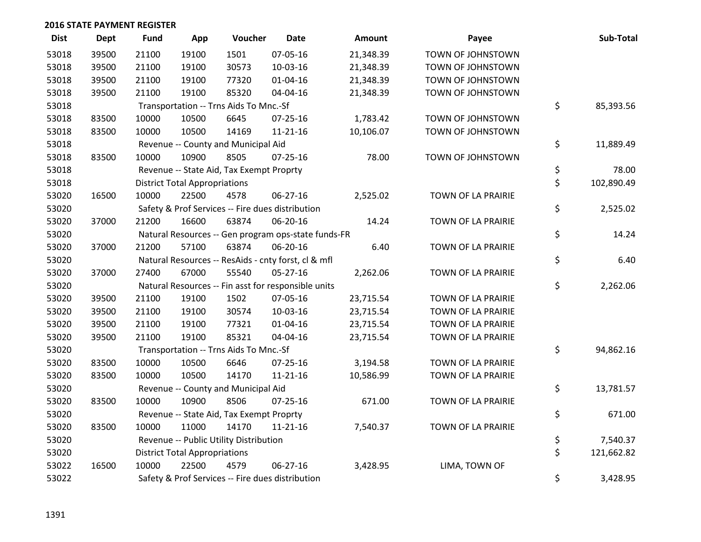| <b>Dist</b> | <b>Dept</b> | <b>Fund</b> | App                                  | Voucher                                          | <b>Date</b>                                         | Amount    | Payee              | Sub-Total        |
|-------------|-------------|-------------|--------------------------------------|--------------------------------------------------|-----------------------------------------------------|-----------|--------------------|------------------|
| 53018       | 39500       | 21100       | 19100                                | 1501                                             | 07-05-16                                            | 21,348.39 | TOWN OF JOHNSTOWN  |                  |
| 53018       | 39500       | 21100       | 19100                                | 30573                                            | 10-03-16                                            | 21,348.39 | TOWN OF JOHNSTOWN  |                  |
| 53018       | 39500       | 21100       | 19100                                | 77320                                            | $01 - 04 - 16$                                      | 21,348.39 | TOWN OF JOHNSTOWN  |                  |
| 53018       | 39500       | 21100       | 19100                                | 85320                                            | 04-04-16                                            | 21,348.39 | TOWN OF JOHNSTOWN  |                  |
| 53018       |             |             |                                      | Transportation -- Trns Aids To Mnc.-Sf           |                                                     |           |                    | \$<br>85,393.56  |
| 53018       | 83500       | 10000       | 10500                                | 6645                                             | $07 - 25 - 16$                                      | 1,783.42  | TOWN OF JOHNSTOWN  |                  |
| 53018       | 83500       | 10000       | 10500                                | 14169                                            | $11 - 21 - 16$                                      | 10,106.07 | TOWN OF JOHNSTOWN  |                  |
| 53018       |             |             |                                      | Revenue -- County and Municipal Aid              |                                                     |           |                    | \$<br>11,889.49  |
| 53018       | 83500       | 10000       | 10900                                | 8505                                             | 07-25-16                                            | 78.00     | TOWN OF JOHNSTOWN  |                  |
| 53018       |             |             |                                      | Revenue -- State Aid, Tax Exempt Proprty         |                                                     |           |                    | \$<br>78.00      |
| 53018       |             |             | <b>District Total Appropriations</b> |                                                  |                                                     |           |                    | \$<br>102,890.49 |
| 53020       | 16500       | 10000       | 22500                                | 4578                                             | 06-27-16                                            | 2,525.02  | TOWN OF LA PRAIRIE |                  |
| 53020       |             |             |                                      | Safety & Prof Services -- Fire dues distribution |                                                     |           |                    | \$<br>2,525.02   |
| 53020       | 37000       | 21200       | 16600                                | 63874                                            | 06-20-16                                            | 14.24     | TOWN OF LA PRAIRIE |                  |
| 53020       |             |             |                                      |                                                  | Natural Resources -- Gen program ops-state funds-FR |           |                    | \$<br>14.24      |
| 53020       | 37000       | 21200       | 57100                                | 63874                                            | 06-20-16                                            | 6.40      | TOWN OF LA PRAIRIE |                  |
| 53020       |             |             |                                      |                                                  | Natural Resources -- ResAids - cnty forst, cl & mfl |           |                    | \$<br>6.40       |
| 53020       | 37000       | 27400       | 67000                                | 55540                                            | $05 - 27 - 16$                                      | 2,262.06  | TOWN OF LA PRAIRIE |                  |
| 53020       |             |             |                                      |                                                  | Natural Resources -- Fin asst for responsible units |           |                    | \$<br>2,262.06   |
| 53020       | 39500       | 21100       | 19100                                | 1502                                             | 07-05-16                                            | 23,715.54 | TOWN OF LA PRAIRIE |                  |
| 53020       | 39500       | 21100       | 19100                                | 30574                                            | 10-03-16                                            | 23,715.54 | TOWN OF LA PRAIRIE |                  |
| 53020       | 39500       | 21100       | 19100                                | 77321                                            | $01 - 04 - 16$                                      | 23,715.54 | TOWN OF LA PRAIRIE |                  |
| 53020       | 39500       | 21100       | 19100                                | 85321                                            | 04-04-16                                            | 23,715.54 | TOWN OF LA PRAIRIE |                  |
| 53020       |             |             |                                      | Transportation -- Trns Aids To Mnc.-Sf           |                                                     |           |                    | \$<br>94,862.16  |
| 53020       | 83500       | 10000       | 10500                                | 6646                                             | $07 - 25 - 16$                                      | 3,194.58  | TOWN OF LA PRAIRIE |                  |
| 53020       | 83500       | 10000       | 10500                                | 14170                                            | $11 - 21 - 16$                                      | 10,586.99 | TOWN OF LA PRAIRIE |                  |
| 53020       |             |             |                                      | Revenue -- County and Municipal Aid              |                                                     |           |                    | \$<br>13,781.57  |
| 53020       | 83500       | 10000       | 10900                                | 8506                                             | 07-25-16                                            | 671.00    | TOWN OF LA PRAIRIE |                  |
| 53020       |             |             |                                      | Revenue -- State Aid, Tax Exempt Proprty         |                                                     |           |                    | \$<br>671.00     |
| 53020       | 83500       | 10000       | 11000                                | 14170                                            | $11 - 21 - 16$                                      | 7,540.37  | TOWN OF LA PRAIRIE |                  |
| 53020       |             |             |                                      | Revenue -- Public Utility Distribution           |                                                     |           |                    | \$<br>7,540.37   |
| 53020       |             |             | <b>District Total Appropriations</b> |                                                  |                                                     |           |                    | \$<br>121,662.82 |
| 53022       | 16500       | 10000       | 22500                                | 4579                                             | 06-27-16                                            | 3,428.95  | LIMA, TOWN OF      |                  |
| 53022       |             |             |                                      | Safety & Prof Services -- Fire dues distribution |                                                     |           |                    | \$<br>3,428.95   |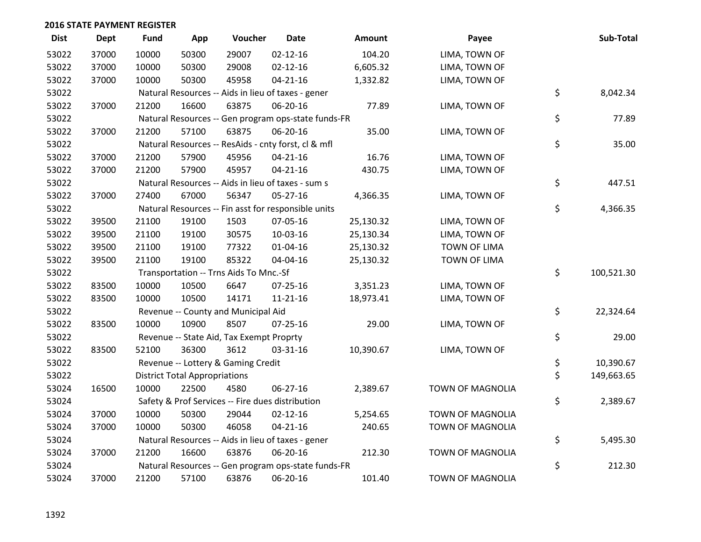| <b>Dist</b> | <b>Dept</b> | <b>Fund</b> | App                                  | Voucher                                             | Date           | <b>Amount</b> | Payee                   | Sub-Total        |
|-------------|-------------|-------------|--------------------------------------|-----------------------------------------------------|----------------|---------------|-------------------------|------------------|
| 53022       | 37000       | 10000       | 50300                                | 29007                                               | $02 - 12 - 16$ | 104.20        | LIMA, TOWN OF           |                  |
| 53022       | 37000       | 10000       | 50300                                | 29008                                               | $02 - 12 - 16$ | 6,605.32      | LIMA, TOWN OF           |                  |
| 53022       | 37000       | 10000       | 50300                                | 45958                                               | $04 - 21 - 16$ | 1,332.82      | LIMA, TOWN OF           |                  |
| 53022       |             |             |                                      | Natural Resources -- Aids in lieu of taxes - gener  |                |               |                         | \$<br>8,042.34   |
| 53022       | 37000       | 21200       | 16600                                | 63875                                               | 06-20-16       | 77.89         | LIMA, TOWN OF           |                  |
| 53022       |             |             |                                      | Natural Resources -- Gen program ops-state funds-FR |                |               |                         | \$<br>77.89      |
| 53022       | 37000       | 21200       | 57100                                | 63875                                               | 06-20-16       | 35.00         | LIMA, TOWN OF           |                  |
| 53022       |             |             |                                      | Natural Resources -- ResAids - cnty forst, cl & mfl |                |               |                         | \$<br>35.00      |
| 53022       | 37000       | 21200       | 57900                                | 45956                                               | $04 - 21 - 16$ | 16.76         | LIMA, TOWN OF           |                  |
| 53022       | 37000       | 21200       | 57900                                | 45957                                               | $04 - 21 - 16$ | 430.75        | LIMA, TOWN OF           |                  |
| 53022       |             |             |                                      | Natural Resources -- Aids in lieu of taxes - sum s  |                |               |                         | \$<br>447.51     |
| 53022       | 37000       | 27400       | 67000                                | 56347                                               | $05 - 27 - 16$ | 4,366.35      | LIMA, TOWN OF           |                  |
| 53022       |             |             |                                      | Natural Resources -- Fin asst for responsible units |                |               |                         | \$<br>4,366.35   |
| 53022       | 39500       | 21100       | 19100                                | 1503                                                | 07-05-16       | 25,130.32     | LIMA, TOWN OF           |                  |
| 53022       | 39500       | 21100       | 19100                                | 30575                                               | 10-03-16       | 25,130.34     | LIMA, TOWN OF           |                  |
| 53022       | 39500       | 21100       | 19100                                | 77322                                               | 01-04-16       | 25,130.32     | <b>TOWN OF LIMA</b>     |                  |
| 53022       | 39500       | 21100       | 19100                                | 85322                                               | 04-04-16       | 25,130.32     | <b>TOWN OF LIMA</b>     |                  |
| 53022       |             |             |                                      | Transportation -- Trns Aids To Mnc.-Sf              |                |               |                         | \$<br>100,521.30 |
| 53022       | 83500       | 10000       | 10500                                | 6647                                                | 07-25-16       | 3,351.23      | LIMA, TOWN OF           |                  |
| 53022       | 83500       | 10000       | 10500                                | 14171                                               | $11 - 21 - 16$ | 18,973.41     | LIMA, TOWN OF           |                  |
| 53022       |             |             |                                      | Revenue -- County and Municipal Aid                 |                |               |                         | \$<br>22,324.64  |
| 53022       | 83500       | 10000       | 10900                                | 8507                                                | $07 - 25 - 16$ | 29.00         | LIMA, TOWN OF           |                  |
| 53022       |             |             |                                      | Revenue -- State Aid, Tax Exempt Proprty            |                |               |                         | \$<br>29.00      |
| 53022       | 83500       | 52100       | 36300                                | 3612                                                | 03-31-16       | 10,390.67     | LIMA, TOWN OF           |                  |
| 53022       |             |             |                                      | Revenue -- Lottery & Gaming Credit                  |                |               |                         | \$<br>10,390.67  |
| 53022       |             |             | <b>District Total Appropriations</b> |                                                     |                |               |                         | \$<br>149,663.65 |
| 53024       | 16500       | 10000       | 22500                                | 4580                                                | 06-27-16       | 2,389.67      | <b>TOWN OF MAGNOLIA</b> |                  |
| 53024       |             |             |                                      | Safety & Prof Services -- Fire dues distribution    |                |               |                         | \$<br>2,389.67   |
| 53024       | 37000       | 10000       | 50300                                | 29044                                               | $02 - 12 - 16$ | 5,254.65      | <b>TOWN OF MAGNOLIA</b> |                  |
| 53024       | 37000       | 10000       | 50300                                | 46058                                               | $04 - 21 - 16$ | 240.65        | <b>TOWN OF MAGNOLIA</b> |                  |
| 53024       |             |             |                                      | Natural Resources -- Aids in lieu of taxes - gener  |                |               |                         | \$<br>5,495.30   |
| 53024       | 37000       | 21200       | 16600                                | 63876                                               | 06-20-16       | 212.30        | <b>TOWN OF MAGNOLIA</b> |                  |
| 53024       |             |             |                                      | Natural Resources -- Gen program ops-state funds-FR |                |               |                         | \$<br>212.30     |
| 53024       | 37000       | 21200       | 57100                                | 63876                                               | 06-20-16       | 101.40        | <b>TOWN OF MAGNOLIA</b> |                  |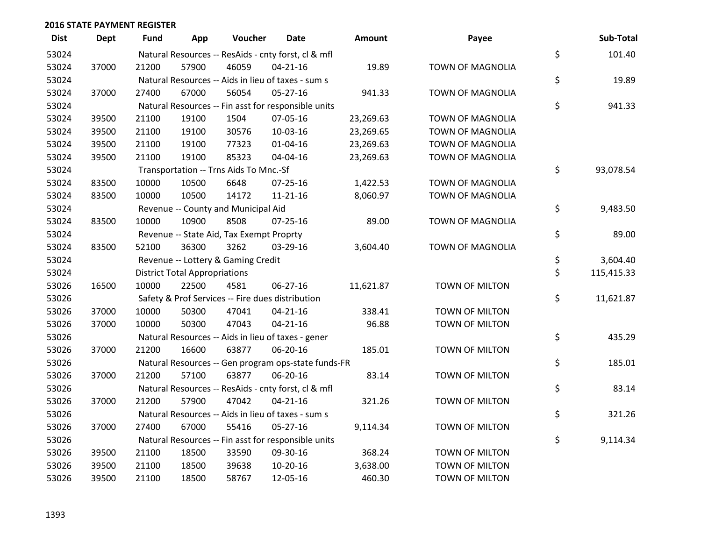| <b>Dist</b> | <b>Dept</b> | <b>Fund</b> | App                                  | Voucher                                          | <b>Date</b>                                         | <b>Amount</b> | Payee                   | Sub-Total        |
|-------------|-------------|-------------|--------------------------------------|--------------------------------------------------|-----------------------------------------------------|---------------|-------------------------|------------------|
| 53024       |             |             |                                      |                                                  | Natural Resources -- ResAids - cnty forst, cl & mfl |               |                         | \$<br>101.40     |
| 53024       | 37000       | 21200       | 57900                                | 46059                                            | $04 - 21 - 16$                                      | 19.89         | TOWN OF MAGNOLIA        |                  |
| 53024       |             |             |                                      |                                                  | Natural Resources -- Aids in lieu of taxes - sum s  |               |                         | \$<br>19.89      |
| 53024       | 37000       | 27400       | 67000                                | 56054                                            | $05 - 27 - 16$                                      | 941.33        | TOWN OF MAGNOLIA        |                  |
| 53024       |             |             |                                      |                                                  | Natural Resources -- Fin asst for responsible units |               |                         | \$<br>941.33     |
| 53024       | 39500       | 21100       | 19100                                | 1504                                             | 07-05-16                                            | 23,269.63     | TOWN OF MAGNOLIA        |                  |
| 53024       | 39500       | 21100       | 19100                                | 30576                                            | 10-03-16                                            | 23,269.65     | TOWN OF MAGNOLIA        |                  |
| 53024       | 39500       | 21100       | 19100                                | 77323                                            | $01 - 04 - 16$                                      | 23,269.63     | <b>TOWN OF MAGNOLIA</b> |                  |
| 53024       | 39500       | 21100       | 19100                                | 85323                                            | 04-04-16                                            | 23,269.63     | TOWN OF MAGNOLIA        |                  |
| 53024       |             |             |                                      | Transportation -- Trns Aids To Mnc.-Sf           |                                                     |               |                         | \$<br>93,078.54  |
| 53024       | 83500       | 10000       | 10500                                | 6648                                             | 07-25-16                                            | 1,422.53      | TOWN OF MAGNOLIA        |                  |
| 53024       | 83500       | 10000       | 10500                                | 14172                                            | $11 - 21 - 16$                                      | 8,060.97      | <b>TOWN OF MAGNOLIA</b> |                  |
| 53024       |             |             |                                      | Revenue -- County and Municipal Aid              |                                                     |               |                         | \$<br>9,483.50   |
| 53024       | 83500       | 10000       | 10900                                | 8508                                             | $07 - 25 - 16$                                      | 89.00         | <b>TOWN OF MAGNOLIA</b> |                  |
| 53024       |             |             |                                      | Revenue -- State Aid, Tax Exempt Proprty         |                                                     |               |                         | \$<br>89.00      |
| 53024       | 83500       | 52100       | 36300                                | 3262                                             | 03-29-16                                            | 3,604.40      | <b>TOWN OF MAGNOLIA</b> |                  |
| 53024       |             |             |                                      | Revenue -- Lottery & Gaming Credit               |                                                     |               |                         | \$<br>3,604.40   |
| 53024       |             |             | <b>District Total Appropriations</b> |                                                  |                                                     |               |                         | \$<br>115,415.33 |
| 53026       | 16500       | 10000       | 22500                                | 4581                                             | 06-27-16                                            | 11,621.87     | TOWN OF MILTON          |                  |
| 53026       |             |             |                                      | Safety & Prof Services -- Fire dues distribution |                                                     |               |                         | \$<br>11,621.87  |
| 53026       | 37000       | 10000       | 50300                                | 47041                                            | $04 - 21 - 16$                                      | 338.41        | TOWN OF MILTON          |                  |
| 53026       | 37000       | 10000       | 50300                                | 47043                                            | $04 - 21 - 16$                                      | 96.88         | TOWN OF MILTON          |                  |
| 53026       |             |             |                                      |                                                  | Natural Resources -- Aids in lieu of taxes - gener  |               |                         | \$<br>435.29     |
| 53026       | 37000       | 21200       | 16600                                | 63877                                            | 06-20-16                                            | 185.01        | TOWN OF MILTON          |                  |
| 53026       |             |             |                                      |                                                  | Natural Resources -- Gen program ops-state funds-FR |               |                         | \$<br>185.01     |
| 53026       | 37000       | 21200       | 57100                                | 63877                                            | 06-20-16                                            | 83.14         | TOWN OF MILTON          |                  |
| 53026       |             |             |                                      |                                                  | Natural Resources -- ResAids - cnty forst, cl & mfl |               |                         | \$<br>83.14      |
| 53026       | 37000       | 21200       | 57900                                | 47042                                            | $04 - 21 - 16$                                      | 321.26        | TOWN OF MILTON          |                  |
| 53026       |             |             |                                      |                                                  | Natural Resources -- Aids in lieu of taxes - sum s  |               |                         | \$<br>321.26     |
| 53026       | 37000       | 27400       | 67000                                | 55416                                            | $05 - 27 - 16$                                      | 9,114.34      | <b>TOWN OF MILTON</b>   |                  |
| 53026       |             |             |                                      |                                                  | Natural Resources -- Fin asst for responsible units |               |                         | \$<br>9,114.34   |
| 53026       | 39500       | 21100       | 18500                                | 33590                                            | 09-30-16                                            | 368.24        | TOWN OF MILTON          |                  |
| 53026       | 39500       | 21100       | 18500                                | 39638                                            | 10-20-16                                            | 3,638.00      | <b>TOWN OF MILTON</b>   |                  |
| 53026       | 39500       | 21100       | 18500                                | 58767                                            | 12-05-16                                            | 460.30        | TOWN OF MILTON          |                  |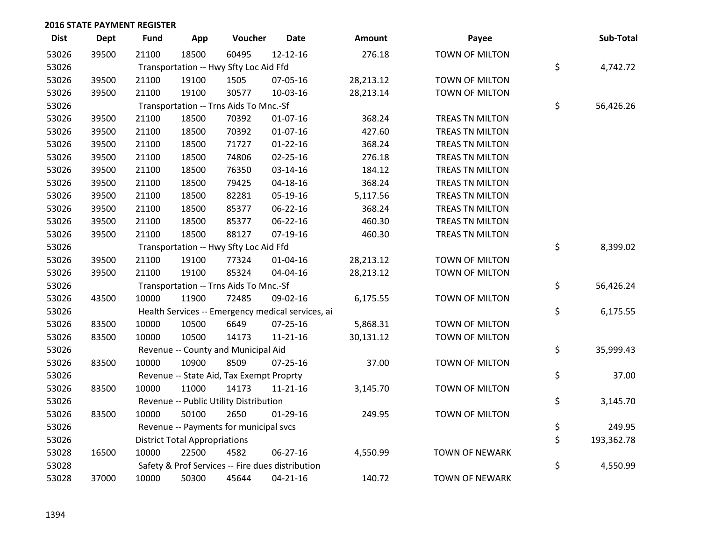| <b>Dist</b> | <b>Dept</b> | Fund  | App                                  | Voucher                                           | Date           | Amount    | Payee                  | Sub-Total        |
|-------------|-------------|-------|--------------------------------------|---------------------------------------------------|----------------|-----------|------------------------|------------------|
| 53026       | 39500       | 21100 | 18500                                | 60495                                             | $12 - 12 - 16$ | 276.18    | TOWN OF MILTON         |                  |
| 53026       |             |       |                                      | Transportation -- Hwy Sfty Loc Aid Ffd            |                |           |                        | \$<br>4,742.72   |
| 53026       | 39500       | 21100 | 19100                                | 1505                                              | 07-05-16       | 28,213.12 | TOWN OF MILTON         |                  |
| 53026       | 39500       | 21100 | 19100                                | 30577                                             | 10-03-16       | 28,213.14 | TOWN OF MILTON         |                  |
| 53026       |             |       |                                      | Transportation -- Trns Aids To Mnc.-Sf            |                |           |                        | \$<br>56,426.26  |
| 53026       | 39500       | 21100 | 18500                                | 70392                                             | $01-07-16$     | 368.24    | TREAS TN MILTON        |                  |
| 53026       | 39500       | 21100 | 18500                                | 70392                                             | $01-07-16$     | 427.60    | TREAS TN MILTON        |                  |
| 53026       | 39500       | 21100 | 18500                                | 71727                                             | $01 - 22 - 16$ | 368.24    | TREAS TN MILTON        |                  |
| 53026       | 39500       | 21100 | 18500                                | 74806                                             | $02 - 25 - 16$ | 276.18    | TREAS TN MILTON        |                  |
| 53026       | 39500       | 21100 | 18500                                | 76350                                             | 03-14-16       | 184.12    | TREAS TN MILTON        |                  |
| 53026       | 39500       | 21100 | 18500                                | 79425                                             | $04 - 18 - 16$ | 368.24    | <b>TREAS TN MILTON</b> |                  |
| 53026       | 39500       | 21100 | 18500                                | 82281                                             | 05-19-16       | 5,117.56  | TREAS TN MILTON        |                  |
| 53026       | 39500       | 21100 | 18500                                | 85377                                             | 06-22-16       | 368.24    | TREAS TN MILTON        |                  |
| 53026       | 39500       | 21100 | 18500                                | 85377                                             | 06-22-16       | 460.30    | TREAS TN MILTON        |                  |
| 53026       | 39500       | 21100 | 18500                                | 88127                                             | 07-19-16       | 460.30    | TREAS TN MILTON        |                  |
| 53026       |             |       |                                      | Transportation -- Hwy Sfty Loc Aid Ffd            |                |           |                        | \$<br>8,399.02   |
| 53026       | 39500       | 21100 | 19100                                | 77324                                             | $01 - 04 - 16$ | 28,213.12 | <b>TOWN OF MILTON</b>  |                  |
| 53026       | 39500       | 21100 | 19100                                | 85324                                             | 04-04-16       | 28,213.12 | TOWN OF MILTON         |                  |
| 53026       |             |       |                                      | Transportation -- Trns Aids To Mnc.-Sf            |                |           |                        | \$<br>56,426.24  |
| 53026       | 43500       | 10000 | 11900                                | 72485                                             | 09-02-16       | 6,175.55  | TOWN OF MILTON         |                  |
| 53026       |             |       |                                      | Health Services -- Emergency medical services, ai |                |           |                        | \$<br>6,175.55   |
| 53026       | 83500       | 10000 | 10500                                | 6649                                              | $07 - 25 - 16$ | 5,868.31  | TOWN OF MILTON         |                  |
| 53026       | 83500       | 10000 | 10500                                | 14173                                             | $11 - 21 - 16$ | 30,131.12 | TOWN OF MILTON         |                  |
| 53026       |             |       |                                      | Revenue -- County and Municipal Aid               |                |           |                        | \$<br>35,999.43  |
| 53026       | 83500       | 10000 | 10900                                | 8509                                              | $07 - 25 - 16$ | 37.00     | TOWN OF MILTON         |                  |
| 53026       |             |       |                                      | Revenue -- State Aid, Tax Exempt Proprty          |                |           |                        | \$<br>37.00      |
| 53026       | 83500       | 10000 | 11000                                | 14173                                             | $11 - 21 - 16$ | 3,145.70  | TOWN OF MILTON         |                  |
| 53026       |             |       |                                      | Revenue -- Public Utility Distribution            |                |           |                        | \$<br>3,145.70   |
| 53026       | 83500       | 10000 | 50100                                | 2650                                              | $01-29-16$     | 249.95    | <b>TOWN OF MILTON</b>  |                  |
| 53026       |             |       |                                      | Revenue -- Payments for municipal svcs            |                |           |                        | \$<br>249.95     |
| 53026       |             |       | <b>District Total Appropriations</b> |                                                   |                |           |                        | \$<br>193,362.78 |
| 53028       | 16500       | 10000 | 22500                                | 4582                                              | 06-27-16       | 4,550.99  | <b>TOWN OF NEWARK</b>  |                  |
| 53028       |             |       |                                      | Safety & Prof Services -- Fire dues distribution  |                |           |                        | \$<br>4,550.99   |
| 53028       | 37000       | 10000 | 50300                                | 45644                                             | $04 - 21 - 16$ | 140.72    | TOWN OF NEWARK         |                  |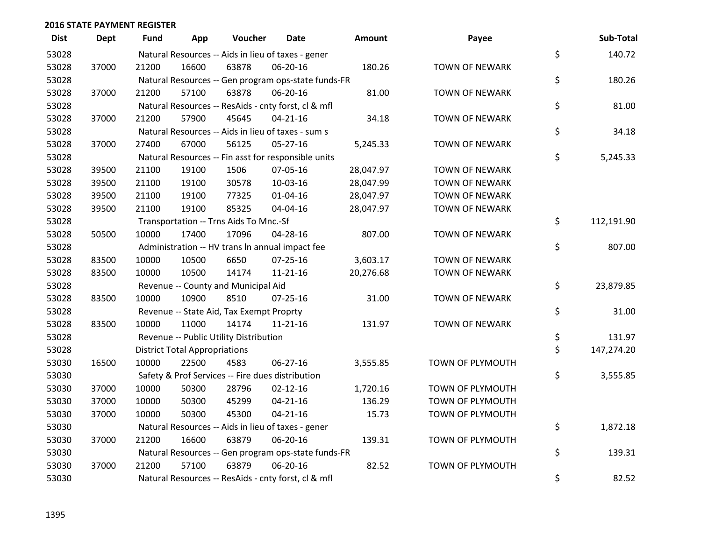| <b>Dist</b> | <b>Dept</b> | <b>Fund</b> | App                                  | Voucher                                             | <b>Date</b>    | Amount    | Payee                 | Sub-Total        |
|-------------|-------------|-------------|--------------------------------------|-----------------------------------------------------|----------------|-----------|-----------------------|------------------|
| 53028       |             |             |                                      | Natural Resources -- Aids in lieu of taxes - gener  |                |           |                       | \$<br>140.72     |
| 53028       | 37000       | 21200       | 16600                                | 63878                                               | 06-20-16       | 180.26    | <b>TOWN OF NEWARK</b> |                  |
| 53028       |             |             |                                      | Natural Resources -- Gen program ops-state funds-FR |                |           |                       | \$<br>180.26     |
| 53028       | 37000       | 21200       | 57100                                | 63878                                               | 06-20-16       | 81.00     | <b>TOWN OF NEWARK</b> |                  |
| 53028       |             |             |                                      | Natural Resources -- ResAids - cnty forst, cl & mfl |                |           |                       | \$<br>81.00      |
| 53028       | 37000       | 21200       | 57900                                | 45645                                               | $04 - 21 - 16$ | 34.18     | <b>TOWN OF NEWARK</b> |                  |
| 53028       |             |             |                                      | Natural Resources -- Aids in lieu of taxes - sum s  |                |           |                       | \$<br>34.18      |
| 53028       | 37000       | 27400       | 67000                                | 56125                                               | $05 - 27 - 16$ | 5,245.33  | <b>TOWN OF NEWARK</b> |                  |
| 53028       |             |             |                                      | Natural Resources -- Fin asst for responsible units |                |           |                       | \$<br>5,245.33   |
| 53028       | 39500       | 21100       | 19100                                | 1506                                                | 07-05-16       | 28,047.97 | <b>TOWN OF NEWARK</b> |                  |
| 53028       | 39500       | 21100       | 19100                                | 30578                                               | 10-03-16       | 28,047.99 | <b>TOWN OF NEWARK</b> |                  |
| 53028       | 39500       | 21100       | 19100                                | 77325                                               | $01 - 04 - 16$ | 28,047.97 | <b>TOWN OF NEWARK</b> |                  |
| 53028       | 39500       | 21100       | 19100                                | 85325                                               | 04-04-16       | 28,047.97 | <b>TOWN OF NEWARK</b> |                  |
| 53028       |             |             |                                      | Transportation -- Trns Aids To Mnc.-Sf              |                |           |                       | \$<br>112,191.90 |
| 53028       | 50500       | 10000       | 17400                                | 17096                                               | 04-28-16       | 807.00    | <b>TOWN OF NEWARK</b> |                  |
| 53028       |             |             |                                      | Administration -- HV trans In annual impact fee     |                |           |                       | \$<br>807.00     |
| 53028       | 83500       | 10000       | 10500                                | 6650                                                | $07 - 25 - 16$ | 3,603.17  | <b>TOWN OF NEWARK</b> |                  |
| 53028       | 83500       | 10000       | 10500                                | 14174                                               | $11 - 21 - 16$ | 20,276.68 | <b>TOWN OF NEWARK</b> |                  |
| 53028       |             |             |                                      | Revenue -- County and Municipal Aid                 |                |           |                       | \$<br>23,879.85  |
| 53028       | 83500       | 10000       | 10900                                | 8510                                                | $07 - 25 - 16$ | 31.00     | <b>TOWN OF NEWARK</b> |                  |
| 53028       |             |             |                                      | Revenue -- State Aid, Tax Exempt Proprty            |                |           |                       | \$<br>31.00      |
| 53028       | 83500       | 10000       | 11000                                | 14174                                               | $11 - 21 - 16$ | 131.97    | <b>TOWN OF NEWARK</b> |                  |
| 53028       |             |             |                                      | Revenue -- Public Utility Distribution              |                |           |                       | \$<br>131.97     |
| 53028       |             |             | <b>District Total Appropriations</b> |                                                     |                |           |                       | \$<br>147,274.20 |
| 53030       | 16500       | 10000       | 22500                                | 4583                                                | 06-27-16       | 3,555.85  | TOWN OF PLYMOUTH      |                  |
| 53030       |             |             |                                      | Safety & Prof Services -- Fire dues distribution    |                |           |                       | \$<br>3,555.85   |
| 53030       | 37000       | 10000       | 50300                                | 28796                                               | $02 - 12 - 16$ | 1,720.16  | TOWN OF PLYMOUTH      |                  |
| 53030       | 37000       | 10000       | 50300                                | 45299                                               | $04 - 21 - 16$ | 136.29    | TOWN OF PLYMOUTH      |                  |
| 53030       | 37000       | 10000       | 50300                                | 45300                                               | $04 - 21 - 16$ | 15.73     | TOWN OF PLYMOUTH      |                  |
| 53030       |             |             |                                      | Natural Resources -- Aids in lieu of taxes - gener  |                |           |                       | \$<br>1,872.18   |
| 53030       | 37000       | 21200       | 16600                                | 63879                                               | 06-20-16       | 139.31    | TOWN OF PLYMOUTH      |                  |
| 53030       |             |             |                                      | Natural Resources -- Gen program ops-state funds-FR |                |           |                       | \$<br>139.31     |
| 53030       | 37000       | 21200       | 57100                                | 63879                                               | 06-20-16       | 82.52     | TOWN OF PLYMOUTH      |                  |
| 53030       |             |             |                                      | Natural Resources -- ResAids - cnty forst, cl & mfl |                |           |                       | \$<br>82.52      |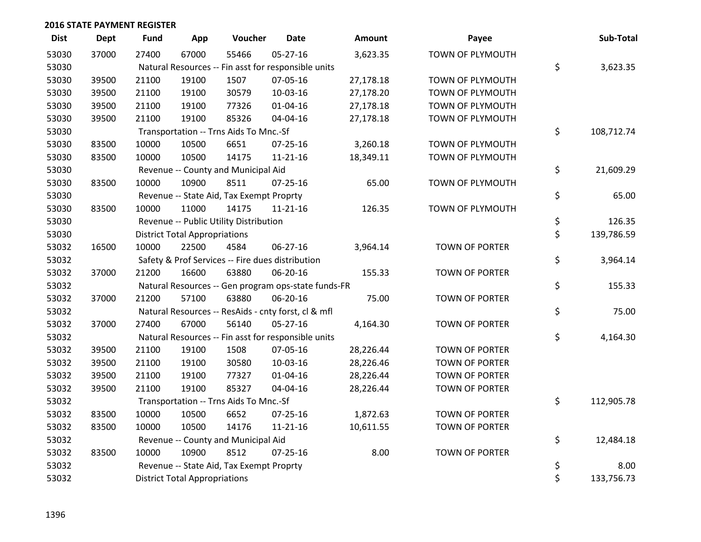| <b>Dist</b> | <b>Dept</b> | <b>Fund</b> | App                                  | Voucher                                             | <b>Date</b>    | <b>Amount</b> | Payee                 | Sub-Total        |
|-------------|-------------|-------------|--------------------------------------|-----------------------------------------------------|----------------|---------------|-----------------------|------------------|
| 53030       | 37000       | 27400       | 67000                                | 55466                                               | $05 - 27 - 16$ | 3,623.35      | TOWN OF PLYMOUTH      |                  |
| 53030       |             |             |                                      | Natural Resources -- Fin asst for responsible units |                |               |                       | \$<br>3,623.35   |
| 53030       | 39500       | 21100       | 19100                                | 1507                                                | 07-05-16       | 27,178.18     | TOWN OF PLYMOUTH      |                  |
| 53030       | 39500       | 21100       | 19100                                | 30579                                               | 10-03-16       | 27,178.20     | TOWN OF PLYMOUTH      |                  |
| 53030       | 39500       | 21100       | 19100                                | 77326                                               | $01 - 04 - 16$ | 27,178.18     | TOWN OF PLYMOUTH      |                  |
| 53030       | 39500       | 21100       | 19100                                | 85326                                               | 04-04-16       | 27,178.18     | TOWN OF PLYMOUTH      |                  |
| 53030       |             |             |                                      | Transportation -- Trns Aids To Mnc.-Sf              |                |               |                       | \$<br>108,712.74 |
| 53030       | 83500       | 10000       | 10500                                | 6651                                                | $07 - 25 - 16$ | 3,260.18      | TOWN OF PLYMOUTH      |                  |
| 53030       | 83500       | 10000       | 10500                                | 14175                                               | $11 - 21 - 16$ | 18,349.11     | TOWN OF PLYMOUTH      |                  |
| 53030       |             |             |                                      | Revenue -- County and Municipal Aid                 |                |               |                       | \$<br>21,609.29  |
| 53030       | 83500       | 10000       | 10900                                | 8511                                                | 07-25-16       | 65.00         | TOWN OF PLYMOUTH      |                  |
| 53030       |             |             |                                      | Revenue -- State Aid, Tax Exempt Proprty            |                |               |                       | \$<br>65.00      |
| 53030       | 83500       | 10000       | 11000                                | 14175                                               | $11 - 21 - 16$ | 126.35        | TOWN OF PLYMOUTH      |                  |
| 53030       |             |             |                                      | Revenue -- Public Utility Distribution              |                |               |                       | \$<br>126.35     |
| 53030       |             |             | <b>District Total Appropriations</b> |                                                     |                |               |                       | \$<br>139,786.59 |
| 53032       | 16500       | 10000       | 22500                                | 4584                                                | 06-27-16       | 3,964.14      | TOWN OF PORTER        |                  |
| 53032       |             |             |                                      | Safety & Prof Services -- Fire dues distribution    |                |               |                       | \$<br>3,964.14   |
| 53032       | 37000       | 21200       | 16600                                | 63880                                               | 06-20-16       | 155.33        | TOWN OF PORTER        |                  |
| 53032       |             |             |                                      | Natural Resources -- Gen program ops-state funds-FR |                |               |                       | \$<br>155.33     |
| 53032       | 37000       | 21200       | 57100                                | 63880                                               | 06-20-16       | 75.00         | TOWN OF PORTER        |                  |
| 53032       |             |             |                                      | Natural Resources -- ResAids - cnty forst, cl & mfl |                |               |                       | \$<br>75.00      |
| 53032       | 37000       | 27400       | 67000                                | 56140                                               | $05 - 27 - 16$ | 4,164.30      | TOWN OF PORTER        |                  |
| 53032       |             |             |                                      | Natural Resources -- Fin asst for responsible units |                |               |                       | \$<br>4,164.30   |
| 53032       | 39500       | 21100       | 19100                                | 1508                                                | 07-05-16       | 28,226.44     | TOWN OF PORTER        |                  |
| 53032       | 39500       | 21100       | 19100                                | 30580                                               | 10-03-16       | 28,226.46     | TOWN OF PORTER        |                  |
| 53032       | 39500       | 21100       | 19100                                | 77327                                               | 01-04-16       | 28,226.44     | TOWN OF PORTER        |                  |
| 53032       | 39500       | 21100       | 19100                                | 85327                                               | 04-04-16       | 28,226.44     | TOWN OF PORTER        |                  |
| 53032       |             |             |                                      | Transportation -- Trns Aids To Mnc.-Sf              |                |               |                       | \$<br>112,905.78 |
| 53032       | 83500       | 10000       | 10500                                | 6652                                                | 07-25-16       | 1,872.63      | TOWN OF PORTER        |                  |
| 53032       | 83500       | 10000       | 10500                                | 14176                                               | 11-21-16       | 10,611.55     | <b>TOWN OF PORTER</b> |                  |
| 53032       |             |             |                                      | Revenue -- County and Municipal Aid                 |                |               |                       | \$<br>12,484.18  |
| 53032       | 83500       | 10000       | 10900                                | 8512                                                | $07 - 25 - 16$ | 8.00          | TOWN OF PORTER        |                  |
| 53032       |             |             |                                      | Revenue -- State Aid, Tax Exempt Proprty            |                |               |                       | \$<br>8.00       |
| 53032       |             |             | <b>District Total Appropriations</b> |                                                     |                |               |                       | \$<br>133,756.73 |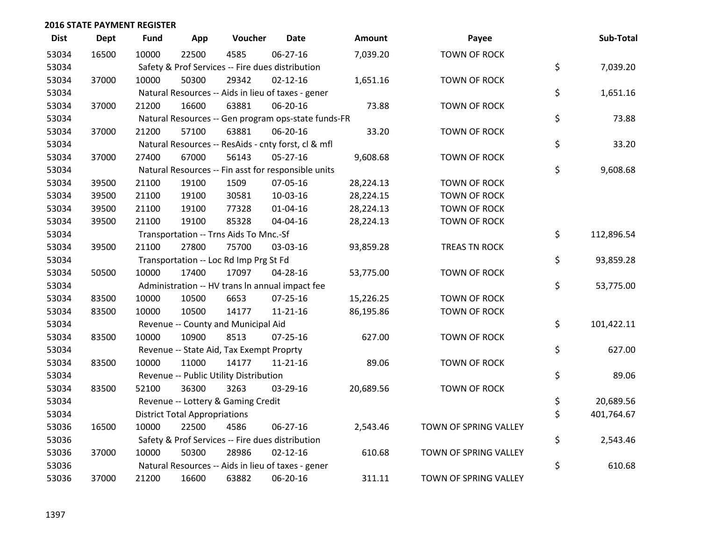| <b>Dist</b> | <b>Dept</b> | <b>Fund</b> | App                                  | Voucher                                          | <b>Date</b>                                         | Amount    | Payee                 | Sub-Total        |
|-------------|-------------|-------------|--------------------------------------|--------------------------------------------------|-----------------------------------------------------|-----------|-----------------------|------------------|
| 53034       | 16500       | 10000       | 22500                                | 4585                                             | 06-27-16                                            | 7,039.20  | <b>TOWN OF ROCK</b>   |                  |
| 53034       |             |             |                                      | Safety & Prof Services -- Fire dues distribution |                                                     |           |                       | \$<br>7,039.20   |
| 53034       | 37000       | 10000       | 50300                                | 29342                                            | $02 - 12 - 16$                                      | 1,651.16  | <b>TOWN OF ROCK</b>   |                  |
| 53034       |             |             |                                      |                                                  | Natural Resources -- Aids in lieu of taxes - gener  |           |                       | \$<br>1,651.16   |
| 53034       | 37000       | 21200       | 16600                                | 63881                                            | 06-20-16                                            | 73.88     | <b>TOWN OF ROCK</b>   |                  |
| 53034       |             |             |                                      |                                                  | Natural Resources -- Gen program ops-state funds-FR |           |                       | \$<br>73.88      |
| 53034       | 37000       | 21200       | 57100                                | 63881                                            | 06-20-16                                            | 33.20     | <b>TOWN OF ROCK</b>   |                  |
| 53034       |             |             |                                      |                                                  | Natural Resources -- ResAids - cnty forst, cl & mfl |           |                       | \$<br>33.20      |
| 53034       | 37000       | 27400       | 67000                                | 56143                                            | $05 - 27 - 16$                                      | 9,608.68  | <b>TOWN OF ROCK</b>   |                  |
| 53034       |             |             |                                      |                                                  | Natural Resources -- Fin asst for responsible units |           |                       | \$<br>9,608.68   |
| 53034       | 39500       | 21100       | 19100                                | 1509                                             | 07-05-16                                            | 28,224.13 | <b>TOWN OF ROCK</b>   |                  |
| 53034       | 39500       | 21100       | 19100                                | 30581                                            | 10-03-16                                            | 28,224.15 | <b>TOWN OF ROCK</b>   |                  |
| 53034       | 39500       | 21100       | 19100                                | 77328                                            | $01 - 04 - 16$                                      | 28,224.13 | <b>TOWN OF ROCK</b>   |                  |
| 53034       | 39500       | 21100       | 19100                                | 85328                                            | 04-04-16                                            | 28,224.13 | TOWN OF ROCK          |                  |
| 53034       |             |             |                                      | Transportation -- Trns Aids To Mnc.-Sf           |                                                     |           |                       | \$<br>112,896.54 |
| 53034       | 39500       | 21100       | 27800                                | 75700                                            | 03-03-16                                            | 93,859.28 | TREAS TN ROCK         |                  |
| 53034       |             |             |                                      | Transportation -- Loc Rd Imp Prg St Fd           |                                                     |           |                       | \$<br>93,859.28  |
| 53034       | 50500       | 10000       | 17400                                | 17097                                            | 04-28-16                                            | 53,775.00 | <b>TOWN OF ROCK</b>   |                  |
| 53034       |             |             |                                      |                                                  | Administration -- HV trans In annual impact fee     |           |                       | \$<br>53,775.00  |
| 53034       | 83500       | 10000       | 10500                                | 6653                                             | 07-25-16                                            | 15,226.25 | <b>TOWN OF ROCK</b>   |                  |
| 53034       | 83500       | 10000       | 10500                                | 14177                                            | $11 - 21 - 16$                                      | 86,195.86 | <b>TOWN OF ROCK</b>   |                  |
| 53034       |             |             |                                      | Revenue -- County and Municipal Aid              |                                                     |           |                       | \$<br>101,422.11 |
| 53034       | 83500       | 10000       | 10900                                | 8513                                             | $07 - 25 - 16$                                      | 627.00    | <b>TOWN OF ROCK</b>   |                  |
| 53034       |             |             |                                      | Revenue -- State Aid, Tax Exempt Proprty         |                                                     |           |                       | \$<br>627.00     |
| 53034       | 83500       | 10000       | 11000                                | 14177                                            | $11 - 21 - 16$                                      | 89.06     | <b>TOWN OF ROCK</b>   |                  |
| 53034       |             |             |                                      | Revenue -- Public Utility Distribution           |                                                     |           |                       | \$<br>89.06      |
| 53034       | 83500       | 52100       | 36300                                | 3263                                             | 03-29-16                                            | 20,689.56 | <b>TOWN OF ROCK</b>   |                  |
| 53034       |             |             |                                      | Revenue -- Lottery & Gaming Credit               |                                                     |           |                       | \$<br>20,689.56  |
| 53034       |             |             | <b>District Total Appropriations</b> |                                                  |                                                     |           |                       | \$<br>401,764.67 |
| 53036       | 16500       | 10000       | 22500                                | 4586                                             | 06-27-16                                            | 2,543.46  | TOWN OF SPRING VALLEY |                  |
| 53036       |             |             |                                      | Safety & Prof Services -- Fire dues distribution |                                                     |           |                       | \$<br>2,543.46   |
| 53036       | 37000       | 10000       | 50300                                | 28986                                            | $02 - 12 - 16$                                      | 610.68    | TOWN OF SPRING VALLEY |                  |
| 53036       |             |             |                                      |                                                  | Natural Resources -- Aids in lieu of taxes - gener  |           |                       | \$<br>610.68     |
| 53036       | 37000       | 21200       | 16600                                | 63882                                            | 06-20-16                                            | 311.11    | TOWN OF SPRING VALLEY |                  |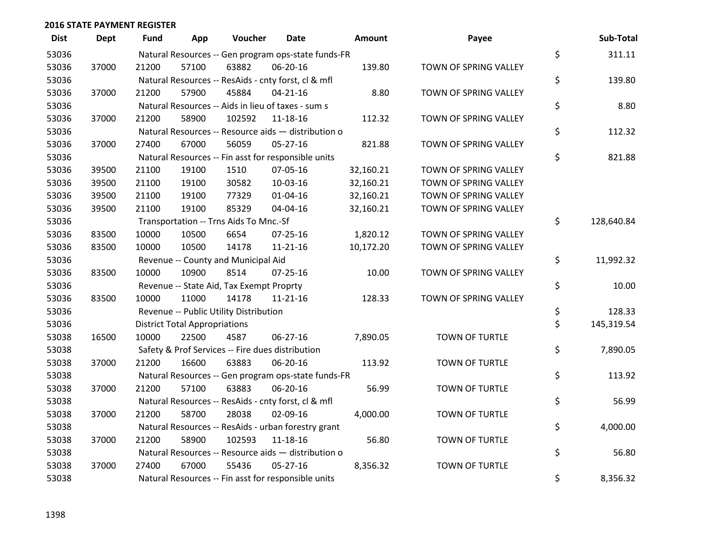| <b>Dist</b> | <b>Dept</b> | Fund  | App                                  | Voucher                                             | <b>Date</b>    | <b>Amount</b> | Payee                 | Sub-Total        |
|-------------|-------------|-------|--------------------------------------|-----------------------------------------------------|----------------|---------------|-----------------------|------------------|
| 53036       |             |       |                                      | Natural Resources -- Gen program ops-state funds-FR |                |               |                       | \$<br>311.11     |
| 53036       | 37000       | 21200 | 57100                                | 63882                                               | 06-20-16       | 139.80        | TOWN OF SPRING VALLEY |                  |
| 53036       |             |       |                                      | Natural Resources -- ResAids - cnty forst, cl & mfl |                |               |                       | \$<br>139.80     |
| 53036       | 37000       | 21200 | 57900                                | 45884                                               | $04 - 21 - 16$ | 8.80          | TOWN OF SPRING VALLEY |                  |
| 53036       |             |       |                                      | Natural Resources -- Aids in lieu of taxes - sum s  |                |               |                       | \$<br>8.80       |
| 53036       | 37000       | 21200 | 58900                                | 102592                                              | 11-18-16       | 112.32        | TOWN OF SPRING VALLEY |                  |
| 53036       |             |       |                                      | Natural Resources -- Resource aids - distribution o |                |               |                       | \$<br>112.32     |
| 53036       | 37000       | 27400 | 67000                                | 56059                                               | $05 - 27 - 16$ | 821.88        | TOWN OF SPRING VALLEY |                  |
| 53036       |             |       |                                      | Natural Resources -- Fin asst for responsible units |                |               |                       | \$<br>821.88     |
| 53036       | 39500       | 21100 | 19100                                | 1510                                                | 07-05-16       | 32,160.21     | TOWN OF SPRING VALLEY |                  |
| 53036       | 39500       | 21100 | 19100                                | 30582                                               | 10-03-16       | 32,160.21     | TOWN OF SPRING VALLEY |                  |
| 53036       | 39500       | 21100 | 19100                                | 77329                                               | $01 - 04 - 16$ | 32,160.21     | TOWN OF SPRING VALLEY |                  |
| 53036       | 39500       | 21100 | 19100                                | 85329                                               | 04-04-16       | 32,160.21     | TOWN OF SPRING VALLEY |                  |
| 53036       |             |       |                                      | Transportation -- Trns Aids To Mnc.-Sf              |                |               |                       | \$<br>128,640.84 |
| 53036       | 83500       | 10000 | 10500                                | 6654                                                | $07 - 25 - 16$ | 1,820.12      | TOWN OF SPRING VALLEY |                  |
| 53036       | 83500       | 10000 | 10500                                | 14178                                               | 11-21-16       | 10,172.20     | TOWN OF SPRING VALLEY |                  |
| 53036       |             |       |                                      | Revenue -- County and Municipal Aid                 |                |               |                       | \$<br>11,992.32  |
| 53036       | 83500       | 10000 | 10900                                | 8514                                                | $07 - 25 - 16$ | 10.00         | TOWN OF SPRING VALLEY |                  |
| 53036       |             |       |                                      | Revenue -- State Aid, Tax Exempt Proprty            |                |               |                       | \$<br>10.00      |
| 53036       | 83500       | 10000 | 11000                                | 14178                                               | 11-21-16       | 128.33        | TOWN OF SPRING VALLEY |                  |
| 53036       |             |       |                                      | Revenue -- Public Utility Distribution              |                |               |                       | \$<br>128.33     |
| 53036       |             |       | <b>District Total Appropriations</b> |                                                     |                |               |                       | \$<br>145,319.54 |
| 53038       | 16500       | 10000 | 22500                                | 4587                                                | 06-27-16       | 7,890.05      | TOWN OF TURTLE        |                  |
| 53038       |             |       |                                      | Safety & Prof Services -- Fire dues distribution    |                |               |                       | \$<br>7,890.05   |
| 53038       | 37000       | 21200 | 16600                                | 63883                                               | 06-20-16       | 113.92        | <b>TOWN OF TURTLE</b> |                  |
| 53038       |             |       |                                      | Natural Resources -- Gen program ops-state funds-FR |                |               |                       | \$<br>113.92     |
| 53038       | 37000       | 21200 | 57100                                | 63883                                               | 06-20-16       | 56.99         | TOWN OF TURTLE        |                  |
| 53038       |             |       |                                      | Natural Resources -- ResAids - cnty forst, cl & mfl |                |               |                       | \$<br>56.99      |
| 53038       | 37000       | 21200 | 58700                                | 28038                                               | 02-09-16       | 4,000.00      | <b>TOWN OF TURTLE</b> |                  |
| 53038       |             |       |                                      | Natural Resources -- ResAids - urban forestry grant |                |               |                       | \$<br>4,000.00   |
| 53038       | 37000       | 21200 | 58900                                | 102593                                              | 11-18-16       | 56.80         | TOWN OF TURTLE        |                  |
| 53038       |             |       |                                      | Natural Resources -- Resource aids - distribution o |                |               |                       | \$<br>56.80      |
| 53038       | 37000       | 27400 | 67000                                | 55436                                               | $05 - 27 - 16$ | 8,356.32      | TOWN OF TURTLE        |                  |
| 53038       |             |       |                                      | Natural Resources -- Fin asst for responsible units |                |               |                       | \$<br>8,356.32   |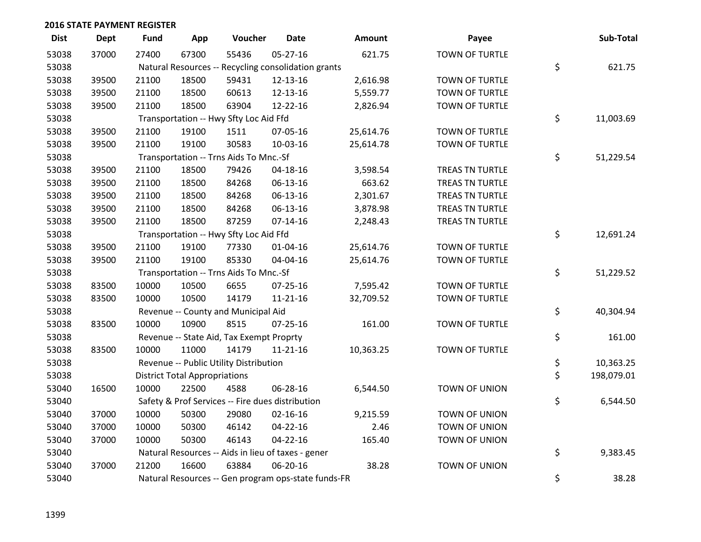| <b>Dist</b> | <b>Dept</b> | <b>Fund</b> | App                                  | Voucher                                             | <b>Date</b>    | Amount    | Payee                  | Sub-Total        |
|-------------|-------------|-------------|--------------------------------------|-----------------------------------------------------|----------------|-----------|------------------------|------------------|
| 53038       | 37000       | 27400       | 67300                                | 55436                                               | 05-27-16       | 621.75    | <b>TOWN OF TURTLE</b>  |                  |
| 53038       |             |             |                                      | Natural Resources -- Recycling consolidation grants |                |           |                        | \$<br>621.75     |
| 53038       | 39500       | 21100       | 18500                                | 59431                                               | 12-13-16       | 2,616.98  | <b>TOWN OF TURTLE</b>  |                  |
| 53038       | 39500       | 21100       | 18500                                | 60613                                               | 12-13-16       | 5,559.77  | <b>TOWN OF TURTLE</b>  |                  |
| 53038       | 39500       | 21100       | 18500                                | 63904                                               | 12-22-16       | 2,826.94  | <b>TOWN OF TURTLE</b>  |                  |
| 53038       |             |             |                                      | Transportation -- Hwy Sfty Loc Aid Ffd              |                |           |                        | \$<br>11,003.69  |
| 53038       | 39500       | 21100       | 19100                                | 1511                                                | 07-05-16       | 25,614.76 | TOWN OF TURTLE         |                  |
| 53038       | 39500       | 21100       | 19100                                | 30583                                               | 10-03-16       | 25,614.78 | TOWN OF TURTLE         |                  |
| 53038       |             |             |                                      | Transportation -- Trns Aids To Mnc.-Sf              |                |           |                        | \$<br>51,229.54  |
| 53038       | 39500       | 21100       | 18500                                | 79426                                               | 04-18-16       | 3,598.54  | <b>TREAS TN TURTLE</b> |                  |
| 53038       | 39500       | 21100       | 18500                                | 84268                                               | 06-13-16       | 663.62    | TREAS TN TURTLE        |                  |
| 53038       | 39500       | 21100       | 18500                                | 84268                                               | 06-13-16       | 2,301.67  | TREAS TN TURTLE        |                  |
| 53038       | 39500       | 21100       | 18500                                | 84268                                               | 06-13-16       | 3,878.98  | TREAS TN TURTLE        |                  |
| 53038       | 39500       | 21100       | 18500                                | 87259                                               | $07 - 14 - 16$ | 2,248.43  | TREAS TN TURTLE        |                  |
| 53038       |             |             |                                      | Transportation -- Hwy Sfty Loc Aid Ffd              |                |           |                        | \$<br>12,691.24  |
| 53038       | 39500       | 21100       | 19100                                | 77330                                               | $01 - 04 - 16$ | 25,614.76 | TOWN OF TURTLE         |                  |
| 53038       | 39500       | 21100       | 19100                                | 85330                                               | 04-04-16       | 25,614.76 | <b>TOWN OF TURTLE</b>  |                  |
| 53038       |             |             |                                      | Transportation -- Trns Aids To Mnc.-Sf              |                |           |                        | \$<br>51,229.52  |
| 53038       | 83500       | 10000       | 10500                                | 6655                                                | 07-25-16       | 7,595.42  | TOWN OF TURTLE         |                  |
| 53038       | 83500       | 10000       | 10500                                | 14179                                               | 11-21-16       | 32,709.52 | <b>TOWN OF TURTLE</b>  |                  |
| 53038       |             |             |                                      | Revenue -- County and Municipal Aid                 |                |           |                        | \$<br>40,304.94  |
| 53038       | 83500       | 10000       | 10900                                | 8515                                                | $07 - 25 - 16$ | 161.00    | TOWN OF TURTLE         |                  |
| 53038       |             |             |                                      | Revenue -- State Aid, Tax Exempt Proprty            |                |           |                        | \$<br>161.00     |
| 53038       | 83500       | 10000       | 11000                                | 14179                                               | 11-21-16       | 10,363.25 | TOWN OF TURTLE         |                  |
| 53038       |             |             |                                      | Revenue -- Public Utility Distribution              |                |           |                        | \$<br>10,363.25  |
| 53038       |             |             | <b>District Total Appropriations</b> |                                                     |                |           |                        | \$<br>198,079.01 |
| 53040       | 16500       | 10000       | 22500                                | 4588                                                | 06-28-16       | 6,544.50  | TOWN OF UNION          |                  |
| 53040       |             |             |                                      | Safety & Prof Services -- Fire dues distribution    |                |           |                        | \$<br>6,544.50   |
| 53040       | 37000       | 10000       | 50300                                | 29080                                               | $02 - 16 - 16$ | 9,215.59  | <b>TOWN OF UNION</b>   |                  |
| 53040       | 37000       | 10000       | 50300                                | 46142                                               | 04-22-16       | 2.46      | TOWN OF UNION          |                  |
| 53040       | 37000       | 10000       | 50300                                | 46143                                               | 04-22-16       | 165.40    | TOWN OF UNION          |                  |
| 53040       |             |             |                                      | Natural Resources -- Aids in lieu of taxes - gener  |                |           |                        | \$<br>9,383.45   |
| 53040       | 37000       | 21200       | 16600                                | 63884                                               | 06-20-16       | 38.28     | TOWN OF UNION          |                  |
| 53040       |             |             |                                      | Natural Resources -- Gen program ops-state funds-FR |                |           |                        | \$<br>38.28      |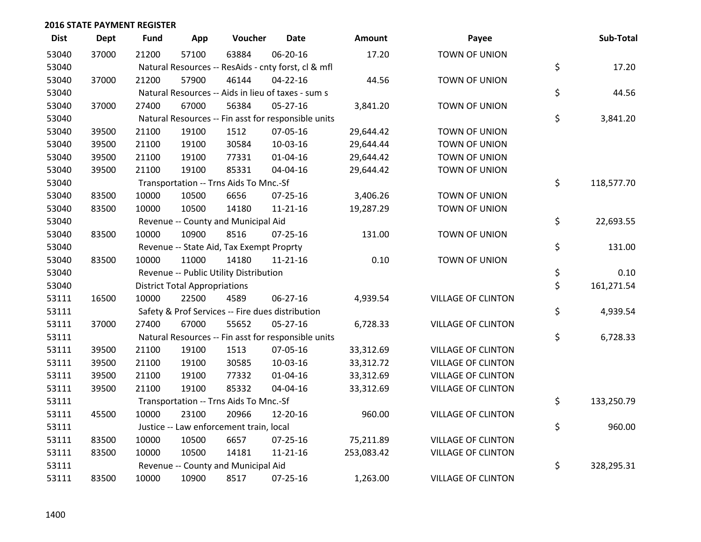| <b>Dist</b> | <b>Dept</b> | <b>Fund</b> | App                                  | Voucher                                             | <b>Date</b>    | <b>Amount</b> | Payee                     | Sub-Total        |
|-------------|-------------|-------------|--------------------------------------|-----------------------------------------------------|----------------|---------------|---------------------------|------------------|
| 53040       | 37000       | 21200       | 57100                                | 63884                                               | 06-20-16       | 17.20         | TOWN OF UNION             |                  |
| 53040       |             |             |                                      | Natural Resources -- ResAids - cnty forst, cl & mfl |                |               |                           | \$<br>17.20      |
| 53040       | 37000       | 21200       | 57900                                | 46144                                               | $04 - 22 - 16$ | 44.56         | TOWN OF UNION             |                  |
| 53040       |             |             |                                      | Natural Resources -- Aids in lieu of taxes - sum s  |                |               |                           | \$<br>44.56      |
| 53040       | 37000       | 27400       | 67000                                | 56384                                               | $05 - 27 - 16$ | 3,841.20      | TOWN OF UNION             |                  |
| 53040       |             |             |                                      | Natural Resources -- Fin asst for responsible units |                |               |                           | \$<br>3,841.20   |
| 53040       | 39500       | 21100       | 19100                                | 1512                                                | 07-05-16       | 29,644.42     | TOWN OF UNION             |                  |
| 53040       | 39500       | 21100       | 19100                                | 30584                                               | 10-03-16       | 29,644.44     | <b>TOWN OF UNION</b>      |                  |
| 53040       | 39500       | 21100       | 19100                                | 77331                                               | $01 - 04 - 16$ | 29,644.42     | TOWN OF UNION             |                  |
| 53040       | 39500       | 21100       | 19100                                | 85331                                               | 04-04-16       | 29,644.42     | TOWN OF UNION             |                  |
| 53040       |             |             |                                      | Transportation -- Trns Aids To Mnc.-Sf              |                |               |                           | \$<br>118,577.70 |
| 53040       | 83500       | 10000       | 10500                                | 6656                                                | 07-25-16       | 3,406.26      | TOWN OF UNION             |                  |
| 53040       | 83500       | 10000       | 10500                                | 14180                                               | $11 - 21 - 16$ | 19,287.29     | TOWN OF UNION             |                  |
| 53040       |             |             |                                      | Revenue -- County and Municipal Aid                 |                |               |                           | \$<br>22,693.55  |
| 53040       | 83500       | 10000       | 10900                                | 8516                                                | $07 - 25 - 16$ | 131.00        | TOWN OF UNION             |                  |
| 53040       |             |             |                                      | Revenue -- State Aid, Tax Exempt Proprty            |                |               |                           | \$<br>131.00     |
| 53040       | 83500       | 10000       | 11000                                | 14180                                               | $11 - 21 - 16$ | 0.10          | TOWN OF UNION             |                  |
| 53040       |             |             |                                      | Revenue -- Public Utility Distribution              |                |               |                           | \$<br>0.10       |
| 53040       |             |             | <b>District Total Appropriations</b> |                                                     |                |               |                           | \$<br>161,271.54 |
| 53111       | 16500       | 10000       | 22500                                | 4589                                                | 06-27-16       | 4,939.54      | <b>VILLAGE OF CLINTON</b> |                  |
| 53111       |             |             |                                      | Safety & Prof Services -- Fire dues distribution    |                |               |                           | \$<br>4,939.54   |
| 53111       | 37000       | 27400       | 67000                                | 55652                                               | $05 - 27 - 16$ | 6,728.33      | <b>VILLAGE OF CLINTON</b> |                  |
| 53111       |             |             |                                      | Natural Resources -- Fin asst for responsible units |                |               |                           | \$<br>6,728.33   |
| 53111       | 39500       | 21100       | 19100                                | 1513                                                | 07-05-16       | 33,312.69     | <b>VILLAGE OF CLINTON</b> |                  |
| 53111       | 39500       | 21100       | 19100                                | 30585                                               | 10-03-16       | 33,312.72     | <b>VILLAGE OF CLINTON</b> |                  |
| 53111       | 39500       | 21100       | 19100                                | 77332                                               | $01 - 04 - 16$ | 33,312.69     | <b>VILLAGE OF CLINTON</b> |                  |
| 53111       | 39500       | 21100       | 19100                                | 85332                                               | 04-04-16       | 33,312.69     | <b>VILLAGE OF CLINTON</b> |                  |
| 53111       |             |             |                                      | Transportation -- Trns Aids To Mnc.-Sf              |                |               |                           | \$<br>133,250.79 |
| 53111       | 45500       | 10000       | 23100                                | 20966                                               | 12-20-16       | 960.00        | <b>VILLAGE OF CLINTON</b> |                  |
| 53111       |             |             |                                      | Justice -- Law enforcement train, local             |                |               |                           | \$<br>960.00     |
| 53111       | 83500       | 10000       | 10500                                | 6657                                                | 07-25-16       | 75,211.89     | <b>VILLAGE OF CLINTON</b> |                  |
| 53111       | 83500       | 10000       | 10500                                | 14181                                               | $11 - 21 - 16$ | 253,083.42    | <b>VILLAGE OF CLINTON</b> |                  |
| 53111       |             |             |                                      | Revenue -- County and Municipal Aid                 |                |               |                           | \$<br>328,295.31 |
| 53111       | 83500       | 10000       | 10900                                | 8517                                                | 07-25-16       | 1,263.00      | <b>VILLAGE OF CLINTON</b> |                  |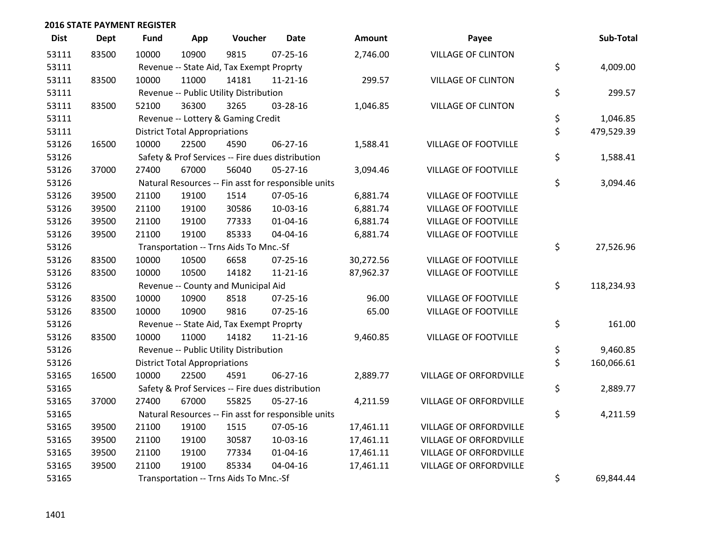| <b>Dist</b> | <b>Dept</b> | Fund  | App                                  | Voucher                                  | <b>Date</b>                                         | <b>Amount</b> | Payee                         | Sub-Total        |
|-------------|-------------|-------|--------------------------------------|------------------------------------------|-----------------------------------------------------|---------------|-------------------------------|------------------|
| 53111       | 83500       | 10000 | 10900                                | 9815                                     | $07 - 25 - 16$                                      | 2,746.00      | <b>VILLAGE OF CLINTON</b>     |                  |
| 53111       |             |       |                                      | Revenue -- State Aid, Tax Exempt Proprty |                                                     |               |                               | \$<br>4,009.00   |
| 53111       | 83500       | 10000 | 11000                                | 14181                                    | $11 - 21 - 16$                                      | 299.57        | <b>VILLAGE OF CLINTON</b>     |                  |
| 53111       |             |       |                                      | Revenue -- Public Utility Distribution   |                                                     |               |                               | \$<br>299.57     |
| 53111       | 83500       | 52100 | 36300                                | 3265                                     | 03-28-16                                            | 1,046.85      | <b>VILLAGE OF CLINTON</b>     |                  |
| 53111       |             |       |                                      | Revenue -- Lottery & Gaming Credit       |                                                     |               |                               | \$<br>1,046.85   |
| 53111       |             |       | <b>District Total Appropriations</b> |                                          |                                                     |               |                               | \$<br>479,529.39 |
| 53126       | 16500       | 10000 | 22500                                | 4590                                     | 06-27-16                                            | 1,588.41      | <b>VILLAGE OF FOOTVILLE</b>   |                  |
| 53126       |             |       |                                      |                                          | Safety & Prof Services -- Fire dues distribution    |               |                               | \$<br>1,588.41   |
| 53126       | 37000       | 27400 | 67000                                | 56040                                    | $05 - 27 - 16$                                      | 3,094.46      | <b>VILLAGE OF FOOTVILLE</b>   |                  |
| 53126       |             |       |                                      |                                          | Natural Resources -- Fin asst for responsible units |               |                               | \$<br>3,094.46   |
| 53126       | 39500       | 21100 | 19100                                | 1514                                     | 07-05-16                                            | 6,881.74      | VILLAGE OF FOOTVILLE          |                  |
| 53126       | 39500       | 21100 | 19100                                | 30586                                    | 10-03-16                                            | 6,881.74      | <b>VILLAGE OF FOOTVILLE</b>   |                  |
| 53126       | 39500       | 21100 | 19100                                | 77333                                    | 01-04-16                                            | 6,881.74      | VILLAGE OF FOOTVILLE          |                  |
| 53126       | 39500       | 21100 | 19100                                | 85333                                    | 04-04-16                                            | 6,881.74      | VILLAGE OF FOOTVILLE          |                  |
| 53126       |             |       |                                      | Transportation -- Trns Aids To Mnc.-Sf   |                                                     |               |                               | \$<br>27,526.96  |
| 53126       | 83500       | 10000 | 10500                                | 6658                                     | $07 - 25 - 16$                                      | 30,272.56     | <b>VILLAGE OF FOOTVILLE</b>   |                  |
| 53126       | 83500       | 10000 | 10500                                | 14182                                    | 11-21-16                                            | 87,962.37     | <b>VILLAGE OF FOOTVILLE</b>   |                  |
| 53126       |             |       |                                      | Revenue -- County and Municipal Aid      |                                                     |               |                               | \$<br>118,234.93 |
| 53126       | 83500       | 10000 | 10900                                | 8518                                     | 07-25-16                                            | 96.00         | <b>VILLAGE OF FOOTVILLE</b>   |                  |
| 53126       | 83500       | 10000 | 10900                                | 9816                                     | $07 - 25 - 16$                                      | 65.00         | <b>VILLAGE OF FOOTVILLE</b>   |                  |
| 53126       |             |       |                                      | Revenue -- State Aid, Tax Exempt Proprty |                                                     |               |                               | \$<br>161.00     |
| 53126       | 83500       | 10000 | 11000                                | 14182                                    | $11 - 21 - 16$                                      | 9,460.85      | <b>VILLAGE OF FOOTVILLE</b>   |                  |
| 53126       |             |       |                                      | Revenue -- Public Utility Distribution   |                                                     |               |                               | \$<br>9,460.85   |
| 53126       |             |       | <b>District Total Appropriations</b> |                                          |                                                     |               |                               | \$<br>160,066.61 |
| 53165       | 16500       | 10000 | 22500                                | 4591                                     | 06-27-16                                            | 2,889.77      | VILLAGE OF ORFORDVILLE        |                  |
| 53165       |             |       |                                      |                                          | Safety & Prof Services -- Fire dues distribution    |               |                               | \$<br>2,889.77   |
| 53165       | 37000       | 27400 | 67000                                | 55825                                    | $05 - 27 - 16$                                      | 4,211.59      | VILLAGE OF ORFORDVILLE        |                  |
| 53165       |             |       |                                      |                                          | Natural Resources -- Fin asst for responsible units |               |                               | \$<br>4,211.59   |
| 53165       | 39500       | 21100 | 19100                                | 1515                                     | 07-05-16                                            | 17,461.11     | VILLAGE OF ORFORDVILLE        |                  |
| 53165       | 39500       | 21100 | 19100                                | 30587                                    | 10-03-16                                            | 17,461.11     | <b>VILLAGE OF ORFORDVILLE</b> |                  |
| 53165       | 39500       | 21100 | 19100                                | 77334                                    | $01 - 04 - 16$                                      | 17,461.11     | VILLAGE OF ORFORDVILLE        |                  |
| 53165       | 39500       | 21100 | 19100                                | 85334                                    | 04-04-16                                            | 17,461.11     | VILLAGE OF ORFORDVILLE        |                  |
| 53165       |             |       |                                      | Transportation -- Trns Aids To Mnc.-Sf   |                                                     |               |                               | \$<br>69,844.44  |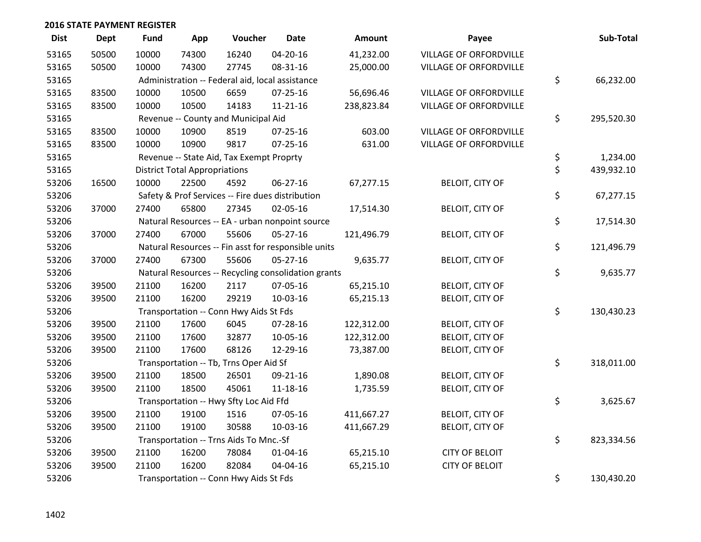| <b>Dist</b> | <b>Dept</b> | <b>Fund</b> | App                                      | Voucher                                             | <b>Date</b>    | <b>Amount</b> | Payee                         |    | Sub-Total  |  |
|-------------|-------------|-------------|------------------------------------------|-----------------------------------------------------|----------------|---------------|-------------------------------|----|------------|--|
| 53165       | 50500       | 10000       | 74300                                    | 16240                                               | $04 - 20 - 16$ | 41,232.00     | <b>VILLAGE OF ORFORDVILLE</b> |    |            |  |
| 53165       | 50500       | 10000       | 74300                                    | 27745                                               | 08-31-16       | 25,000.00     | VILLAGE OF ORFORDVILLE        |    |            |  |
| 53165       |             |             |                                          | Administration -- Federal aid, local assistance     |                |               |                               | \$ | 66,232.00  |  |
| 53165       | 83500       | 10000       | 10500                                    | 6659                                                | $07 - 25 - 16$ | 56,696.46     | <b>VILLAGE OF ORFORDVILLE</b> |    |            |  |
| 53165       | 83500       | 10000       | 10500                                    | 14183                                               | $11 - 21 - 16$ | 238,823.84    | VILLAGE OF ORFORDVILLE        |    |            |  |
| 53165       |             |             |                                          | Revenue -- County and Municipal Aid                 |                |               |                               | \$ | 295,520.30 |  |
| 53165       | 83500       | 10000       | 10900                                    | 8519                                                | $07 - 25 - 16$ | 603.00        | VILLAGE OF ORFORDVILLE        |    |            |  |
| 53165       | 83500       | 10000       | 10900                                    | 9817                                                | $07 - 25 - 16$ | 631.00        | VILLAGE OF ORFORDVILLE        |    |            |  |
| 53165       |             |             | Revenue -- State Aid, Tax Exempt Proprty |                                                     |                |               |                               |    |            |  |
| 53165       |             |             | <b>District Total Appropriations</b>     |                                                     |                |               |                               | \$ | 439,932.10 |  |
| 53206       | 16500       | 10000       | 22500                                    | 4592                                                | 06-27-16       | 67,277.15     | <b>BELOIT, CITY OF</b>        |    |            |  |
| 53206       |             |             |                                          | Safety & Prof Services -- Fire dues distribution    |                |               |                               | \$ | 67,277.15  |  |
| 53206       | 37000       | 27400       | 65800                                    | 27345                                               | 02-05-16       | 17,514.30     | <b>BELOIT, CITY OF</b>        |    |            |  |
| 53206       |             |             |                                          | Natural Resources -- EA - urban nonpoint source     |                |               |                               | \$ | 17,514.30  |  |
| 53206       | 37000       | 27400       | 67000                                    | 55606                                               | 05-27-16       | 121,496.79    | <b>BELOIT, CITY OF</b>        |    |            |  |
| 53206       |             |             |                                          | Natural Resources -- Fin asst for responsible units |                |               |                               | \$ | 121,496.79 |  |
| 53206       | 37000       | 27400       | 67300                                    | 55606                                               | 05-27-16       | 9,635.77      | <b>BELOIT, CITY OF</b>        |    |            |  |
| 53206       |             |             |                                          | Natural Resources -- Recycling consolidation grants |                |               |                               | \$ | 9,635.77   |  |
| 53206       | 39500       | 21100       | 16200                                    | 2117                                                | 07-05-16       | 65,215.10     | <b>BELOIT, CITY OF</b>        |    |            |  |
| 53206       | 39500       | 21100       | 16200                                    | 29219                                               | 10-03-16       | 65,215.13     | <b>BELOIT, CITY OF</b>        |    |            |  |
| 53206       |             |             |                                          | Transportation -- Conn Hwy Aids St Fds              |                |               |                               | \$ | 130,430.23 |  |
| 53206       | 39500       | 21100       | 17600                                    | 6045                                                | 07-28-16       | 122,312.00    | <b>BELOIT, CITY OF</b>        |    |            |  |
| 53206       | 39500       | 21100       | 17600                                    | 32877                                               | 10-05-16       | 122,312.00    | <b>BELOIT, CITY OF</b>        |    |            |  |
| 53206       | 39500       | 21100       | 17600                                    | 68126                                               | 12-29-16       | 73,387.00     | <b>BELOIT, CITY OF</b>        |    |            |  |
| 53206       |             |             |                                          | Transportation -- Tb, Trns Oper Aid Sf              |                |               |                               | \$ | 318,011.00 |  |
| 53206       | 39500       | 21100       | 18500                                    | 26501                                               | 09-21-16       | 1,890.08      | <b>BELOIT, CITY OF</b>        |    |            |  |
| 53206       | 39500       | 21100       | 18500                                    | 45061                                               | 11-18-16       | 1,735.59      | <b>BELOIT, CITY OF</b>        |    |            |  |
| 53206       |             |             |                                          | Transportation -- Hwy Sfty Loc Aid Ffd              |                |               |                               | \$ | 3,625.67   |  |
| 53206       | 39500       | 21100       | 19100                                    | 1516                                                | 07-05-16       | 411,667.27    | <b>BELOIT, CITY OF</b>        |    |            |  |
| 53206       | 39500       | 21100       | 19100                                    | 30588                                               | 10-03-16       | 411,667.29    | <b>BELOIT, CITY OF</b>        |    |            |  |
| 53206       |             |             |                                          | Transportation -- Trns Aids To Mnc.-Sf              |                |               |                               | \$ | 823,334.56 |  |
| 53206       | 39500       | 21100       | 16200                                    | 78084                                               | $01 - 04 - 16$ | 65,215.10     | <b>CITY OF BELOIT</b>         |    |            |  |
| 53206       | 39500       | 21100       | 16200                                    | 82084                                               | 04-04-16       | 65,215.10     | <b>CITY OF BELOIT</b>         |    |            |  |
| 53206       |             |             |                                          | Transportation -- Conn Hwy Aids St Fds              |                |               |                               | \$ | 130,430.20 |  |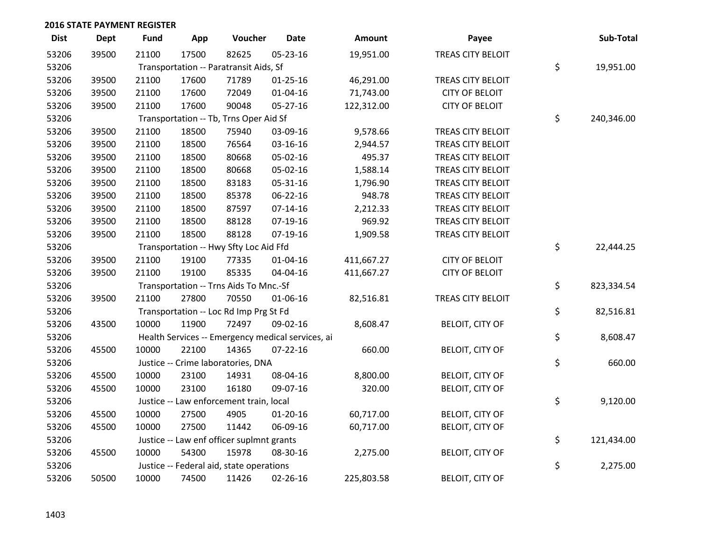| <b>Dist</b> | <b>Dept</b> | Fund  | App   | Voucher                                   | <b>Date</b>                                       | Amount     | Payee                    | Sub-Total        |
|-------------|-------------|-------|-------|-------------------------------------------|---------------------------------------------------|------------|--------------------------|------------------|
| 53206       | 39500       | 21100 | 17500 | 82625                                     | 05-23-16                                          | 19,951.00  | TREAS CITY BELOIT        |                  |
| 53206       |             |       |       | Transportation -- Paratransit Aids, Sf    |                                                   |            |                          | \$<br>19,951.00  |
| 53206       | 39500       | 21100 | 17600 | 71789                                     | $01 - 25 - 16$                                    | 46,291.00  | TREAS CITY BELOIT        |                  |
| 53206       | 39500       | 21100 | 17600 | 72049                                     | 01-04-16                                          | 71,743.00  | <b>CITY OF BELOIT</b>    |                  |
| 53206       | 39500       | 21100 | 17600 | 90048                                     | 05-27-16                                          | 122,312.00 | <b>CITY OF BELOIT</b>    |                  |
| 53206       |             |       |       | Transportation -- Tb, Trns Oper Aid Sf    |                                                   |            |                          | \$<br>240,346.00 |
| 53206       | 39500       | 21100 | 18500 | 75940                                     | 03-09-16                                          | 9,578.66   | TREAS CITY BELOIT        |                  |
| 53206       | 39500       | 21100 | 18500 | 76564                                     | 03-16-16                                          | 2,944.57   | <b>TREAS CITY BELOIT</b> |                  |
| 53206       | 39500       | 21100 | 18500 | 80668                                     | 05-02-16                                          | 495.37     | <b>TREAS CITY BELOIT</b> |                  |
| 53206       | 39500       | 21100 | 18500 | 80668                                     | 05-02-16                                          | 1,588.14   | TREAS CITY BELOIT        |                  |
| 53206       | 39500       | 21100 | 18500 | 83183                                     | 05-31-16                                          | 1,796.90   | TREAS CITY BELOIT        |                  |
| 53206       | 39500       | 21100 | 18500 | 85378                                     | 06-22-16                                          | 948.78     | TREAS CITY BELOIT        |                  |
| 53206       | 39500       | 21100 | 18500 | 87597                                     | $07 - 14 - 16$                                    | 2,212.33   | <b>TREAS CITY BELOIT</b> |                  |
| 53206       | 39500       | 21100 | 18500 | 88128                                     | 07-19-16                                          | 969.92     | TREAS CITY BELOIT        |                  |
| 53206       | 39500       | 21100 | 18500 | 88128                                     | 07-19-16                                          | 1,909.58   | TREAS CITY BELOIT        |                  |
| 53206       |             |       |       | Transportation -- Hwy Sfty Loc Aid Ffd    |                                                   |            |                          | \$<br>22,444.25  |
| 53206       | 39500       | 21100 | 19100 | 77335                                     | 01-04-16                                          | 411,667.27 | <b>CITY OF BELOIT</b>    |                  |
| 53206       | 39500       | 21100 | 19100 | 85335                                     | 04-04-16                                          | 411,667.27 | <b>CITY OF BELOIT</b>    |                  |
| 53206       |             |       |       | Transportation -- Trns Aids To Mnc.-Sf    |                                                   |            |                          | \$<br>823,334.54 |
| 53206       | 39500       | 21100 | 27800 | 70550                                     | 01-06-16                                          | 82,516.81  | TREAS CITY BELOIT        |                  |
| 53206       |             |       |       | Transportation -- Loc Rd Imp Prg St Fd    |                                                   |            |                          | \$<br>82,516.81  |
| 53206       | 43500       | 10000 | 11900 | 72497                                     | 09-02-16                                          | 8,608.47   | <b>BELOIT, CITY OF</b>   |                  |
| 53206       |             |       |       |                                           | Health Services -- Emergency medical services, ai |            |                          | \$<br>8,608.47   |
| 53206       | 45500       | 10000 | 22100 | 14365                                     | $07 - 22 - 16$                                    | 660.00     | <b>BELOIT, CITY OF</b>   |                  |
| 53206       |             |       |       | Justice -- Crime laboratories, DNA        |                                                   |            |                          | \$<br>660.00     |
| 53206       | 45500       | 10000 | 23100 | 14931                                     | 08-04-16                                          | 8,800.00   | <b>BELOIT, CITY OF</b>   |                  |
| 53206       | 45500       | 10000 | 23100 | 16180                                     | 09-07-16                                          | 320.00     | <b>BELOIT, CITY OF</b>   |                  |
| 53206       |             |       |       | Justice -- Law enforcement train, local   |                                                   |            |                          | \$<br>9,120.00   |
| 53206       | 45500       | 10000 | 27500 | 4905                                      | $01 - 20 - 16$                                    | 60,717.00  | <b>BELOIT, CITY OF</b>   |                  |
| 53206       | 45500       | 10000 | 27500 | 11442                                     | 06-09-16                                          | 60,717.00  | <b>BELOIT, CITY OF</b>   |                  |
| 53206       |             |       |       | Justice -- Law enf officer suplmnt grants |                                                   |            |                          | \$<br>121,434.00 |
| 53206       | 45500       | 10000 | 54300 | 15978                                     | 08-30-16                                          | 2,275.00   | <b>BELOIT, CITY OF</b>   |                  |
| 53206       |             |       |       | Justice -- Federal aid, state operations  |                                                   |            |                          | \$<br>2,275.00   |
| 53206       | 50500       | 10000 | 74500 | 11426                                     | 02-26-16                                          | 225,803.58 | <b>BELOIT, CITY OF</b>   |                  |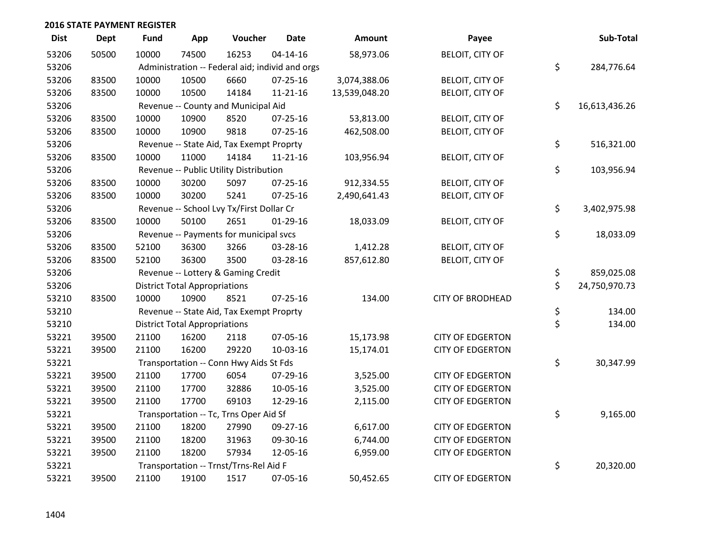| <b>Dist</b> | <b>Dept</b> | <b>Fund</b> | App                                  | Voucher                                         | <b>Date</b>    | <b>Amount</b> | Payee                   | Sub-Total           |
|-------------|-------------|-------------|--------------------------------------|-------------------------------------------------|----------------|---------------|-------------------------|---------------------|
| 53206       | 50500       | 10000       | 74500                                | 16253                                           | $04 - 14 - 16$ | 58,973.06     | <b>BELOIT, CITY OF</b>  |                     |
| 53206       |             |             |                                      | Administration -- Federal aid; individ and orgs |                |               |                         | \$<br>284,776.64    |
| 53206       | 83500       | 10000       | 10500                                | 6660                                            | 07-25-16       | 3,074,388.06  | <b>BELOIT, CITY OF</b>  |                     |
| 53206       | 83500       | 10000       | 10500                                | 14184                                           | $11 - 21 - 16$ | 13,539,048.20 | <b>BELOIT, CITY OF</b>  |                     |
| 53206       |             |             |                                      | Revenue -- County and Municipal Aid             |                |               |                         | \$<br>16,613,436.26 |
| 53206       | 83500       | 10000       | 10900                                | 8520                                            | $07 - 25 - 16$ | 53,813.00     | <b>BELOIT, CITY OF</b>  |                     |
| 53206       | 83500       | 10000       | 10900                                | 9818                                            | $07 - 25 - 16$ | 462,508.00    | <b>BELOIT, CITY OF</b>  |                     |
| 53206       |             |             |                                      | Revenue -- State Aid, Tax Exempt Proprty        |                |               |                         | \$<br>516,321.00    |
| 53206       | 83500       | 10000       | 11000                                | 14184                                           | 11-21-16       | 103,956.94    | <b>BELOIT, CITY OF</b>  |                     |
| 53206       |             |             |                                      | Revenue -- Public Utility Distribution          |                |               |                         | \$<br>103,956.94    |
| 53206       | 83500       | 10000       | 30200                                | 5097                                            | $07 - 25 - 16$ | 912,334.55    | <b>BELOIT, CITY OF</b>  |                     |
| 53206       | 83500       | 10000       | 30200                                | 5241                                            | $07 - 25 - 16$ | 2,490,641.43  | <b>BELOIT, CITY OF</b>  |                     |
| 53206       |             |             |                                      | Revenue -- School Lvy Tx/First Dollar Cr        |                |               |                         | \$<br>3,402,975.98  |
| 53206       | 83500       | 10000       | 50100                                | 2651                                            | 01-29-16       | 18,033.09     | <b>BELOIT, CITY OF</b>  |                     |
| 53206       |             |             |                                      | Revenue -- Payments for municipal svcs          |                |               |                         | \$<br>18,033.09     |
| 53206       | 83500       | 52100       | 36300                                | 3266                                            | 03-28-16       | 1,412.28      | <b>BELOIT, CITY OF</b>  |                     |
| 53206       | 83500       | 52100       | 36300                                | 3500                                            | 03-28-16       | 857,612.80    | <b>BELOIT, CITY OF</b>  |                     |
| 53206       |             |             |                                      | Revenue -- Lottery & Gaming Credit              |                |               |                         | \$<br>859,025.08    |
| 53206       |             |             | <b>District Total Appropriations</b> |                                                 |                |               |                         | \$<br>24,750,970.73 |
| 53210       | 83500       | 10000       | 10900                                | 8521                                            | $07 - 25 - 16$ | 134.00        | <b>CITY OF BRODHEAD</b> |                     |
| 53210       |             |             |                                      | Revenue -- State Aid, Tax Exempt Proprty        |                |               |                         | \$<br>134.00        |
| 53210       |             |             | <b>District Total Appropriations</b> |                                                 |                |               |                         | \$<br>134.00        |
| 53221       | 39500       | 21100       | 16200                                | 2118                                            | 07-05-16       | 15,173.98     | <b>CITY OF EDGERTON</b> |                     |
| 53221       | 39500       | 21100       | 16200                                | 29220                                           | 10-03-16       | 15,174.01     | <b>CITY OF EDGERTON</b> |                     |
| 53221       |             |             |                                      | Transportation -- Conn Hwy Aids St Fds          |                |               |                         | \$<br>30,347.99     |
| 53221       | 39500       | 21100       | 17700                                | 6054                                            | 07-29-16       | 3,525.00      | <b>CITY OF EDGERTON</b> |                     |
| 53221       | 39500       | 21100       | 17700                                | 32886                                           | 10-05-16       | 3,525.00      | <b>CITY OF EDGERTON</b> |                     |
| 53221       | 39500       | 21100       | 17700                                | 69103                                           | 12-29-16       | 2,115.00      | <b>CITY OF EDGERTON</b> |                     |
| 53221       |             |             |                                      | Transportation -- Tc, Trns Oper Aid Sf          |                |               |                         | \$<br>9,165.00      |
| 53221       | 39500       | 21100       | 18200                                | 27990                                           | 09-27-16       | 6,617.00      | <b>CITY OF EDGERTON</b> |                     |
| 53221       | 39500       | 21100       | 18200                                | 31963                                           | 09-30-16       | 6,744.00      | <b>CITY OF EDGERTON</b> |                     |
| 53221       | 39500       | 21100       | 18200                                | 57934                                           | 12-05-16       | 6,959.00      | <b>CITY OF EDGERTON</b> |                     |
| 53221       |             |             |                                      | Transportation -- Trnst/Trns-Rel Aid F          |                |               |                         | \$<br>20,320.00     |
| 53221       | 39500       | 21100       | 19100                                | 1517                                            | 07-05-16       | 50,452.65     | <b>CITY OF EDGERTON</b> |                     |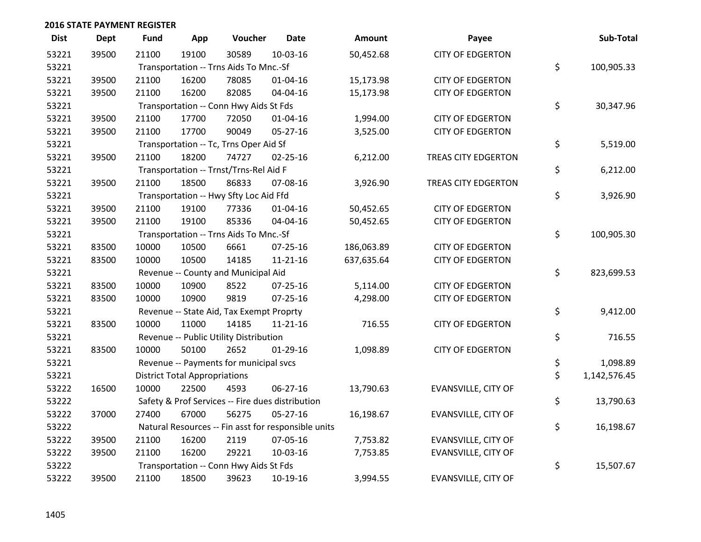| <b>Dist</b> | <b>Dept</b> | <b>Fund</b> | App                                  | Voucher                                  | <b>Date</b>                                         | Amount     | Payee                      | Sub-Total          |
|-------------|-------------|-------------|--------------------------------------|------------------------------------------|-----------------------------------------------------|------------|----------------------------|--------------------|
| 53221       | 39500       | 21100       | 19100                                | 30589                                    | 10-03-16                                            | 50,452.68  | <b>CITY OF EDGERTON</b>    |                    |
| 53221       |             |             |                                      | Transportation -- Trns Aids To Mnc.-Sf   |                                                     |            |                            | \$<br>100,905.33   |
| 53221       | 39500       | 21100       | 16200                                | 78085                                    | $01 - 04 - 16$                                      | 15,173.98  | <b>CITY OF EDGERTON</b>    |                    |
| 53221       | 39500       | 21100       | 16200                                | 82085                                    | 04-04-16                                            | 15,173.98  | <b>CITY OF EDGERTON</b>    |                    |
| 53221       |             |             |                                      | Transportation -- Conn Hwy Aids St Fds   |                                                     |            |                            | \$<br>30,347.96    |
| 53221       | 39500       | 21100       | 17700                                | 72050                                    | $01 - 04 - 16$                                      | 1,994.00   | <b>CITY OF EDGERTON</b>    |                    |
| 53221       | 39500       | 21100       | 17700                                | 90049                                    | 05-27-16                                            | 3,525.00   | <b>CITY OF EDGERTON</b>    |                    |
| 53221       |             |             |                                      | Transportation -- Tc, Trns Oper Aid Sf   |                                                     |            |                            | \$<br>5,519.00     |
| 53221       | 39500       | 21100       | 18200                                | 74727                                    | 02-25-16                                            | 6,212.00   | TREAS CITY EDGERTON        |                    |
| 53221       |             |             |                                      | Transportation -- Trnst/Trns-Rel Aid F   |                                                     |            |                            | \$<br>6,212.00     |
| 53221       | 39500       | 21100       | 18500                                | 86833                                    | 07-08-16                                            | 3,926.90   | TREAS CITY EDGERTON        |                    |
| 53221       |             |             |                                      | Transportation -- Hwy Sfty Loc Aid Ffd   |                                                     |            |                            | \$<br>3,926.90     |
| 53221       | 39500       | 21100       | 19100                                | 77336                                    | $01 - 04 - 16$                                      | 50,452.65  | <b>CITY OF EDGERTON</b>    |                    |
| 53221       | 39500       | 21100       | 19100                                | 85336                                    | 04-04-16                                            | 50,452.65  | <b>CITY OF EDGERTON</b>    |                    |
| 53221       |             |             |                                      | Transportation -- Trns Aids To Mnc.-Sf   |                                                     |            |                            | \$<br>100,905.30   |
| 53221       | 83500       | 10000       | 10500                                | 6661                                     | $07 - 25 - 16$                                      | 186,063.89 | <b>CITY OF EDGERTON</b>    |                    |
| 53221       | 83500       | 10000       | 10500                                | 14185                                    | $11 - 21 - 16$                                      | 637,635.64 | <b>CITY OF EDGERTON</b>    |                    |
| 53221       |             |             |                                      | Revenue -- County and Municipal Aid      |                                                     |            |                            | \$<br>823,699.53   |
| 53221       | 83500       | 10000       | 10900                                | 8522                                     | 07-25-16                                            | 5,114.00   | <b>CITY OF EDGERTON</b>    |                    |
| 53221       | 83500       | 10000       | 10900                                | 9819                                     | $07 - 25 - 16$                                      | 4,298.00   | <b>CITY OF EDGERTON</b>    |                    |
| 53221       |             |             |                                      | Revenue -- State Aid, Tax Exempt Proprty |                                                     |            |                            | \$<br>9,412.00     |
| 53221       | 83500       | 10000       | 11000                                | 14185                                    | $11 - 21 - 16$                                      | 716.55     | <b>CITY OF EDGERTON</b>    |                    |
| 53221       |             |             |                                      | Revenue -- Public Utility Distribution   |                                                     |            |                            | \$<br>716.55       |
| 53221       | 83500       | 10000       | 50100                                | 2652                                     | $01-29-16$                                          | 1,098.89   | <b>CITY OF EDGERTON</b>    |                    |
| 53221       |             |             |                                      | Revenue -- Payments for municipal svcs   |                                                     |            |                            | \$<br>1,098.89     |
| 53221       |             |             | <b>District Total Appropriations</b> |                                          |                                                     |            |                            | \$<br>1,142,576.45 |
| 53222       | 16500       | 10000       | 22500                                | 4593                                     | 06-27-16                                            | 13,790.63  | <b>EVANSVILLE, CITY OF</b> |                    |
| 53222       |             |             |                                      |                                          | Safety & Prof Services -- Fire dues distribution    |            |                            | \$<br>13,790.63    |
| 53222       | 37000       | 27400       | 67000                                | 56275                                    | $05 - 27 - 16$                                      | 16,198.67  | EVANSVILLE, CITY OF        |                    |
| 53222       |             |             |                                      |                                          | Natural Resources -- Fin asst for responsible units |            |                            | \$<br>16,198.67    |
| 53222       | 39500       | 21100       | 16200                                | 2119                                     | 07-05-16                                            | 7,753.82   | EVANSVILLE, CITY OF        |                    |
| 53222       | 39500       | 21100       | 16200                                | 29221                                    | 10-03-16                                            | 7,753.85   | <b>EVANSVILLE, CITY OF</b> |                    |
| 53222       |             |             |                                      | Transportation -- Conn Hwy Aids St Fds   |                                                     |            |                            | \$<br>15,507.67    |
| 53222       | 39500       | 21100       | 18500                                | 39623                                    | 10-19-16                                            | 3,994.55   | <b>EVANSVILLE, CITY OF</b> |                    |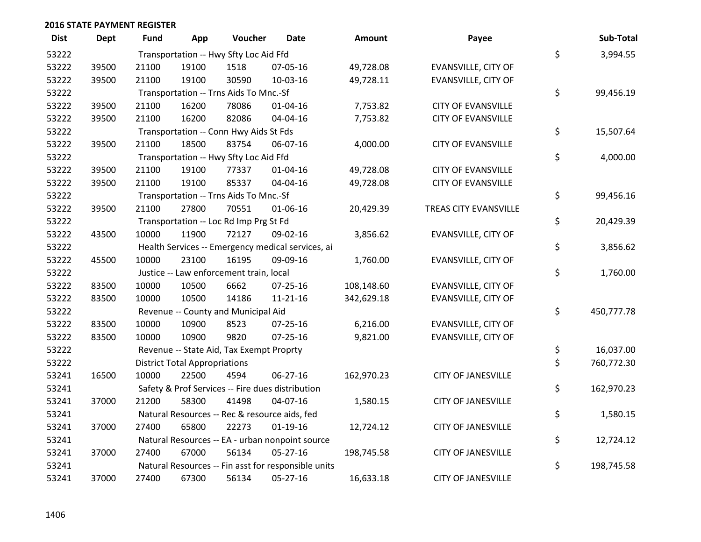| <b>Dist</b> | <b>Dept</b> | Fund  | App                                  | Voucher                                       | Date                                                | Amount     | Payee                      | Sub-Total        |
|-------------|-------------|-------|--------------------------------------|-----------------------------------------------|-----------------------------------------------------|------------|----------------------------|------------------|
| 53222       |             |       |                                      | Transportation -- Hwy Sfty Loc Aid Ffd        |                                                     |            |                            | \$<br>3,994.55   |
| 53222       | 39500       | 21100 | 19100                                | 1518                                          | 07-05-16                                            | 49,728.08  | <b>EVANSVILLE, CITY OF</b> |                  |
| 53222       | 39500       | 21100 | 19100                                | 30590                                         | 10-03-16                                            | 49,728.11  | EVANSVILLE, CITY OF        |                  |
| 53222       |             |       |                                      | Transportation -- Trns Aids To Mnc.-Sf        |                                                     |            |                            | \$<br>99,456.19  |
| 53222       | 39500       | 21100 | 16200                                | 78086                                         | 01-04-16                                            | 7,753.82   | <b>CITY OF EVANSVILLE</b>  |                  |
| 53222       | 39500       | 21100 | 16200                                | 82086                                         | 04-04-16                                            | 7,753.82   | <b>CITY OF EVANSVILLE</b>  |                  |
| 53222       |             |       |                                      | Transportation -- Conn Hwy Aids St Fds        |                                                     |            |                            | \$<br>15,507.64  |
| 53222       | 39500       | 21100 | 18500                                | 83754                                         | 06-07-16                                            | 4,000.00   | <b>CITY OF EVANSVILLE</b>  |                  |
| 53222       |             |       |                                      | Transportation -- Hwy Sfty Loc Aid Ffd        |                                                     |            |                            | \$<br>4,000.00   |
| 53222       | 39500       | 21100 | 19100                                | 77337                                         | $01 - 04 - 16$                                      | 49,728.08  | <b>CITY OF EVANSVILLE</b>  |                  |
| 53222       | 39500       | 21100 | 19100                                | 85337                                         | 04-04-16                                            | 49,728.08  | <b>CITY OF EVANSVILLE</b>  |                  |
| 53222       |             |       |                                      | Transportation -- Trns Aids To Mnc.-Sf        |                                                     |            |                            | \$<br>99,456.16  |
| 53222       | 39500       | 21100 | 27800                                | 70551                                         | 01-06-16                                            | 20,429.39  | TREAS CITY EVANSVILLE      |                  |
| 53222       |             |       |                                      | Transportation -- Loc Rd Imp Prg St Fd        |                                                     |            |                            | \$<br>20,429.39  |
| 53222       | 43500       | 10000 | 11900                                | 72127                                         | 09-02-16                                            | 3,856.62   | <b>EVANSVILLE, CITY OF</b> |                  |
| 53222       |             |       |                                      |                                               | Health Services -- Emergency medical services, ai   |            |                            | \$<br>3,856.62   |
| 53222       | 45500       | 10000 | 23100                                | 16195                                         | 09-09-16                                            | 1,760.00   | <b>EVANSVILLE, CITY OF</b> |                  |
| 53222       |             |       |                                      | Justice -- Law enforcement train, local       |                                                     |            |                            | \$<br>1,760.00   |
| 53222       | 83500       | 10000 | 10500                                | 6662                                          | 07-25-16                                            | 108,148.60 | <b>EVANSVILLE, CITY OF</b> |                  |
| 53222       | 83500       | 10000 | 10500                                | 14186                                         | $11 - 21 - 16$                                      | 342,629.18 | <b>EVANSVILLE, CITY OF</b> |                  |
| 53222       |             |       |                                      | Revenue -- County and Municipal Aid           |                                                     |            |                            | \$<br>450,777.78 |
| 53222       | 83500       | 10000 | 10900                                | 8523                                          | $07 - 25 - 16$                                      | 6,216.00   | <b>EVANSVILLE, CITY OF</b> |                  |
| 53222       | 83500       | 10000 | 10900                                | 9820                                          | $07 - 25 - 16$                                      | 9,821.00   | <b>EVANSVILLE, CITY OF</b> |                  |
| 53222       |             |       |                                      | Revenue -- State Aid, Tax Exempt Proprty      |                                                     |            |                            | \$<br>16,037.00  |
| 53222       |             |       | <b>District Total Appropriations</b> |                                               |                                                     |            |                            | \$<br>760,772.30 |
| 53241       | 16500       | 10000 | 22500                                | 4594                                          | 06-27-16                                            | 162,970.23 | <b>CITY OF JANESVILLE</b>  |                  |
| 53241       |             |       |                                      |                                               | Safety & Prof Services -- Fire dues distribution    |            |                            | \$<br>162,970.23 |
| 53241       | 37000       | 21200 | 58300                                | 41498                                         | 04-07-16                                            | 1,580.15   | <b>CITY OF JANESVILLE</b>  |                  |
| 53241       |             |       |                                      | Natural Resources -- Rec & resource aids, fed |                                                     |            |                            | \$<br>1,580.15   |
| 53241       | 37000       | 27400 | 65800                                | 22273                                         | 01-19-16                                            | 12,724.12  | <b>CITY OF JANESVILLE</b>  |                  |
| 53241       |             |       |                                      |                                               | Natural Resources -- EA - urban nonpoint source     |            |                            | \$<br>12,724.12  |
| 53241       | 37000       | 27400 | 67000                                | 56134                                         | $05 - 27 - 16$                                      | 198,745.58 | <b>CITY OF JANESVILLE</b>  |                  |
| 53241       |             |       |                                      |                                               | Natural Resources -- Fin asst for responsible units |            |                            | \$<br>198,745.58 |
| 53241       | 37000       | 27400 | 67300                                | 56134                                         | 05-27-16                                            | 16,633.18  | <b>CITY OF JANESVILLE</b>  |                  |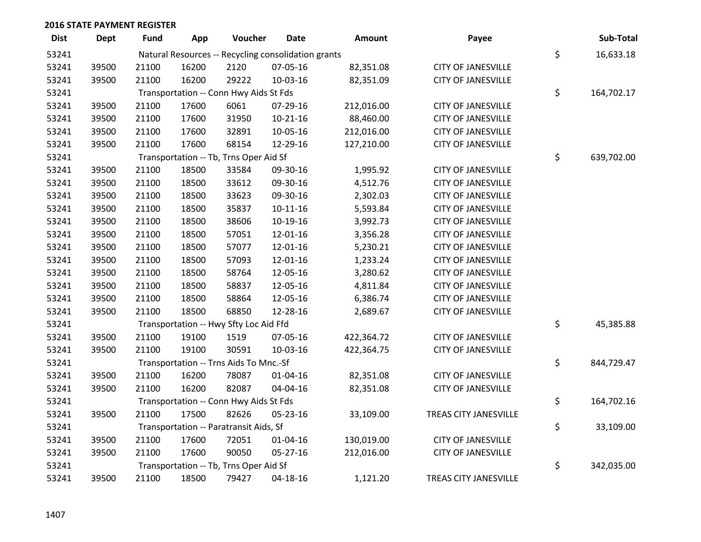| <b>Dist</b> | <b>Dept</b> | <b>Fund</b> | App   | Voucher                                | <b>Date</b>                                         | <b>Amount</b> | Payee                     | Sub-Total        |
|-------------|-------------|-------------|-------|----------------------------------------|-----------------------------------------------------|---------------|---------------------------|------------------|
| 53241       |             |             |       |                                        | Natural Resources -- Recycling consolidation grants |               |                           | \$<br>16,633.18  |
| 53241       | 39500       | 21100       | 16200 | 2120                                   | 07-05-16                                            | 82,351.08     | <b>CITY OF JANESVILLE</b> |                  |
| 53241       | 39500       | 21100       | 16200 | 29222                                  | 10-03-16                                            | 82,351.09     | <b>CITY OF JANESVILLE</b> |                  |
| 53241       |             |             |       | Transportation -- Conn Hwy Aids St Fds |                                                     |               |                           | \$<br>164,702.17 |
| 53241       | 39500       | 21100       | 17600 | 6061                                   | 07-29-16                                            | 212,016.00    | <b>CITY OF JANESVILLE</b> |                  |
| 53241       | 39500       | 21100       | 17600 | 31950                                  | $10-21-16$                                          | 88,460.00     | <b>CITY OF JANESVILLE</b> |                  |
| 53241       | 39500       | 21100       | 17600 | 32891                                  | 10-05-16                                            | 212,016.00    | <b>CITY OF JANESVILLE</b> |                  |
| 53241       | 39500       | 21100       | 17600 | 68154                                  | 12-29-16                                            | 127,210.00    | <b>CITY OF JANESVILLE</b> |                  |
| 53241       |             |             |       | Transportation -- Tb, Trns Oper Aid Sf |                                                     |               |                           | \$<br>639,702.00 |
| 53241       | 39500       | 21100       | 18500 | 33584                                  | 09-30-16                                            | 1,995.92      | <b>CITY OF JANESVILLE</b> |                  |
| 53241       | 39500       | 21100       | 18500 | 33612                                  | 09-30-16                                            | 4,512.76      | <b>CITY OF JANESVILLE</b> |                  |
| 53241       | 39500       | 21100       | 18500 | 33623                                  | 09-30-16                                            | 2,302.03      | <b>CITY OF JANESVILLE</b> |                  |
| 53241       | 39500       | 21100       | 18500 | 35837                                  | $10-11-16$                                          | 5,593.84      | <b>CITY OF JANESVILLE</b> |                  |
| 53241       | 39500       | 21100       | 18500 | 38606                                  | 10-19-16                                            | 3,992.73      | <b>CITY OF JANESVILLE</b> |                  |
| 53241       | 39500       | 21100       | 18500 | 57051                                  | 12-01-16                                            | 3,356.28      | <b>CITY OF JANESVILLE</b> |                  |
| 53241       | 39500       | 21100       | 18500 | 57077                                  | 12-01-16                                            | 5,230.21      | <b>CITY OF JANESVILLE</b> |                  |
| 53241       | 39500       | 21100       | 18500 | 57093                                  | 12-01-16                                            | 1,233.24      | <b>CITY OF JANESVILLE</b> |                  |
| 53241       | 39500       | 21100       | 18500 | 58764                                  | 12-05-16                                            | 3,280.62      | <b>CITY OF JANESVILLE</b> |                  |
| 53241       | 39500       | 21100       | 18500 | 58837                                  | 12-05-16                                            | 4,811.84      | <b>CITY OF JANESVILLE</b> |                  |
| 53241       | 39500       | 21100       | 18500 | 58864                                  | 12-05-16                                            | 6,386.74      | <b>CITY OF JANESVILLE</b> |                  |
| 53241       | 39500       | 21100       | 18500 | 68850                                  | 12-28-16                                            | 2,689.67      | <b>CITY OF JANESVILLE</b> |                  |
| 53241       |             |             |       | Transportation -- Hwy Sfty Loc Aid Ffd |                                                     |               |                           | \$<br>45,385.88  |
| 53241       | 39500       | 21100       | 19100 | 1519                                   | 07-05-16                                            | 422,364.72    | <b>CITY OF JANESVILLE</b> |                  |
| 53241       | 39500       | 21100       | 19100 | 30591                                  | 10-03-16                                            | 422,364.75    | <b>CITY OF JANESVILLE</b> |                  |
| 53241       |             |             |       | Transportation -- Trns Aids To Mnc.-Sf |                                                     |               |                           | \$<br>844,729.47 |
| 53241       | 39500       | 21100       | 16200 | 78087                                  | $01 - 04 - 16$                                      | 82,351.08     | <b>CITY OF JANESVILLE</b> |                  |
| 53241       | 39500       | 21100       | 16200 | 82087                                  | 04-04-16                                            | 82,351.08     | <b>CITY OF JANESVILLE</b> |                  |
| 53241       |             |             |       | Transportation -- Conn Hwy Aids St Fds |                                                     |               |                           | \$<br>164,702.16 |
| 53241       | 39500       | 21100       | 17500 | 82626                                  | 05-23-16                                            | 33,109.00     | TREAS CITY JANESVILLE     |                  |
| 53241       |             |             |       | Transportation -- Paratransit Aids, Sf |                                                     |               |                           | \$<br>33,109.00  |
| 53241       | 39500       | 21100       | 17600 | 72051                                  | 01-04-16                                            | 130,019.00    | <b>CITY OF JANESVILLE</b> |                  |
| 53241       | 39500       | 21100       | 17600 | 90050                                  | 05-27-16                                            | 212,016.00    | <b>CITY OF JANESVILLE</b> |                  |
| 53241       |             |             |       | Transportation -- Tb, Trns Oper Aid Sf |                                                     |               |                           | \$<br>342,035.00 |
| 53241       | 39500       | 21100       | 18500 | 79427                                  | 04-18-16                                            | 1,121.20      | TREAS CITY JANESVILLE     |                  |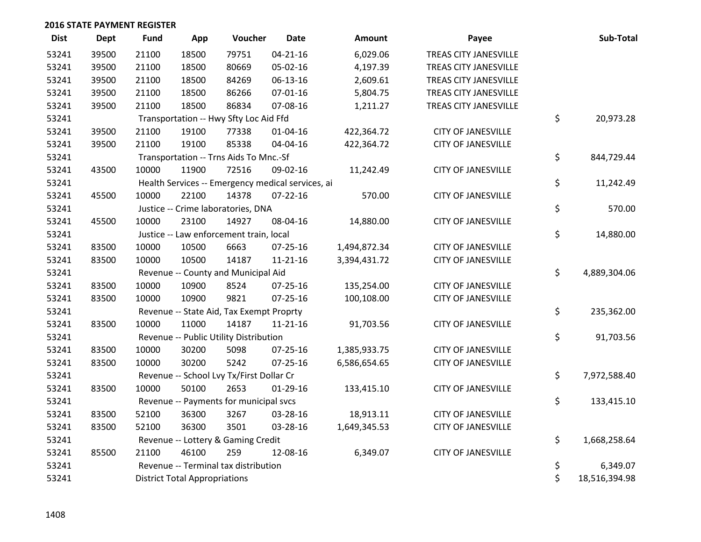| <b>Dist</b> | <b>Dept</b> | <b>Fund</b> | App                                  | Voucher                                           | <b>Date</b>    | <b>Amount</b> | Payee                     | Sub-Total          |
|-------------|-------------|-------------|--------------------------------------|---------------------------------------------------|----------------|---------------|---------------------------|--------------------|
| 53241       | 39500       | 21100       | 18500                                | 79751                                             | $04 - 21 - 16$ | 6,029.06      | TREAS CITY JANESVILLE     |                    |
| 53241       | 39500       | 21100       | 18500                                | 80669                                             | 05-02-16       | 4,197.39      | TREAS CITY JANESVILLE     |                    |
| 53241       | 39500       | 21100       | 18500                                | 84269                                             | 06-13-16       | 2,609.61      | TREAS CITY JANESVILLE     |                    |
| 53241       | 39500       | 21100       | 18500                                | 86266                                             | $07 - 01 - 16$ | 5,804.75      | TREAS CITY JANESVILLE     |                    |
| 53241       | 39500       | 21100       | 18500                                | 86834                                             | 07-08-16       | 1,211.27      | TREAS CITY JANESVILLE     |                    |
| 53241       |             |             |                                      | Transportation -- Hwy Sfty Loc Aid Ffd            |                |               |                           | \$<br>20,973.28    |
| 53241       | 39500       | 21100       | 19100                                | 77338                                             | $01 - 04 - 16$ | 422,364.72    | <b>CITY OF JANESVILLE</b> |                    |
| 53241       | 39500       | 21100       | 19100                                | 85338                                             | 04-04-16       | 422,364.72    | <b>CITY OF JANESVILLE</b> |                    |
| 53241       |             |             |                                      | Transportation -- Trns Aids To Mnc.-Sf            |                |               |                           | \$<br>844,729.44   |
| 53241       | 43500       | 10000       | 11900                                | 72516                                             | 09-02-16       | 11,242.49     | <b>CITY OF JANESVILLE</b> |                    |
| 53241       |             |             |                                      | Health Services -- Emergency medical services, ai |                |               |                           | \$<br>11,242.49    |
| 53241       | 45500       | 10000       | 22100                                | 14378                                             | $07 - 22 - 16$ | 570.00        | <b>CITY OF JANESVILLE</b> |                    |
| 53241       |             |             |                                      | Justice -- Crime laboratories, DNA                |                |               |                           | \$<br>570.00       |
| 53241       | 45500       | 10000       | 23100                                | 14927                                             | 08-04-16       | 14,880.00     | <b>CITY OF JANESVILLE</b> |                    |
| 53241       |             |             |                                      | Justice -- Law enforcement train, local           |                |               |                           | \$<br>14,880.00    |
| 53241       | 83500       | 10000       | 10500                                | 6663                                              | 07-25-16       | 1,494,872.34  | <b>CITY OF JANESVILLE</b> |                    |
| 53241       | 83500       | 10000       | 10500                                | 14187                                             | 11-21-16       | 3,394,431.72  | <b>CITY OF JANESVILLE</b> |                    |
| 53241       |             |             |                                      | Revenue -- County and Municipal Aid               |                |               |                           | \$<br>4,889,304.06 |
| 53241       | 83500       | 10000       | 10900                                | 8524                                              | 07-25-16       | 135,254.00    | <b>CITY OF JANESVILLE</b> |                    |
| 53241       | 83500       | 10000       | 10900                                | 9821                                              | $07 - 25 - 16$ | 100,108.00    | <b>CITY OF JANESVILLE</b> |                    |
| 53241       |             |             |                                      | Revenue -- State Aid, Tax Exempt Proprty          |                |               |                           | \$<br>235,362.00   |
| 53241       | 83500       | 10000       | 11000                                | 14187                                             | $11 - 21 - 16$ | 91,703.56     | <b>CITY OF JANESVILLE</b> |                    |
| 53241       |             |             |                                      | Revenue -- Public Utility Distribution            |                |               |                           | \$<br>91,703.56    |
| 53241       | 83500       | 10000       | 30200                                | 5098                                              | $07 - 25 - 16$ | 1,385,933.75  | <b>CITY OF JANESVILLE</b> |                    |
| 53241       | 83500       | 10000       | 30200                                | 5242                                              | 07-25-16       | 6,586,654.65  | <b>CITY OF JANESVILLE</b> |                    |
| 53241       |             |             |                                      | Revenue -- School Lvy Tx/First Dollar Cr          |                |               |                           | \$<br>7,972,588.40 |
| 53241       | 83500       | 10000       | 50100                                | 2653                                              | $01-29-16$     | 133,415.10    | <b>CITY OF JANESVILLE</b> |                    |
| 53241       |             |             |                                      | Revenue -- Payments for municipal svcs            |                |               |                           | \$<br>133,415.10   |
| 53241       | 83500       | 52100       | 36300                                | 3267                                              | 03-28-16       | 18,913.11     | <b>CITY OF JANESVILLE</b> |                    |
| 53241       | 83500       | 52100       | 36300                                | 3501                                              | 03-28-16       | 1,649,345.53  | <b>CITY OF JANESVILLE</b> |                    |
| 53241       |             |             |                                      | Revenue -- Lottery & Gaming Credit                |                |               |                           | \$<br>1,668,258.64 |
| 53241       | 85500       | 21100       | 46100                                | 259                                               | 12-08-16       | 6,349.07      | <b>CITY OF JANESVILLE</b> |                    |
| 53241       |             |             |                                      | Revenue -- Terminal tax distribution              |                |               |                           | \$<br>6,349.07     |
| 53241       |             |             | <b>District Total Appropriations</b> | \$<br>18,516,394.98                               |                |               |                           |                    |